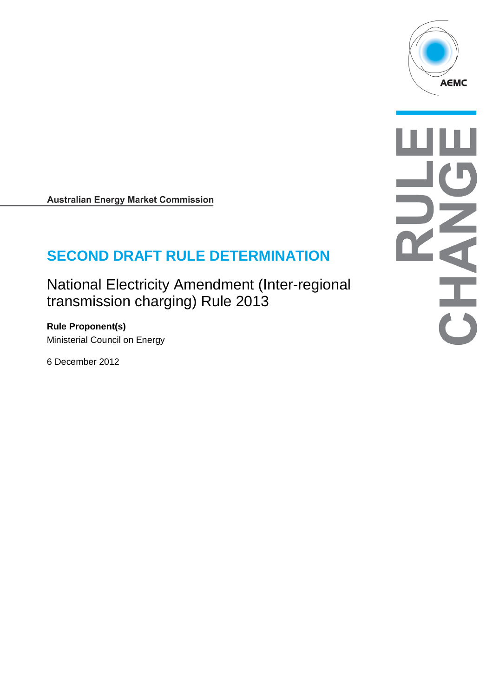

**Australian Energy Market Commission** 

# **SECOND DRAFT RULE DETERMINATION**

National Electricity Amendment (Inter-regional transmission charging) Rule 2013

**Rule Proponent(s)** Ministerial Council on Energy

<span id="page-0-0"></span>6 December 2012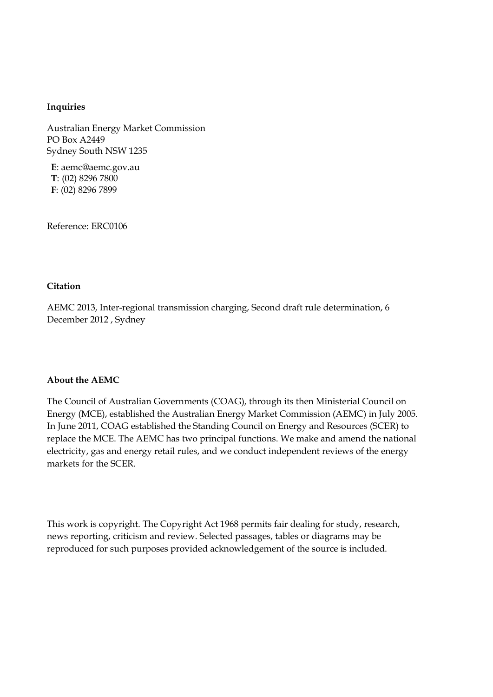#### **Inquiries**

Australian Energy Market Commission PO Box A2449 Sydney South NSW 1235

**E**: aemc@aemc.gov.au **T**: (02) 8296 7800 **F**: (02) 8296 7899

Reference: ERC0106

#### **Citation**

AEMC 2013, Inter-regional transmission charging, Second draft rule determination, 6 December 2012 , Sydney

#### **About the AEMC**

The Council of Australian Governments (COAG), through its then Ministerial Council on Energy (MCE), established the Australian Energy Market Commission (AEMC) in July 2005. In June 2011, COAG established the Standing Council on Energy and Resources (SCER) to replace the MCE. The AEMC has two principal functions. We make and amend the national electricity, gas and energy retail rules, and we conduct independent reviews of the energy markets for the SCER.

This work is copyright. The Copyright Act 1968 permits fair dealing for study, research, news reporting, criticism and review. Selected passages, tables or diagrams may be reproduced for such purposes provided acknowledgement of the source is included.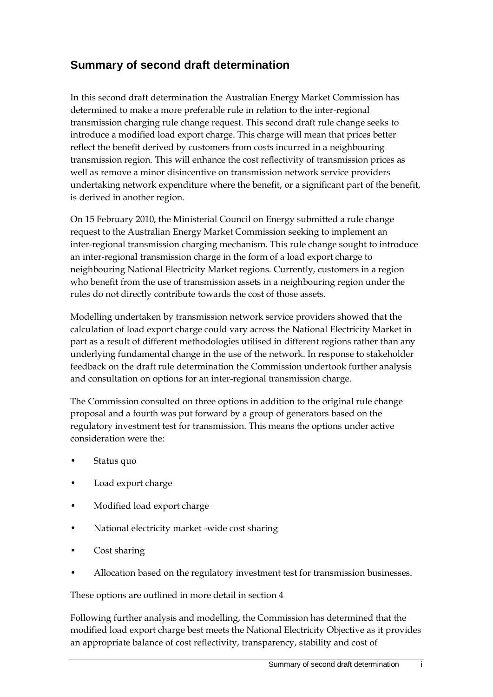# **Summary of second draft determination**

In this second draft determination the Australian Energy Market Commission has determined to make a more preferable rule in relation to the inter-regional transmission charging rule change request. This second draft rule change seeks to introduce a modified load export charge. This charge will mean that prices better reflect the benefit derived by customers from costs incurred in a neighbouring transmission region. This will enhance the cost reflectivity of transmission prices as well as remove a minor disincentive on transmission network service providers undertaking network expenditure where the benefit, or a significant part of the benefit, is derived in another region.

On 15 February 2010, the Ministerial Council on Energy submitted a rule change request to the Australian Energy Market Commission seeking to implement an inter-regional transmission charging mechanism. This rule change sought to introduce an inter-regional transmission charge in the form of a load export charge to neighbouring National Electricity Market regions. Currently, customers in a region who benefit from the use of transmission assets in a neighbouring region under the rules do not directly contribute towards the cost of those assets.

Modelling undertaken by transmission network service providers showed that the calculation of load export charge could vary across the National Electricity Market in part as a result of different methodologies utilised in different regions rather than any underlying fundamental change in the use of the network. In response to stakeholder feedback on the draft rule determination the Commission undertook further analysis and consultation on options for an inter-regional transmission charge.

The Commission consulted on three options in addition to the original rule change proposal and a fourth was put forward by a group of generators based on the regulatory investment test for transmission. This means the options under active consideration were the:

- Status quo
- Load export charge
- Modified load export charge
- National electricity market -wide cost sharing
- Cost sharing
- Allocation based on the regulatory investment test for transmission businesses.

These options are outlined in more detail in section [4](#page-20-0)

Following further analysis and modelling, the Commission has determined that the modified load export charge best meets the National Electricity Objective as it provides an appropriate balance of cost reflectivity, transparency, stability and cost of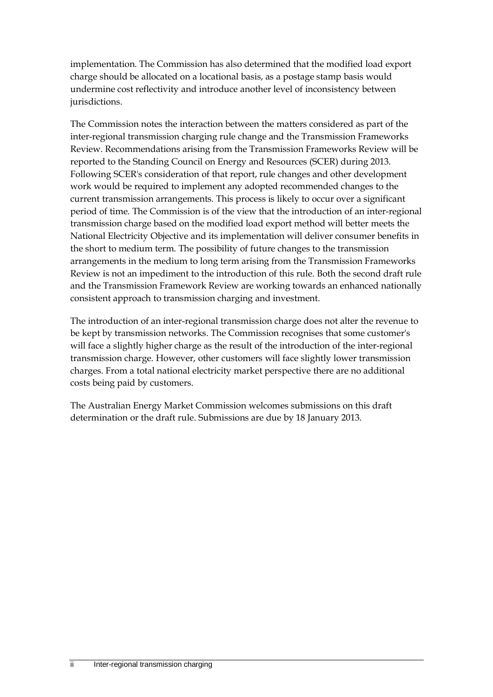implementation. The Commission has also determined that the modified load export charge should be allocated on a locational basis, as a postage stamp basis would undermine cost reflectivity and introduce another level of inconsistency between jurisdictions.

The Commission notes the interaction between the matters considered as part of the inter-regional transmission charging rule change and the Transmission Frameworks Review. Recommendations arising from the Transmission Frameworks Review will be reported to the Standing Council on Energy and Resources (SCER) during 2013. Following SCER's consideration of that report, rule changes and other development work would be required to implement any adopted recommended changes to the current transmission arrangements. This process is likely to occur over a significant period of time. The Commission is of the view that the introduction of an inter-regional transmission charge based on the modified load export method will better meets the National Electricity Objective and its implementation will deliver consumer benefits in the short to medium term. The possibility of future changes to the transmission arrangements in the medium to long term arising from the Transmission Frameworks Review is not an impediment to the introduction of this rule. Both the second draft rule and the Transmission Framework Review are working towards an enhanced nationally consistent approach to transmission charging and investment.

The introduction of an inter-regional transmission charge does not alter the revenue to be kept by transmission networks. The Commission recognises that some customer's will face a slightly higher charge as the result of the introduction of the inter-regional transmission charge. However, other customers will face slightly lower transmission charges. From a total national electricity market perspective there are no additional costs being paid by customers.

The Australian Energy Market Commission welcomes submissions on this draft determination or the draft rule. Submissions are due by 18 January 2013.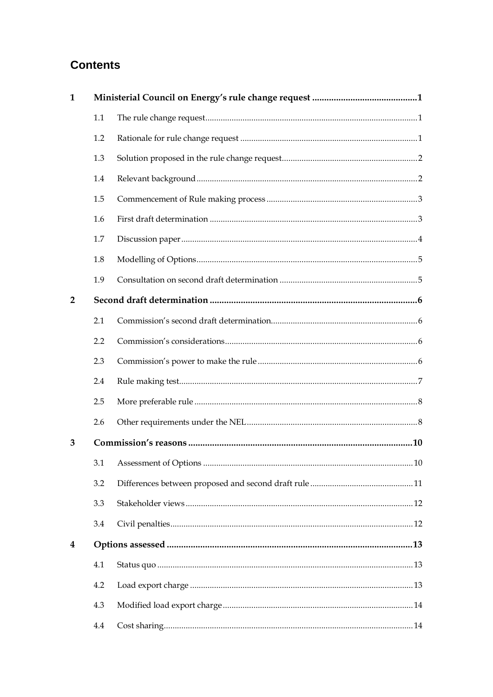# **Contents**

| $\mathbf{1}$   |     |  |  |  |  |
|----------------|-----|--|--|--|--|
|                | 1.1 |  |  |  |  |
|                | 1.2 |  |  |  |  |
|                | 1.3 |  |  |  |  |
|                | 1.4 |  |  |  |  |
|                | 1.5 |  |  |  |  |
|                | 1.6 |  |  |  |  |
|                | 1.7 |  |  |  |  |
|                | 1.8 |  |  |  |  |
|                | 1.9 |  |  |  |  |
| $\overline{2}$ |     |  |  |  |  |
|                | 2.1 |  |  |  |  |
|                | 2.2 |  |  |  |  |
|                | 2.3 |  |  |  |  |
|                | 2.4 |  |  |  |  |
|                | 2.5 |  |  |  |  |
|                | 2.6 |  |  |  |  |
| 3              |     |  |  |  |  |
|                |     |  |  |  |  |
|                | 3.2 |  |  |  |  |
|                | 3.3 |  |  |  |  |
|                | 3.4 |  |  |  |  |
| 4              |     |  |  |  |  |
|                | 4.1 |  |  |  |  |
|                | 4.2 |  |  |  |  |
|                | 4.3 |  |  |  |  |
|                | 4.4 |  |  |  |  |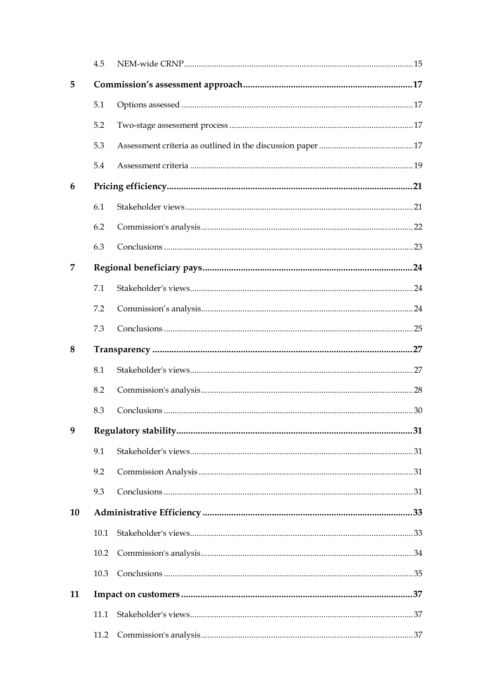|    | 4.5  |  |  |  |  |  |
|----|------|--|--|--|--|--|
| 5  |      |  |  |  |  |  |
|    | 5.1  |  |  |  |  |  |
|    | 5.2  |  |  |  |  |  |
|    | 5.3  |  |  |  |  |  |
|    | 5.4  |  |  |  |  |  |
| 6  |      |  |  |  |  |  |
|    | 6.1  |  |  |  |  |  |
|    | 6.2  |  |  |  |  |  |
|    | 6.3  |  |  |  |  |  |
| 7  |      |  |  |  |  |  |
|    | 7.1  |  |  |  |  |  |
|    | 7.2  |  |  |  |  |  |
|    | 7.3  |  |  |  |  |  |
| 8  |      |  |  |  |  |  |
|    | 8.1  |  |  |  |  |  |
|    | 8.2  |  |  |  |  |  |
|    | 8.3  |  |  |  |  |  |
| 9  |      |  |  |  |  |  |
|    | 9.1  |  |  |  |  |  |
|    | 9.2  |  |  |  |  |  |
|    | 9.3  |  |  |  |  |  |
| 10 |      |  |  |  |  |  |
|    | 10.1 |  |  |  |  |  |
|    | 10.2 |  |  |  |  |  |
|    | 10.3 |  |  |  |  |  |
| 11 |      |  |  |  |  |  |
|    | 11.1 |  |  |  |  |  |
|    | 11.2 |  |  |  |  |  |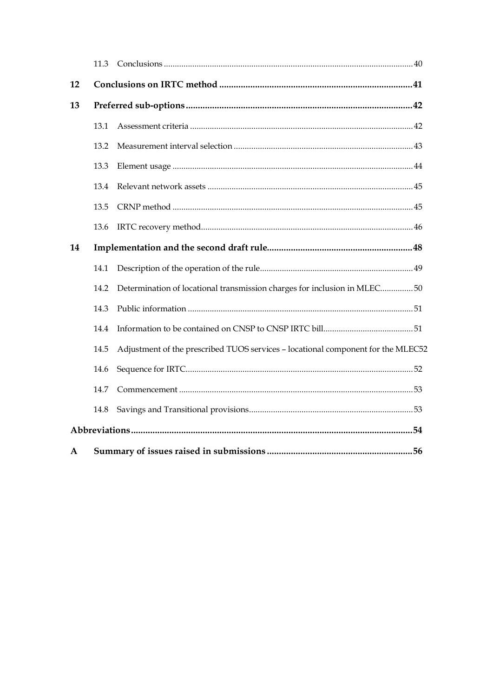|    | 11.3 |                                                                                  |  |  |
|----|------|----------------------------------------------------------------------------------|--|--|
| 12 |      |                                                                                  |  |  |
| 13 |      |                                                                                  |  |  |
|    | 13.1 |                                                                                  |  |  |
|    | 13.2 |                                                                                  |  |  |
|    | 13.3 |                                                                                  |  |  |
|    | 13.4 |                                                                                  |  |  |
|    | 13.5 |                                                                                  |  |  |
|    | 13.6 |                                                                                  |  |  |
| 14 |      |                                                                                  |  |  |
|    | 14.1 |                                                                                  |  |  |
|    | 14.2 | Determination of locational transmission charges for inclusion in MLEC50         |  |  |
|    | 14.3 |                                                                                  |  |  |
|    | 14.4 |                                                                                  |  |  |
|    | 14.5 | Adjustment of the prescribed TUOS services - locational component for the MLEC52 |  |  |
|    | 14.6 |                                                                                  |  |  |
|    | 14.7 |                                                                                  |  |  |
|    | 14.8 |                                                                                  |  |  |
|    |      |                                                                                  |  |  |
| A  |      |                                                                                  |  |  |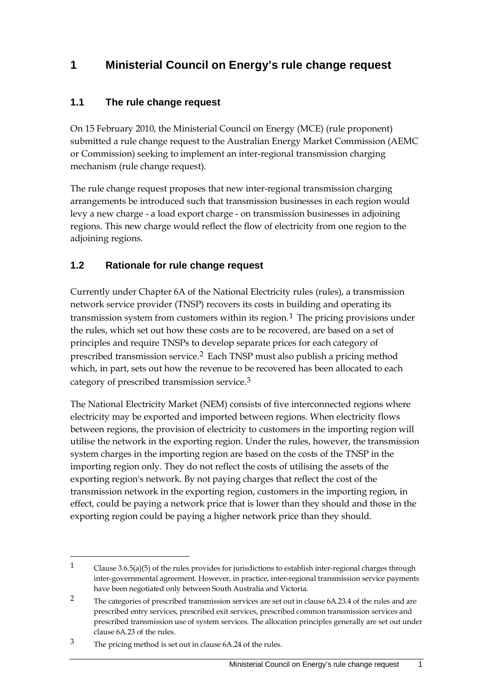# <span id="page-8-0"></span>**1 Ministerial Council on Energy's rule change request**

### <span id="page-8-1"></span>**1.1 The rule change request**

On 15 February 2010, the Ministerial Council on Energy (MCE) (rule proponent) submitted a rule change request to the Australian Energy Market Commission (AEMC or Commission) seeking to implement an inter-regional transmission charging mechanism (rule change request).

The rule change request proposes that new inter-regional transmission charging arrangements be introduced such that transmission businesses in each region would levy a new charge - a load export charge - on transmission businesses in adjoining regions. This new charge would reflect the flow of electricity from one region to the adjoining regions.

#### <span id="page-8-2"></span>**1.2 Rationale for rule change request**

Currently under Chapter 6A of the National Electricity rules (rules), a transmission network service provider (TNSP) recovers its costs in building and operating its transmission system from customers within its region.<sup>[1](#page-0-0)</sup> The pricing provisions under the rules, which set out how these costs are to be recovered, are based on a set of principles and require TNSPs to develop separate prices for each category of prescribed transmission service.[2](#page-8-3) Each TNSP must also publish a pricing method which, in part, sets out how the revenue to be recovered has been allocated to each category of prescribed transmission service.[3](#page-8-4)

The National Electricity Market (NEM) consists of five interconnected regions where electricity may be exported and imported between regions. When electricity flows between regions, the provision of electricity to customers in the importing region will utilise the network in the exporting region. Under the rules, however, the transmission system charges in the importing region are based on the costs of the TNSP in the importing region only. They do not reflect the costs of utilising the assets of the exporting region's network. By not paying charges that reflect the cost of the transmission network in the exporting region, customers in the importing region, in effect, could be paying a network price that is lower than they should and those in the exporting region could be paying a higher network price than they should.

<sup>1</sup> Clause 3.6.5(a)(5) of the rules provides for jurisdictions to establish inter-regional charges through inter-governmental agreement. However, in practice, inter-regional transmission service payments have been negotiated only between South Australia and Victoria.

<span id="page-8-5"></span><span id="page-8-3"></span><sup>&</sup>lt;sup>2</sup> The categories of prescribed transmission services are set out in clause 6A.23.4 of the rules and are prescribed entry services, prescribed exit services, prescribed common transmission services and prescribed transmission use of system services. The allocation principles generally are set out under clause 6A.23 of the rules.

<span id="page-8-4"></span><sup>3</sup> The pricing method is set out in clause 6A.24 of the rules.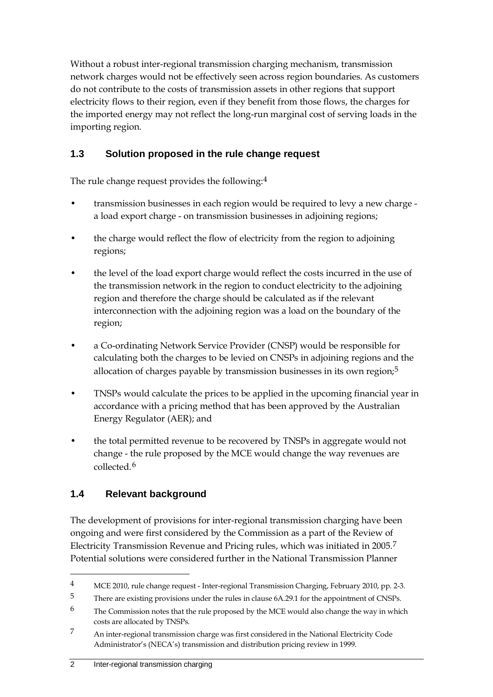Without a robust inter-regional transmission charging mechanism, transmission network charges would not be effectively seen across region boundaries. As customers do not contribute to the costs of transmission assets in other regions that support electricity flows to their region, even if they benefit from those flows, the charges for the imported energy may not reflect the long-run marginal cost of serving loads in the importing region.

### <span id="page-9-0"></span>**1.3 Solution proposed in the rule change request**

The rule change request provides the following:[4](#page-8-5)

- transmission businesses in each region would be required to levy a new charge a load export charge - on transmission businesses in adjoining regions;
- the charge would reflect the flow of electricity from the region to adjoining regions;
- the level of the load export charge would reflect the costs incurred in the use of the transmission network in the region to conduct electricity to the adjoining region and therefore the charge should be calculated as if the relevant interconnection with the adjoining region was a load on the boundary of the region;
- a Co-ordinating Network Service Provider (CNSP) would be responsible for calculating both the charges to be levied on CNSPs in adjoining regions and the allocation of charges payable by transmission businesses in its own region; $5$
- TNSPs would calculate the prices to be applied in the upcoming financial year in accordance with a pricing method that has been approved by the Australian Energy Regulator (AER); and
- the total permitted revenue to be recovered by TNSPs in aggregate would not change - the rule proposed by the MCE would change the way revenues are collected.[6](#page-9-3)

# <span id="page-9-1"></span>**1.4 Relevant background**

<span id="page-9-5"></span> $\overline{a}$ 

The development of provisions for inter-regional transmission charging have been ongoing and were first considered by the Commission as a part of the Review of Electricity Transmission Revenue and Pricing rules, which was initiated in 2005.[7](#page-9-4) Potential solutions were considered further in the National Transmission Planner

<sup>4</sup> MCE 2010, rule change request - Inter-regional Transmission Charging, February 2010, pp. 2-3.

<span id="page-9-2"></span><sup>&</sup>lt;sup>5</sup> There are existing provisions under the rules in clause 6A.29.1 for the appointment of CNSPs.

<span id="page-9-3"></span> $6$  The Commission notes that the rule proposed by the MCE would also change the way in which costs are allocated by TNSPs.

<span id="page-9-4"></span><sup>7</sup> An inter-regional transmission charge was first considered in the National Electricity Code Administrator's (NECA's) transmission and distribution pricing review in 1999.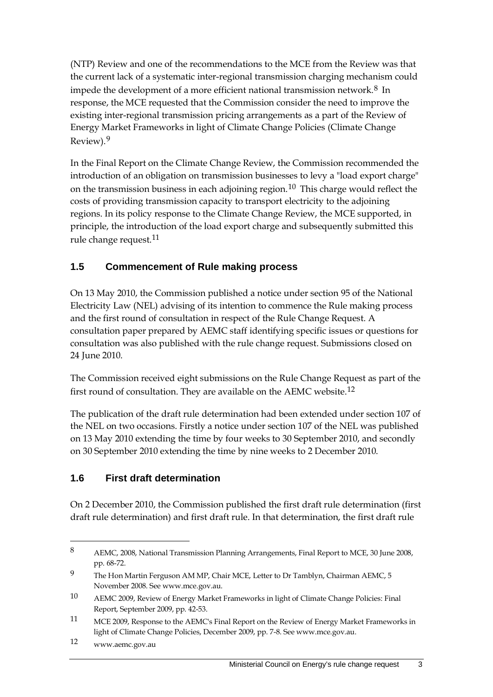(NTP) Review and one of the recommendations to the MCE from the Review was that the current lack of a systematic inter-regional transmission charging mechanism could impede the development of a more efficient national transmission network.[8](#page-9-5) In response, the MCE requested that the Commission consider the need to improve the existing inter-regional transmission pricing arrangements as a part of the Review of Energy Market Frameworks in light of Climate Change Policies (Climate Change Review).[9](#page-10-2)

In the Final Report on the Climate Change Review, the Commission recommended the introduction of an obligation on transmission businesses to levy a "load export charge" on the transmission business in each adjoining region.[10](#page-10-3) This charge would reflect the costs of providing transmission capacity to transport electricity to the adjoining regions. In its policy response to the Climate Change Review, the MCE supported, in principle, the introduction of the load export charge and subsequently submitted this rule change request.[11](#page-10-4)

### <span id="page-10-0"></span>**1.5 Commencement of Rule making process**

On 13 May 2010, the Commission published a notice under section 95 of the National Electricity Law (NEL) advising of its intention to commence the Rule making process and the first round of consultation in respect of the Rule Change Request. A consultation paper prepared by AEMC staff identifying specific issues or questions for consultation was also published with the rule change request. Submissions closed on 24 June 2010.

The Commission received eight submissions on the Rule Change Request as part of the first round of consultation. They are available on the AEMC website.[12](#page-10-5)

The publication of the draft rule determination had been extended under section 107 of the NEL on two occasions. Firstly a notice under section 107 of the NEL was published on 13 May 2010 extending the time by four weeks to 30 September 2010, and secondly on 30 September 2010 extending the time by nine weeks to 2 December 2010.

# <span id="page-10-1"></span>**1.6 First draft determination**

On 2 December 2010, the Commission published the first draft rule determination (first draft rule determination) and first draft rule. In that determination, the first draft rule

<sup>8</sup> AEMC, 2008, National Transmission Planning Arrangements, Final Report to MCE, 30 June 2008, pp. 68-72.

<span id="page-10-2"></span><sup>9</sup> The Hon Martin Ferguson AM MP, Chair MCE, Letter to Dr Tamblyn, Chairman AEMC, 5 November 2008. See www.mce.gov.au.

<span id="page-10-3"></span><sup>10</sup> AEMC 2009, Review of Energy Market Frameworks in light of Climate Change Policies: Final Report, September 2009, pp. 42-53.

<span id="page-10-4"></span><sup>11</sup> MCE 2009, Response to the AEMC's Final Report on the Review of Energy Market Frameworks in light of Climate Change Policies, December 2009, pp. 7-8. See www.mce.gov.au.

<span id="page-10-5"></span><sup>12</sup> www.aemc.gov.au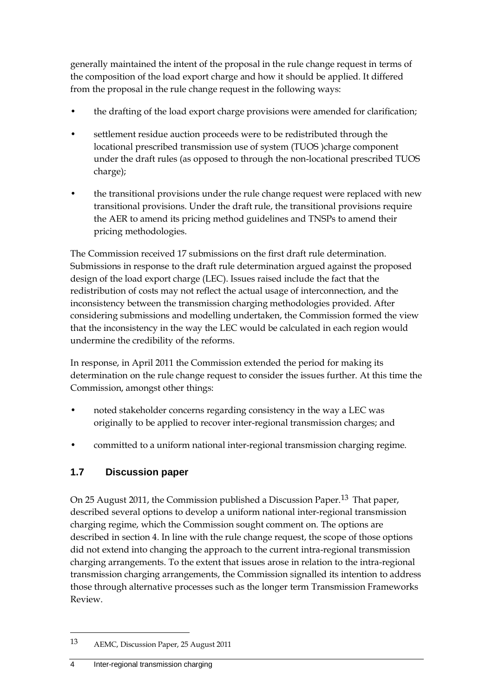generally maintained the intent of the proposal in the rule change request in terms of the composition of the load export charge and how it should be applied. It differed from the proposal in the rule change request in the following ways:

- the drafting of the load export charge provisions were amended for clarification;
- settlement residue auction proceeds were to be redistributed through the locational prescribed transmission use of system (TUOS )charge component under the draft rules (as opposed to through the non-locational prescribed TUOS charge);
- the transitional provisions under the rule change request were replaced with new transitional provisions. Under the draft rule, the transitional provisions require the AER to amend its pricing method guidelines and TNSPs to amend their pricing methodologies.

The Commission received 17 submissions on the first draft rule determination. Submissions in response to the draft rule determination argued against the proposed design of the load export charge (LEC). Issues raised include the fact that the redistribution of costs may not reflect the actual usage of interconnection, and the inconsistency between the transmission charging methodologies provided. After considering submissions and modelling undertaken, the Commission formed the view that the inconsistency in the way the LEC would be calculated in each region would undermine the credibility of the reforms.

In response, in April 2011 the Commission extended the period for making its determination on the rule change request to consider the issues further. At this time the Commission, amongst other things:

- noted stakeholder concerns regarding consistency in the way a LEC was originally to be applied to recover inter-regional transmission charges; and
- committed to a uniform national inter-regional transmission charging regime.

# <span id="page-11-0"></span>**1.7 Discussion paper**

On 25 August 2011, the Commission published a Discussion Paper.<sup>[13](#page-10-5)</sup> That paper, described several options to develop a uniform national inter-regional transmission charging regime, which the Commission sought comment on. The options are described in section [4.](#page-20-0) In line with the rule change request, the scope of those options did not extend into changing the approach to the current intra-regional transmission charging arrangements. To the extent that issues arose in relation to the intra-regional transmission charging arrangements, the Commission signalled its intention to address those through alternative processes such as the longer term Transmission Frameworks Review.

<span id="page-11-1"></span><sup>13</sup> AEMC, Discussion Paper, 25 August 2011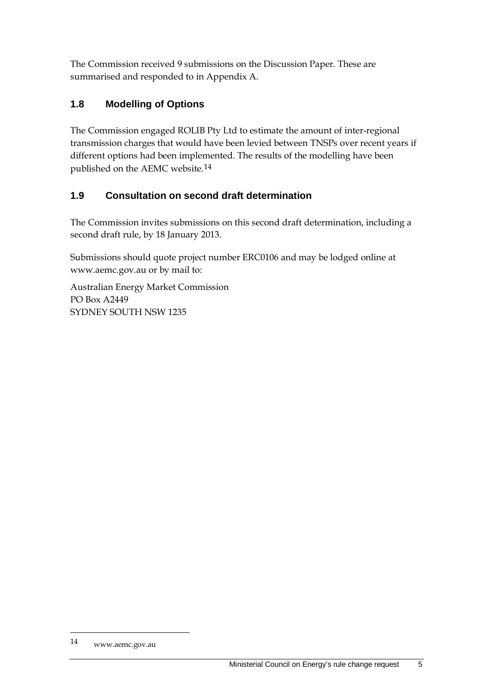The Commission received 9 submissions on the Discussion Paper. These are summarised and responded to in Appendix [A.](#page-63-0)

# <span id="page-12-0"></span>**1.8 Modelling of Options**

The Commission engaged ROLIB Pty Ltd to estimate the amount of inter-regional transmission charges that would have been levied between TNSPs over recent years if different options had been implemented. The results of the modelling have been published on the AEMC website.[14](#page-11-1)

# <span id="page-12-1"></span>**1.9 Consultation on second draft determination**

The Commission invites submissions on this second draft determination, including a second draft rule, by 18 January 2013.

Submissions should quote project number ERC0106 and may be lodged online at www.aemc.gov.au or by mail to:

Australian Energy Market Commission PO Box A2449 SYDNEY SOUTH NSW 1235

<span id="page-12-2"></span><sup>14</sup> www.aemc.gov.au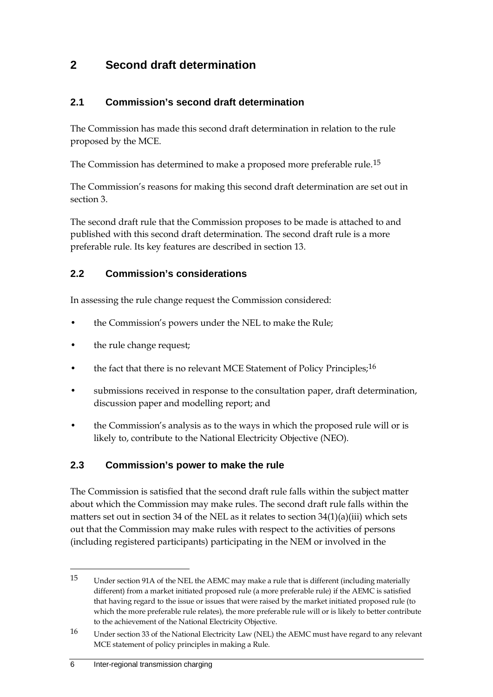# <span id="page-13-0"></span>**2 Second draft determination**

### <span id="page-13-1"></span>**2.1 Commission's second draft determination**

The Commission has made this second draft determination in relation to the rule proposed by the MCE.

The Commission has determined to make a proposed more preferable rule.[15](#page-12-2)

The Commission's reasons for making this second draft determination are set out in section [3.](#page-17-0)

The second draft rule that the Commission proposes to be made is attached to and published with this second draft determination. The second draft rule is a more preferable rule. Its key features are described in section [13.](#page-49-0)

### <span id="page-13-2"></span>**2.2 Commission's considerations**

In assessing the rule change request the Commission considered:

- the Commission's powers under the NEL to make the Rule;
- the rule change request;
- the fact that there is no relevant MCE Statement of Policy Principles;<sup>[16](#page-13-4)</sup>
- submissions received in response to the consultation paper, draft determination, discussion paper and modelling report; and
- the Commission's analysis as to the ways in which the proposed rule will or is likely to, contribute to the National Electricity Objective (NEO).

# <span id="page-13-3"></span>**2.3 Commission's power to make the rule**

The Commission is satisfied that the second draft rule falls within the subject matter about which the Commission may make rules. The second draft rule falls within the matters set out in section 34 of the NEL as it relates to section 34(1)(a)(iii) which sets out that the Commission may make rules with respect to the activities of persons (including registered participants) participating in the NEM or involved in the

<sup>15</sup> Under section 91A of the NEL the AEMC may make a rule that is different (including materially different) from a market initiated proposed rule (a more preferable rule) if the AEMC is satisfied that having regard to the issue or issues that were raised by the market initiated proposed rule (to which the more preferable rule relates), the more preferable rule will or is likely to better contribute to the achievement of the National Electricity Objective.

<span id="page-13-5"></span><span id="page-13-4"></span><sup>16</sup> Under section 33 of the National Electricity Law (NEL) the AEMC must have regard to any relevant MCE statement of policy principles in making a Rule.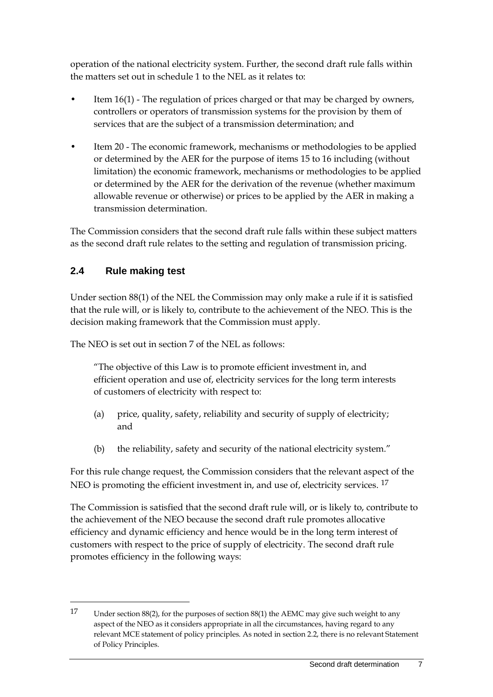operation of the national electricity system. Further, the second draft rule falls within the matters set out in schedule 1 to the NEL as it relates to:

- Item 16(1) The regulation of prices charged or that may be charged by owners, controllers or operators of transmission systems for the provision by them of services that are the subject of a transmission determination; and
- Item 20 The economic framework, mechanisms or methodologies to be applied or determined by the AER for the purpose of items 15 to 16 including (without limitation) the economic framework, mechanisms or methodologies to be applied or determined by the AER for the derivation of the revenue (whether maximum allowable revenue or otherwise) or prices to be applied by the AER in making a transmission determination.

The Commission considers that the second draft rule falls within these subject matters as the second draft rule relates to the setting and regulation of transmission pricing.

# <span id="page-14-0"></span>**2.4 Rule making test**

 $\overline{a}$ 

Under section 88(1) of the NEL the Commission may only make a rule if it is satisfied that the rule will, or is likely to, contribute to the achievement of the NEO. This is the decision making framework that the Commission must apply.

The NEO is set out in section 7 of the NEL as follows:

"The objective of this Law is to promote efficient investment in, and efficient operation and use of, electricity services for the long term interests of customers of electricity with respect to:

- (a) price, quality, safety, reliability and security of supply of electricity; and
- (b) the reliability, safety and security of the national electricity system."

For this rule change request, the Commission considers that the relevant aspect of the NEO is promoting the efficient investment in, and use of, electricity services. <sup>[17](#page-13-5)</sup>

The Commission is satisfied that the second draft rule will, or is likely to, contribute to the achievement of the NEO because the second draft rule promotes allocative efficiency and dynamic efficiency and hence would be in the long term interest of customers with respect to the price of supply of electricity. The second draft rule promotes efficiency in the following ways:

<span id="page-14-1"></span><sup>17</sup> Under section 88(2), for the purposes of section 88(1) the AEMC may give such weight to any aspect of the NEO as it considers appropriate in all the circumstances, having regard to any relevant MCE statement of policy principles. As noted in section 2.2, there is no relevant Statement of Policy Principles.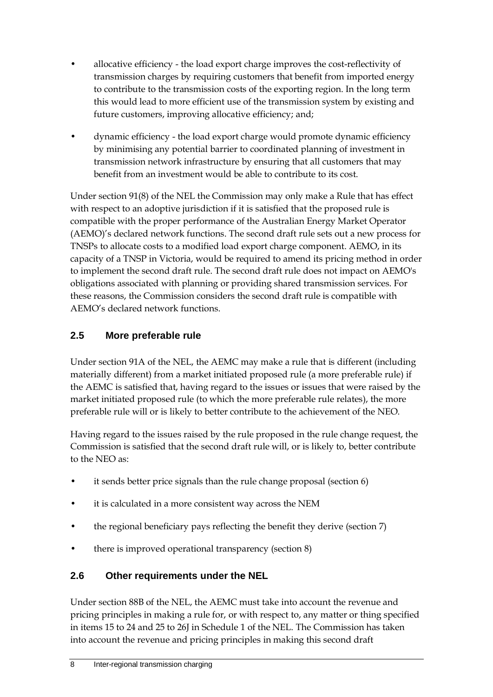- allocative efficiency the load export charge improves the cost-reflectivity of transmission charges by requiring customers that benefit from imported energy to contribute to the transmission costs of the exporting region. In the long term this would lead to more efficient use of the transmission system by existing and future customers, improving allocative efficiency; and;
- dynamic efficiency the load export charge would promote dynamic efficiency by minimising any potential barrier to coordinated planning of investment in transmission network infrastructure by ensuring that all customers that may benefit from an investment would be able to contribute to its cost.

Under section 91(8) of the NEL the Commission may only make a Rule that has effect with respect to an adoptive jurisdiction if it is satisfied that the proposed rule is compatible with the proper performance of the Australian Energy Market Operator (AEMO)'s declared network functions. The second draft rule sets out a new process for TNSPs to allocate costs to a modified load export charge component. AEMO, in its capacity of a TNSP in Victoria, would be required to amend its pricing method in order to implement the second draft rule. The second draft rule does not impact on AEMO's obligations associated with planning or providing shared transmission services. For these reasons, the Commission considers the second draft rule is compatible with AEMO's declared network functions.

# <span id="page-15-0"></span>**2.5 More preferable rule**

Under section 91A of the NEL, the AEMC may make a rule that is different (including materially different) from a market initiated proposed rule (a more preferable rule) if the AEMC is satisfied that, having regard to the issues or issues that were raised by the market initiated proposed rule (to which the more preferable rule relates), the more preferable rule will or is likely to better contribute to the achievement of the NEO.

Having regard to the issues raised by the rule proposed in the rule change request, the Commission is satisfied that the second draft rule will, or is likely to, better contribute to the NEO as:

- it sends better price signals than the rule change proposal (section [6\)](#page-28-0)
- it is calculated in a more consistent way across the NEM
- the regional beneficiary pays reflecting the benefit they derive (section [7\)](#page-31-0)
- there is improved operational transparency (section [8\)](#page-34-0)

# <span id="page-15-1"></span>**2.6 Other requirements under the NEL**

Under section 88B of the NEL, the AEMC must take into account the revenue and pricing principles in making a rule for, or with respect to, any matter or thing specified in items 15 to 24 and 25 to 26J in Schedule 1 of the NEL. The Commission has taken into account the revenue and pricing principles in making this second draft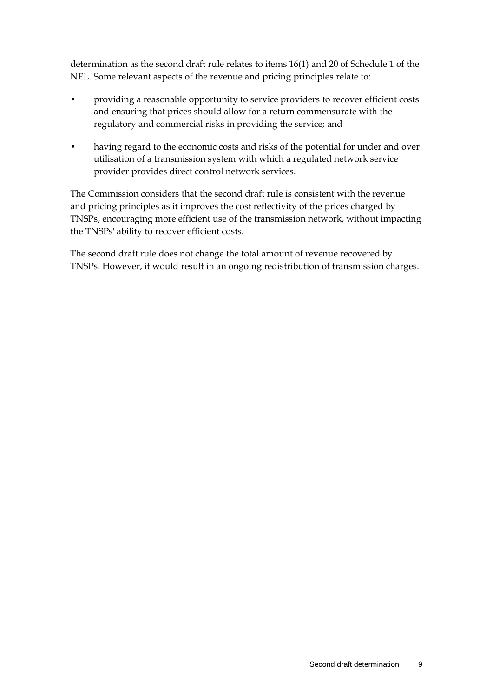determination as the second draft rule relates to items 16(1) and 20 of Schedule 1 of the NEL. Some relevant aspects of the revenue and pricing principles relate to:

- providing a reasonable opportunity to service providers to recover efficient costs and ensuring that prices should allow for a return commensurate with the regulatory and commercial risks in providing the service; and
- having regard to the economic costs and risks of the potential for under and over utilisation of a transmission system with which a regulated network service provider provides direct control network services.

The Commission considers that the second draft rule is consistent with the revenue and pricing principles as it improves the cost reflectivity of the prices charged by TNSPs, encouraging more efficient use of the transmission network, without impacting the TNSPs' ability to recover efficient costs.

The second draft rule does not change the total amount of revenue recovered by TNSPs. However, it would result in an ongoing redistribution of transmission charges.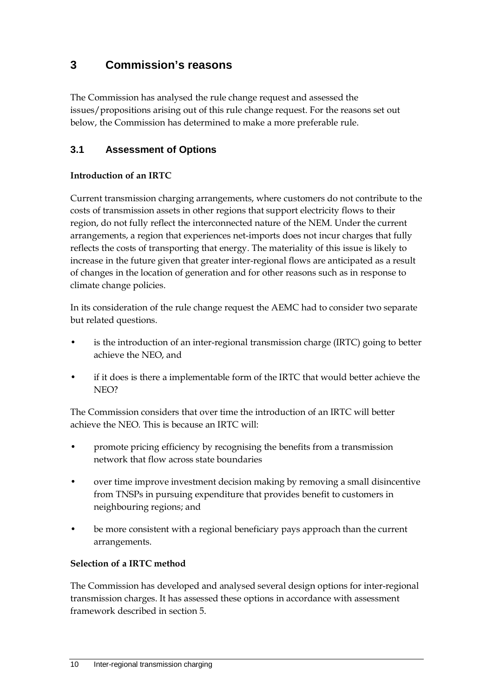# <span id="page-17-0"></span>**3 Commission's reasons**

The Commission has analysed the rule change request and assessed the issues/propositions arising out of this rule change request. For the reasons set out below, the Commission has determined to make a more preferable rule.

#### <span id="page-17-1"></span>**3.1 Assessment of Options**

#### **Introduction of an IRTC**

Current transmission charging arrangements, where customers do not contribute to the costs of transmission assets in other regions that support electricity flows to their region, do not fully reflect the interconnected nature of the NEM. Under the current arrangements, a region that experiences net-imports does not incur charges that fully reflects the costs of transporting that energy. The materiality of this issue is likely to increase in the future given that greater inter-regional flows are anticipated as a result of changes in the location of generation and for other reasons such as in response to climate change policies.

In its consideration of the rule change request the AEMC had to consider two separate but related questions.

- is the introduction of an inter-regional transmission charge (IRTC) going to better achieve the NEO, and
- if it does is there a implementable form of the IRTC that would better achieve the NEO?

The Commission considers that over time the introduction of an IRTC will better achieve the NEO. This is because an IRTC will:

- promote pricing efficiency by recognising the benefits from a transmission network that flow across state boundaries
- over time improve investment decision making by removing a small disincentive from TNSPs in pursuing expenditure that provides benefit to customers in neighbouring regions; and
- be more consistent with a regional beneficiary pays approach than the current arrangements.

#### **Selection of a IRTC method**

The Commission has developed and analysed several design options for inter-regional transmission charges. It has assessed these options in accordance with assessment framework described in section [5.](#page-24-0)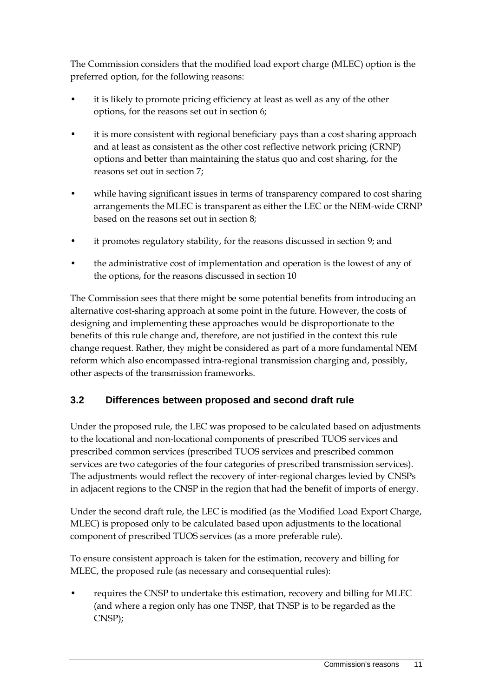The Commission considers that the modified load export charge (MLEC) option is the preferred option, for the following reasons:

- it is likely to promote pricing efficiency at least as well as any of the other options, for the reasons set out in section 6;
- it is more consistent with regional beneficiary pays than a cost sharing approach and at least as consistent as the other cost reflective network pricing (CRNP) options and better than maintaining the status quo and cost sharing, for the reasons set out in section 7;
- while having significant issues in terms of transparency compared to cost sharing arrangements the MLEC is transparent as either the LEC or the NEM-wide CRNP based on the reasons set out in section 8;
- it promotes regulatory stability, for the reasons discussed in section 9; and
- the administrative cost of implementation and operation is the lowest of any of the options, for the reasons discussed in section 10

The Commission sees that there might be some potential benefits from introducing an alternative cost-sharing approach at some point in the future. However, the costs of designing and implementing these approaches would be disproportionate to the benefits of this rule change and, therefore, are not justified in the context this rule change request. Rather, they might be considered as part of a more fundamental NEM reform which also encompassed intra-regional transmission charging and, possibly, other aspects of the transmission frameworks.

# <span id="page-18-0"></span>**3.2 Differences between proposed and second draft rule**

Under the proposed rule, the LEC was proposed to be calculated based on adjustments to the locational and non-locational components of prescribed TUOS services and prescribed common services (prescribed TUOS services and prescribed common services are two categories of the four categories of prescribed transmission services). The adjustments would reflect the recovery of inter-regional charges levied by CNSPs in adjacent regions to the CNSP in the region that had the benefit of imports of energy.

Under the second draft rule, the LEC is modified (as the Modified Load Export Charge, MLEC) is proposed only to be calculated based upon adjustments to the locational component of prescribed TUOS services (as a more preferable rule).

To ensure consistent approach is taken for the estimation, recovery and billing for MLEC, the proposed rule (as necessary and consequential rules):

• requires the CNSP to undertake this estimation, recovery and billing for MLEC (and where a region only has one TNSP, that TNSP is to be regarded as the CNSP);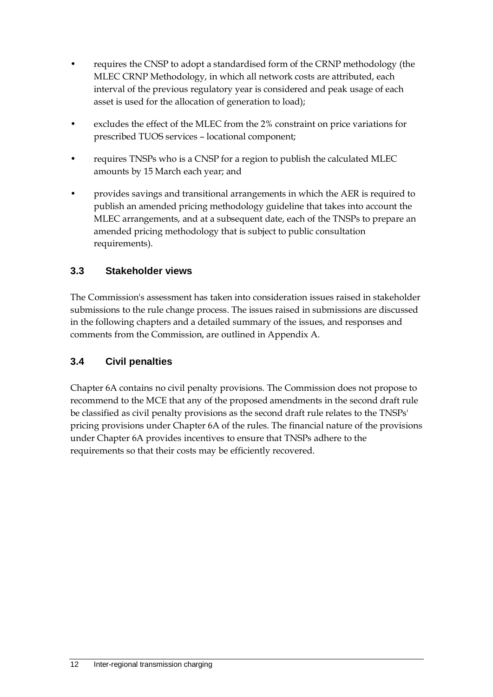- requires the CNSP to adopt a standardised form of the CRNP methodology (the MLEC CRNP Methodology, in which all network costs are attributed, each interval of the previous regulatory year is considered and peak usage of each asset is used for the allocation of generation to load);
- excludes the effect of the MLEC from the 2% constraint on price variations for prescribed TUOS services – locational component;
- requires TNSPs who is a CNSP for a region to publish the calculated MLEC amounts by 15 March each year; and
- provides savings and transitional arrangements in which the AER is required to publish an amended pricing methodology guideline that takes into account the MLEC arrangements, and at a subsequent date, each of the TNSPs to prepare an amended pricing methodology that is subject to public consultation requirements).

### <span id="page-19-0"></span>**3.3 Stakeholder views**

The Commission's assessment has taken into consideration issues raised in stakeholder submissions to the rule change process. The issues raised in submissions are discussed in the following chapters and a detailed summary of the issues, and responses and comments from the Commission, are outlined in Appendix A.

### <span id="page-19-1"></span>**3.4 Civil penalties**

Chapter 6A contains no civil penalty provisions. The Commission does not propose to recommend to the MCE that any of the proposed amendments in the second draft rule be classified as civil penalty provisions as the second draft rule relates to the TNSPs' pricing provisions under Chapter 6A of the rules. The financial nature of the provisions under Chapter 6A provides incentives to ensure that TNSPs adhere to the requirements so that their costs may be efficiently recovered.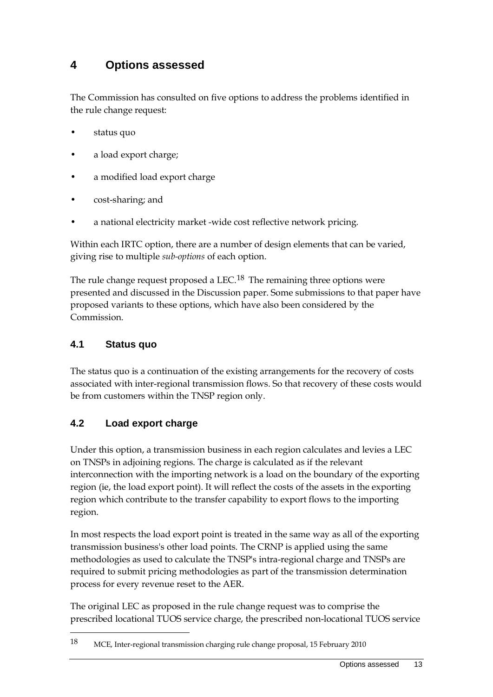# <span id="page-20-0"></span>**4 Options assessed**

The Commission has consulted on five options to address the problems identified in the rule change request:

- status quo
- a load export charge;
- a modified load export charge
- cost-sharing; and
- a national electricity market -wide cost reflective network pricing.

Within each IRTC option, there are a number of design elements that can be varied, giving rise to multiple *sub-options* of each option.

The rule change request proposed a LEC.<sup>[18](#page-14-1)</sup> The remaining three options were presented and discussed in the Discussion paper. Some submissions to that paper have proposed variants to these options, which have also been considered by the Commission.

### <span id="page-20-1"></span>**4.1 Status quo**

 $\overline{a}$ 

The status quo is a continuation of the existing arrangements for the recovery of costs associated with inter-regional transmission flows. So that recovery of these costs would be from customers within the TNSP region only.

### <span id="page-20-2"></span>**4.2 Load export charge**

Under this option, a transmission business in each region calculates and levies a LEC on TNSPs in adjoining regions. The charge is calculated as if the relevant interconnection with the importing network is a load on the boundary of the exporting region (ie, the load export point). It will reflect the costs of the assets in the exporting region which contribute to the transfer capability to export flows to the importing region.

In most respects the load export point is treated in the same way as all of the exporting transmission business's other load points. The CRNP is applied using the same methodologies as used to calculate the TNSP's intra-regional charge and TNSPs are required to submit pricing methodologies as part of the transmission determination process for every revenue reset to the AER.

The original LEC as proposed in the rule change request was to comprise the prescribed locational TUOS service charge, the prescribed non-locational TUOS service

<span id="page-20-3"></span><sup>18</sup> MCE, Inter-regional transmission charging rule change proposal, 15 February 2010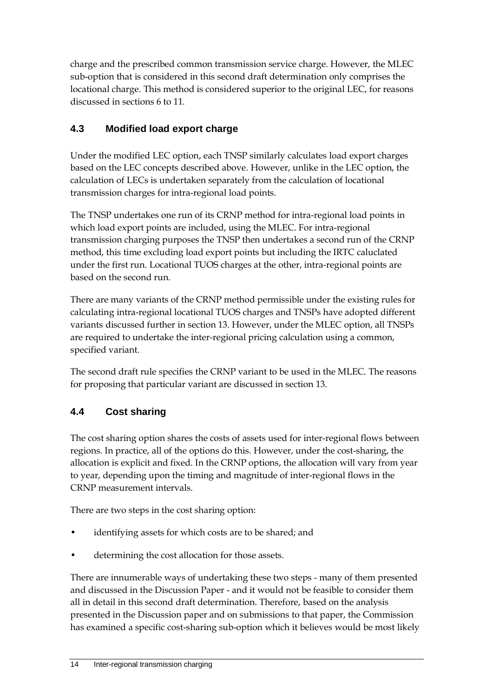charge and the prescribed common transmission service charge. However, the MLEC sub-option that is considered in this second draft determination only comprises the locational charge. This method is considered superior to the original LEC, for reasons discussed in sections [6](#page-28-0) to [11.](#page-44-0)

# <span id="page-21-0"></span>**4.3 Modified load export charge**

Under the modified LEC option, each TNSP similarly calculates load export charges based on the LEC concepts described above. However, unlike in the LEC option, the calculation of LECs is undertaken separately from the calculation of locational transmission charges for intra-regional load points.

The TNSP undertakes one run of its CRNP method for intra-regional load points in which load export points are included, using the MLEC. For intra-regional transmission charging purposes the TNSP then undertakes a second run of the CRNP method, this time excluding load export points but including the IRTC caluclated under the first run. Locational TUOS charges at the other, intra-regional points are based on the second run.

There are many variants of the CRNP method permissible under the existing rules for calculating intra-regional locational TUOS charges and TNSPs have adopted different variants discussed further in section [13.](#page-49-0) However, under the MLEC option, all TNSPs are required to undertake the inter-regional pricing calculation using a common, specified variant.

The second draft rule specifies the CRNP variant to be used in the MLEC. The reasons for proposing that particular variant are discussed in section [13.](#page-49-0)

# <span id="page-21-1"></span>**4.4 Cost sharing**

The cost sharing option shares the costs of assets used for inter-regional flows between regions. In practice, all of the options do this. However, under the cost-sharing, the allocation is explicit and fixed. In the CRNP options, the allocation will vary from year to year, depending upon the timing and magnitude of inter-regional flows in the CRNP measurement intervals.

There are two steps in the cost sharing option:

- identifying assets for which costs are to be shared; and
- determining the cost allocation for those assets.

There are innumerable ways of undertaking these two steps - many of them presented and discussed in the Discussion Paper - and it would not be feasible to consider them all in detail in this second draft determination. Therefore, based on the analysis presented in the Discussion paper and on submissions to that paper, the Commission has examined a specific cost-sharing sub-option which it believes would be most likely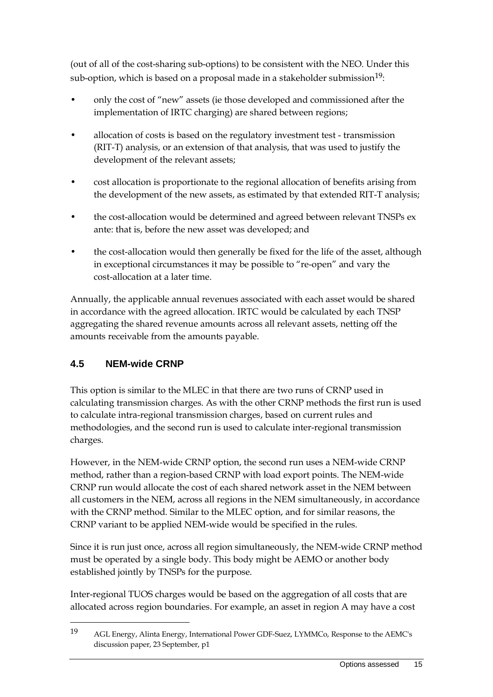(out of all of the cost-sharing sub-options) to be consistent with the NEO. Under this sub-option, which is based on a proposal made in a stakeholder submission<sup>[19](#page-20-3)</sup>:

- only the cost of "new" assets (ie those developed and commissioned after the implementation of IRTC charging) are shared between regions;
- allocation of costs is based on the regulatory investment test transmission (RIT-T) analysis, or an extension of that analysis, that was used to justify the development of the relevant assets;
- cost allocation is proportionate to the regional allocation of benefits arising from the development of the new assets, as estimated by that extended RIT-T analysis;
- the cost-allocation would be determined and agreed between relevant TNSPs ex ante: that is, before the new asset was developed; and
- the cost-allocation would then generally be fixed for the life of the asset, although in exceptional circumstances it may be possible to "re-open" and vary the cost-allocation at a later time.

Annually, the applicable annual revenues associated with each asset would be shared in accordance with the agreed allocation. IRTC would be calculated by each TNSP aggregating the shared revenue amounts across all relevant assets, netting off the amounts receivable from the amounts payable.

# <span id="page-22-0"></span>**4.5 NEM-wide CRNP**

 $\overline{a}$ 

This option is similar to the MLEC in that there are two runs of CRNP used in calculating transmission charges. As with the other CRNP methods the first run is used to calculate intra-regional transmission charges, based on current rules and methodologies, and the second run is used to calculate inter-regional transmission charges.

However, in the NEM-wide CRNP option, the second run uses a NEM-wide CRNP method, rather than a region-based CRNP with load export points. The NEM-wide CRNP run would allocate the cost of each shared network asset in the NEM between all customers in the NEM, across all regions in the NEM simultaneously, in accordance with the CRNP method. Similar to the MLEC option, and for similar reasons, the CRNP variant to be applied NEM-wide would be specified in the rules.

Since it is run just once, across all region simultaneously, the NEM-wide CRNP method must be operated by a single body. This body might be AEMO or another body established jointly by TNSPs for the purpose.

<span id="page-22-1"></span>Inter-regional TUOS charges would be based on the aggregation of all costs that are allocated across region boundaries. For example, an asset in region A may have a cost

<sup>19</sup> AGL Energy, Alinta Energy, International Power GDF-Suez, LYMMCo, Response to the AEMC's discussion paper, 23 September, p1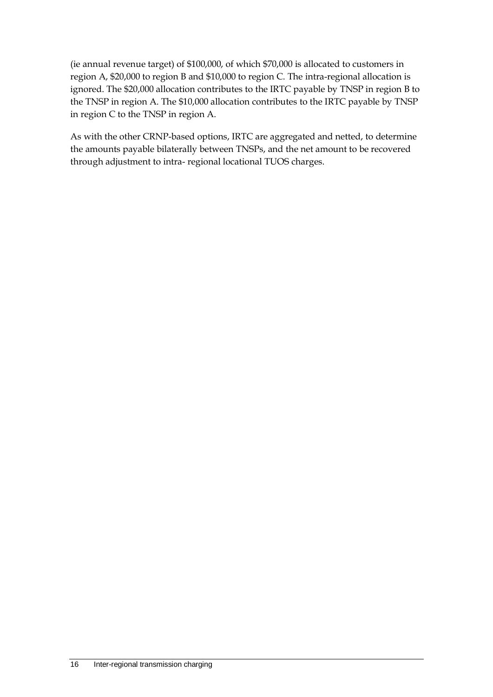(ie annual revenue target) of \$100,000, of which \$70,000 is allocated to customers in region A, \$20,000 to region B and \$10,000 to region C. The intra-regional allocation is ignored. The \$20,000 allocation contributes to the IRTC payable by TNSP in region B to the TNSP in region A. The \$10,000 allocation contributes to the IRTC payable by TNSP in region C to the TNSP in region A.

As with the other CRNP-based options, IRTC are aggregated and netted, to determine the amounts payable bilaterally between TNSPs, and the net amount to be recovered through adjustment to intra- regional locational TUOS charges.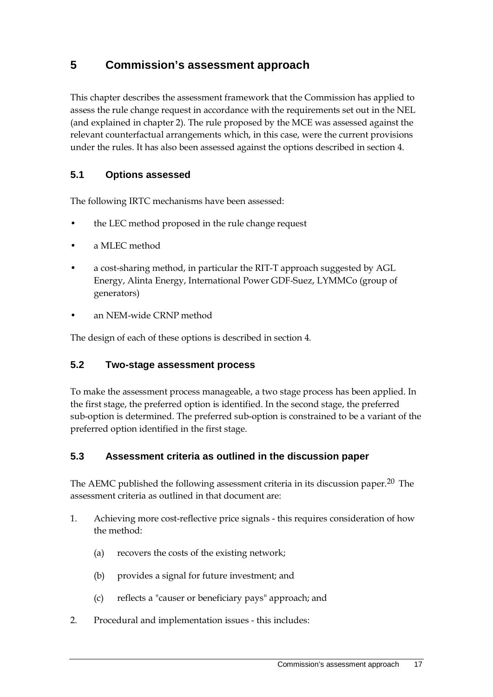# <span id="page-24-0"></span>**5 Commission's assessment approach**

This chapter describes the assessment framework that the Commission has applied to assess the rule change request in accordance with the requirements set out in the NEL (and explained in chapter 2). The rule proposed by the MCE was assessed against the relevant counterfactual arrangements which, in this case, were the current provisions under the rules. It has also been assessed against the options described in section [4.](#page-20-0)

### <span id="page-24-1"></span>**5.1 Options assessed**

The following IRTC mechanisms have been assessed:

- the LEC method proposed in the rule change request
- a MLEC method
- a cost-sharing method, in particular the RIT-T approach suggested by AGL Energy, Alinta Energy, International Power GDF-Suez, LYMMCo (group of generators)
- an NEM-wide CRNP method

The design of each of these options is described in section [4.](#page-20-0)

#### <span id="page-24-2"></span>**5.2 Two-stage assessment process**

To make the assessment process manageable, a two stage process has been applied. In the first stage, the preferred option is identified. In the second stage, the preferred sub-option is determined. The preferred sub-option is constrained to be a variant of the preferred option identified in the first stage.

#### <span id="page-24-3"></span>**5.3 Assessment criteria as outlined in the discussion paper**

The AEMC published the following assessment criteria in its discussion paper.[20](#page-22-1) The assessment criteria as outlined in that document are:

- 1. Achieving more cost-reflective price signals this requires consideration of how the method:
	- (a) recovers the costs of the existing network;
	- (b) provides a signal for future investment; and
	- (c) reflects a "causer or beneficiary pays" approach; and
- <span id="page-24-4"></span>2. Procedural and implementation issues - this includes: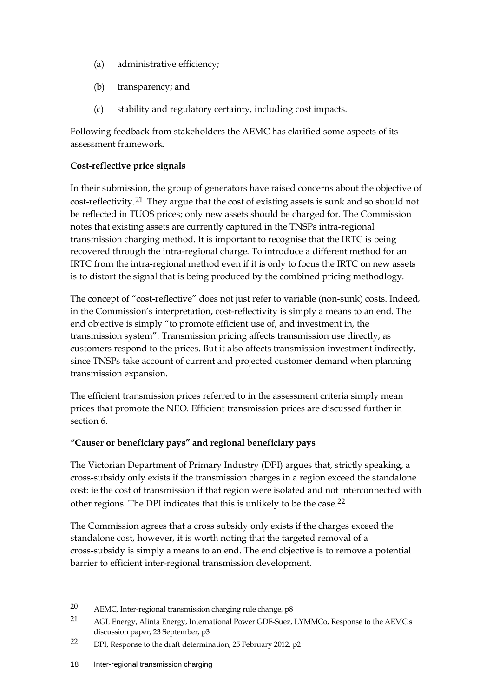- (a) administrative efficiency;
- (b) transparency; and
- (c) stability and regulatory certainty, including cost impacts.

Following feedback from stakeholders the AEMC has clarified some aspects of its assessment framework.

#### **Cost-reflective price signals**

In their submission, the group of generators have raised concerns about the objective of cost-reflectivity.[21](#page-24-4) They argue that the cost of existing assets is sunk and so should not be reflected in TUOS prices; only new assets should be charged for. The Commission notes that existing assets are currently captured in the TNSPs intra-regional transmission charging method. It is important to recognise that the IRTC is being recovered through the intra-regional charge. To introduce a different method for an IRTC from the intra-regional method even if it is only to focus the IRTC on new assets is to distort the signal that is being produced by the combined pricing methodlogy.

The concept of "cost-reflective" does not just refer to variable (non-sunk) costs. Indeed, in the Commission's interpretation, cost-reflectivity is simply a means to an end. The end objective is simply "to promote efficient use of, and investment in, the transmission system". Transmission pricing affects transmission use directly, as customers respond to the prices. But it also affects transmission investment indirectly, since TNSPs take account of current and projected customer demand when planning transmission expansion.

The efficient transmission prices referred to in the assessment criteria simply mean prices that promote the NEO. Efficient transmission prices are discussed further in section 6.

#### **"Causer or beneficiary pays" and regional beneficiary pays**

The Victorian Department of Primary Industry (DPI) argues that, strictly speaking, a cross-subsidy only exists if the transmission charges in a region exceed the standalone cost: ie the cost of transmission if that region were isolated and not interconnected with other regions. The DPI indicates that this is unlikely to be the case.[22](#page-25-0)

The Commission agrees that a cross subsidy only exists if the charges exceed the standalone cost, however, it is worth noting that the targeted removal of a cross-subsidy is simply a means to an end. The end objective is to remove a potential barrier to efficient inter-regional transmission development.

<sup>20</sup> AEMC, Inter-regional transmission charging rule change, p8

<span id="page-25-1"></span><sup>21</sup> AGL Energy, Alinta Energy, International Power GDF-Suez, LYMMCo, Response to the AEMC's discussion paper, 23 September, p3

<span id="page-25-0"></span><sup>22</sup> DPI, Response to the draft determination, 25 February 2012, p2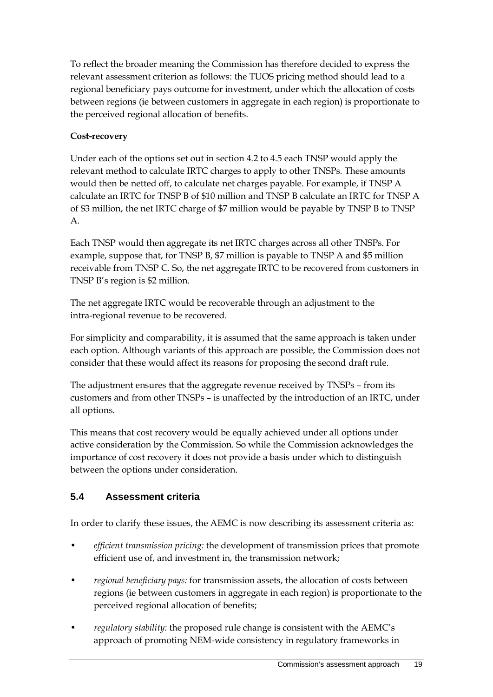To reflect the broader meaning the Commission has therefore decided to express the relevant assessment criterion as follows: the TUOS pricing method should lead to a regional beneficiary pays outcome for investment, under which the allocation of costs between regions (ie between customers in aggregate in each region) is proportionate to the perceived regional allocation of benefits.

#### **Cost-recovery**

Under each of the options set out in section 4.2 to 4.5 each TNSP would apply the relevant method to calculate IRTC charges to apply to other TNSPs. These amounts would then be netted off, to calculate net charges payable. For example, if TNSP A calculate an IRTC for TNSP B of \$10 million and TNSP B calculate an IRTC for TNSP A of \$3 million, the net IRTC charge of \$7 million would be payable by TNSP B to TNSP A.

Each TNSP would then aggregate its net IRTC charges across all other TNSPs. For example, suppose that, for TNSP B, \$7 million is payable to TNSP A and \$5 million receivable from TNSP C. So, the net aggregate IRTC to be recovered from customers in TNSP B's region is \$2 million.

The net aggregate IRTC would be recoverable through an adjustment to the intra-regional revenue to be recovered.

For simplicity and comparability, it is assumed that the same approach is taken under each option. Although variants of this approach are possible, the Commission does not consider that these would affect its reasons for proposing the second draft rule.

The adjustment ensures that the aggregate revenue received by TNSPs – from its customers and from other TNSPs – is unaffected by the introduction of an IRTC, under all options.

This means that cost recovery would be equally achieved under all options under active consideration by the Commission. So while the Commission acknowledges the importance of cost recovery it does not provide a basis under which to distinguish between the options under consideration.

# <span id="page-26-0"></span>**5.4 Assessment criteria**

In order to clarify these issues, the AEMC is now describing its assessment criteria as:

- *efficient transmission pricing:* the development of transmission prices that promote efficient use of, and investment in, the transmission network;
- *regional beneficiary pays:* for transmission assets, the allocation of costs between regions (ie between customers in aggregate in each region) is proportionate to the perceived regional allocation of benefits;
- *regulatory stability:* the proposed rule change is consistent with the AEMC's approach of promoting NEM-wide consistency in regulatory frameworks in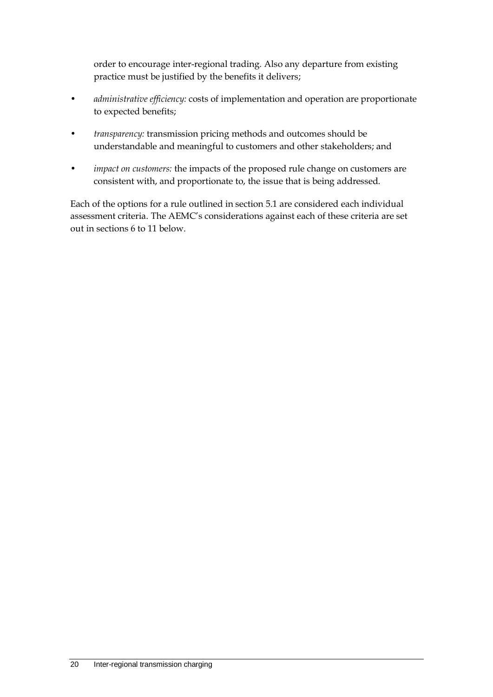order to encourage inter-regional trading. Also any departure from existing practice must be justified by the benefits it delivers;

- *administrative efficiency:* costs of implementation and operation are proportionate to expected benefits;
- *transparency:* transmission pricing methods and outcomes should be understandable and meaningful to customers and other stakeholders; and
- *impact on customers:* the impacts of the proposed rule change on customers are consistent with, and proportionate to, the issue that is being addressed.

Each of the options for a rule outlined in section 5.1 are considered each individual assessment criteria. The AEMC's considerations against each of these criteria are set out in sections [6](#page-28-0) to [11](#page-44-0) below.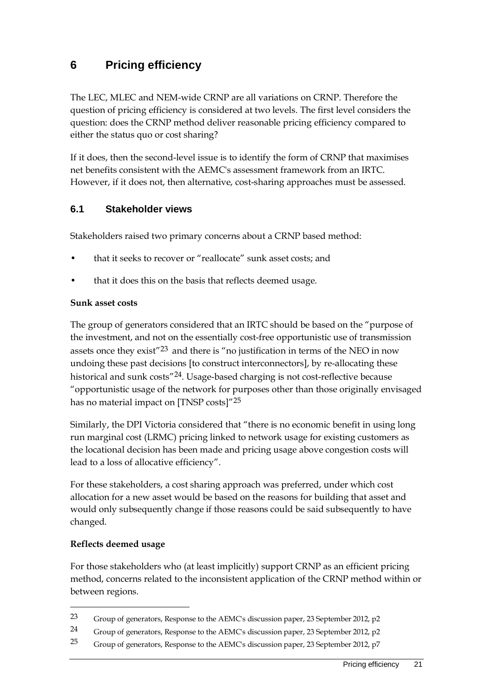# <span id="page-28-0"></span>**6 Pricing efficiency**

The LEC, MLEC and NEM-wide CRNP are all variations on CRNP. Therefore the question of pricing efficiency is considered at two levels. The first level considers the question: does the CRNP method deliver reasonable pricing efficiency compared to either the status quo or cost sharing?

If it does, then the second-level issue is to identify the form of CRNP that maximises net benefits consistent with the AEMC's assessment framework from an IRTC. However, if it does not, then alternative, cost-sharing approaches must be assessed.

#### <span id="page-28-1"></span>**6.1 Stakeholder views**

Stakeholders raised two primary concerns about a CRNP based method:

- that it seeks to recover or "reallocate" sunk asset costs; and
- that it does this on the basis that reflects deemed usage.

#### **Sunk asset costs**

The group of generators considered that an IRTC should be based on the "purpose of the investment, and not on the essentially cost-free opportunistic use of transmission assets once they exist"[23](#page-25-1) and there is "no justification in terms of the NEO in now undoing these past decisions [to construct interconnectors], by re-allocating these historical and sunk costs"[24.](#page-28-2) Usage-based charging is not cost-reflective because "opportunistic usage of the network for purposes other than those originally envisaged has no material impact on [TNSP costs]"<sup>[25](#page-28-3)</sup>

Similarly, the DPI Victoria considered that "there is no economic benefit in using long run marginal cost (LRMC) pricing linked to network usage for existing customers as the locational decision has been made and pricing usage above congestion costs will lead to a loss of allocative efficiency".

For these stakeholders, a cost sharing approach was preferred, under which cost allocation for a new asset would be based on the reasons for building that asset and would only subsequently change if those reasons could be said subsequently to have changed.

#### **Reflects deemed usage**

 $\overline{a}$ 

For those stakeholders who (at least implicitly) support CRNP as an efficient pricing method, concerns related to the inconsistent application of the CRNP method within or between regions.

<span id="page-28-4"></span><sup>23</sup> Group of generators, Response to the AEMC's discussion paper, 23 September 2012, p2

<span id="page-28-2"></span><sup>24</sup> Group of generators, Response to the AEMC's discussion paper, 23 September 2012, p2

<span id="page-28-3"></span><sup>25</sup> Group of generators, Response to the AEMC's discussion paper, 23 September 2012, p7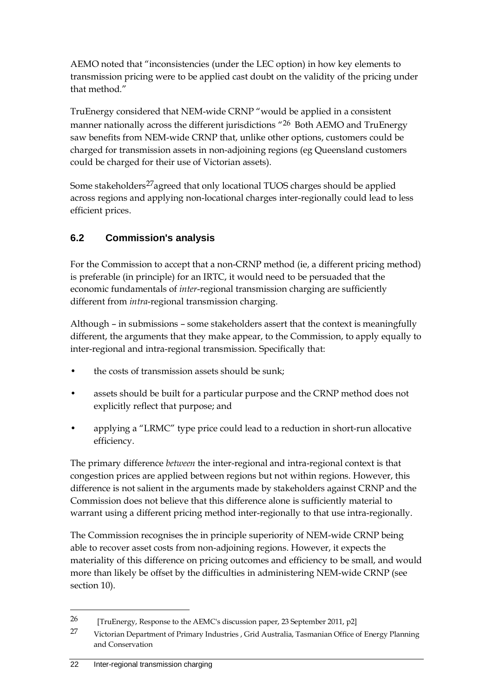AEMO noted that "inconsistencies (under the LEC option) in how key elements to transmission pricing were to be applied cast doubt on the validity of the pricing under that method."

TruEnergy considered that NEM-wide CRNP "would be applied in a consistent manner nationally across the different jurisdictions "[26](#page-28-4) Both AEMO and TruEnergy saw benefits from NEM-wide CRNP that, unlike other options, customers could be charged for transmission assets in non-adjoining regions (eg Queensland customers could be charged for their use of Victorian assets).

Some stakeholders<sup>27</sup>agreed that only locational TUOS charges should be applied across regions and applying non-locational charges inter-regionally could lead to less efficient prices.

# <span id="page-29-0"></span>**6.2 Commission's analysis**

For the Commission to accept that a non-CRNP method (ie, a different pricing method) is preferable (in principle) for an IRTC, it would need to be persuaded that the economic fundamentals of *inter*-regional transmission charging are sufficiently different from *intra*-regional transmission charging.

Although – in submissions – some stakeholders assert that the context is meaningfully different, the arguments that they make appear, to the Commission, to apply equally to inter-regional and intra-regional transmission. Specifically that:

- the costs of transmission assets should be sunk:
- assets should be built for a particular purpose and the CRNP method does not explicitly reflect that purpose; and
- applying a "LRMC" type price could lead to a reduction in short-run allocative efficiency.

The primary difference *between* the inter-regional and intra-regional context is that congestion prices are applied between regions but not within regions. However, this difference is not salient in the arguments made by stakeholders against CRNP and the Commission does not believe that this difference alone is sufficiently material to warrant using a different pricing method inter-regionally to that use intra-regionally.

The Commission recognises the in principle superiority of NEM-wide CRNP being able to recover asset costs from non-adjoining regions. However, it expects the materiality of this difference on pricing outcomes and efficiency to be small, and would more than likely be offset by the difficulties in administering NEM-wide CRNP (see section [10\)](#page-40-0).

<sup>26</sup> [TruEnergy, Response to the AEMC's discussion paper, 23 September 2011, p2]

<span id="page-29-2"></span><span id="page-29-1"></span><sup>27</sup> Victorian Department of Primary Industries , Grid Australia, Tasmanian Office of Energy Planning and Conservation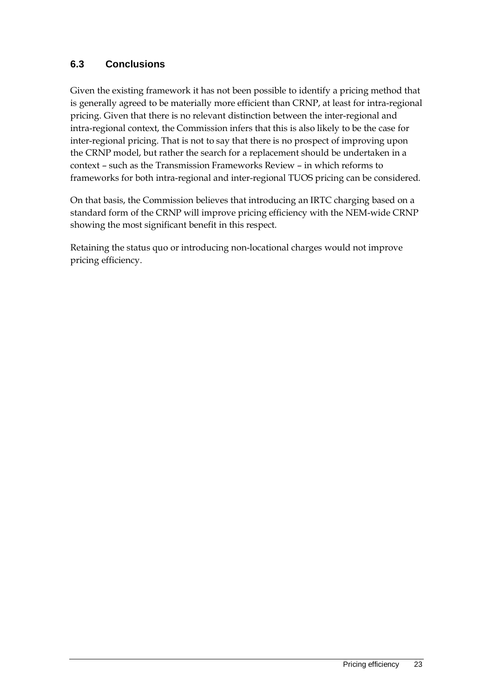### <span id="page-30-0"></span>**6.3 Conclusions**

Given the existing framework it has not been possible to identify a pricing method that is generally agreed to be materially more efficient than CRNP, at least for intra-regional pricing. Given that there is no relevant distinction between the inter-regional and intra-regional context, the Commission infers that this is also likely to be the case for inter-regional pricing. That is not to say that there is no prospect of improving upon the CRNP model, but rather the search for a replacement should be undertaken in a context – such as the Transmission Frameworks Review – in which reforms to frameworks for both intra-regional and inter-regional TUOS pricing can be considered.

On that basis, the Commission believes that introducing an IRTC charging based on a standard form of the CRNP will improve pricing efficiency with the NEM-wide CRNP showing the most significant benefit in this respect.

Retaining the status quo or introducing non-locational charges would not improve pricing efficiency.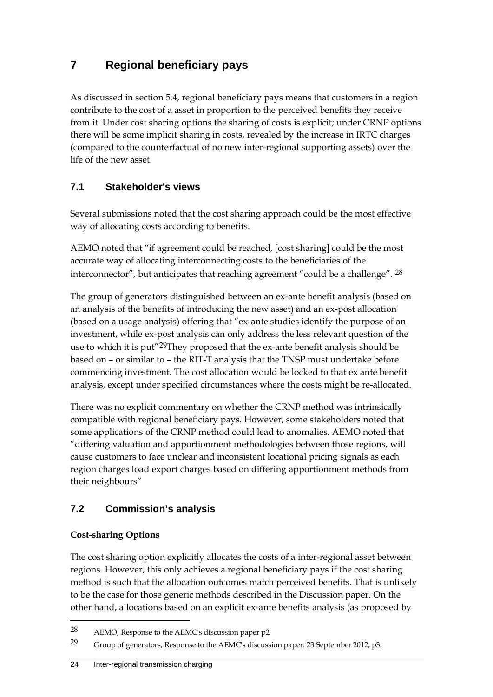# <span id="page-31-0"></span>**7 Regional beneficiary pays**

As discussed in section [5.4,](#page-26-0) regional beneficiary pays means that customers in a region contribute to the cost of a asset in proportion to the perceived benefits they receive from it. Under cost sharing options the sharing of costs is explicit; under CRNP options there will be some implicit sharing in costs, revealed by the increase in IRTC charges (compared to the counterfactual of no new inter-regional supporting assets) over the life of the new asset.

### <span id="page-31-1"></span>**7.1 Stakeholder's views**

Several submissions noted that the cost sharing approach could be the most effective way of allocating costs according to benefits.

AEMO noted that "if agreement could be reached, [cost sharing] could be the most accurate way of allocating interconnecting costs to the beneficiaries of the interconnector", but anticipates that reaching agreement "could be a challenge". [28](#page-29-2)

The group of generators distinguished between an ex-ante benefit analysis (based on an analysis of the benefits of introducing the new asset) and an ex-post allocation (based on a usage analysis) offering that "ex-ante studies identify the purpose of an investment, while ex-post analysis can only address the less relevant question of the use to which it is put"[29T](#page-31-3)hey proposed that the ex-ante benefit analysis should be based on – or similar to – the RIT-T analysis that the TNSP must undertake before commencing investment. The cost allocation would be locked to that ex ante benefit analysis, except under specified circumstances where the costs might be re-allocated.

There was no explicit commentary on whether the CRNP method was intrinsically compatible with regional beneficiary pays. However, some stakeholders noted that some applications of the CRNP method could lead to anomalies. AEMO noted that "differing valuation and apportionment methodologies between those regions, will cause customers to face unclear and inconsistent locational pricing signals as each region charges load export charges based on differing apportionment methods from their neighbours"

# <span id="page-31-2"></span>**7.2 Commission's analysis**

#### **Cost-sharing Options**

 $\overline{a}$ 

The cost sharing option explicitly allocates the costs of a inter-regional asset between regions. However, this only achieves a regional beneficiary pays if the cost sharing method is such that the allocation outcomes match perceived benefits. That is unlikely to be the case for those generic methods described in the Discussion paper. On the other hand, allocations based on an explicit ex-ante benefits analysis (as proposed by

<span id="page-31-4"></span><sup>28</sup> AEMO, Response to the AEMC's discussion paper p2

<span id="page-31-3"></span><sup>29</sup> Group of generators, Response to the AEMC's discussion paper. 23 September 2012, p3.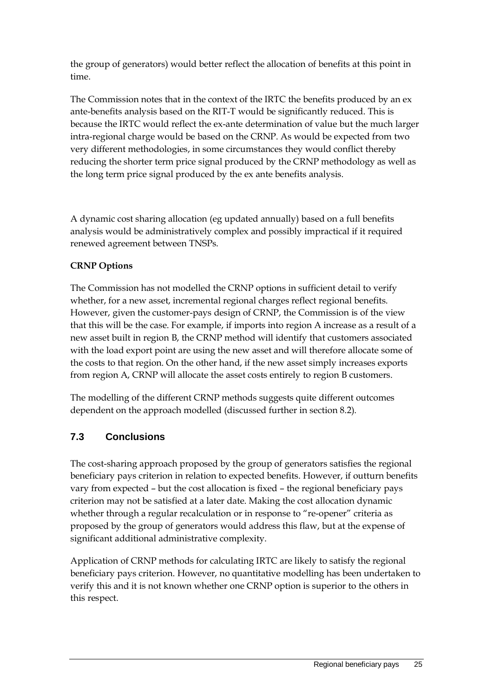the group of generators) would better reflect the allocation of benefits at this point in time.

The Commission notes that in the context of the IRTC the benefits produced by an ex ante-benefits analysis based on the RIT-T would be significantly reduced. This is because the IRTC would reflect the ex-ante determination of value but the much larger intra-regional charge would be based on the CRNP. As would be expected from two very different methodologies, in some circumstances they would conflict thereby reducing the shorter term price signal produced by the CRNP methodology as well as the long term price signal produced by the ex ante benefits analysis.

A dynamic cost sharing allocation (eg updated annually) based on a full benefits analysis would be administratively complex and possibly impractical if it required renewed agreement between TNSPs.

### **CRNP Options**

The Commission has not modelled the CRNP options in sufficient detail to verify whether, for a new asset, incremental regional charges reflect regional benefits. However, given the customer-pays design of CRNP, the Commission is of the view that this will be the case. For example, if imports into region A increase as a result of a new asset built in region B, the CRNP method will identify that customers associated with the load export point are using the new asset and will therefore allocate some of the costs to that region. On the other hand, if the new asset simply increases exports from region A, CRNP will allocate the asset costs entirely to region B customers.

The modelling of the different CRNP methods suggests quite different outcomes dependent on the approach modelled (discussed further in section [8.2\)](#page-35-0).

# <span id="page-32-0"></span>**7.3 Conclusions**

The cost-sharing approach proposed by the group of generators satisfies the regional beneficiary pays criterion in relation to expected benefits. However, if outturn benefits vary from expected – but the cost allocation is fixed – the regional beneficiary pays criterion may not be satisfied at a later date. Making the cost allocation dynamic whether through a regular recalculation or in response to "re-opener" criteria as proposed by the group of generators would address this flaw, but at the expense of significant additional administrative complexity.

Application of CRNP methods for calculating IRTC are likely to satisfy the regional beneficiary pays criterion. However, no quantitative modelling has been undertaken to verify this and it is not known whether one CRNP option is superior to the others in this respect.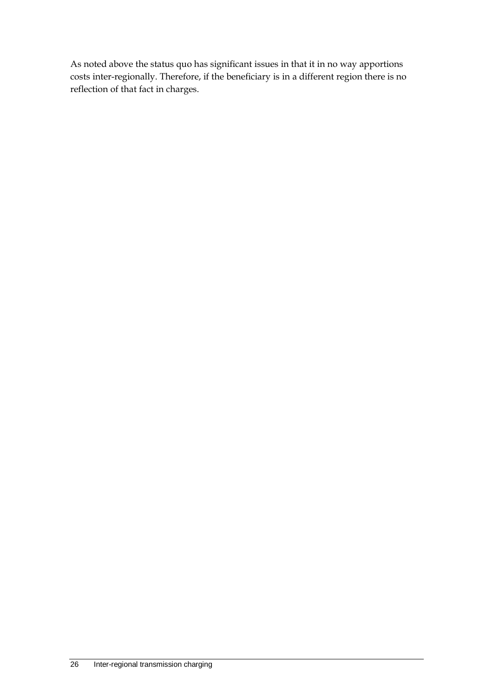As noted above the status quo has significant issues in that it in no way apportions costs inter-regionally. Therefore, if the beneficiary is in a different region there is no reflection of that fact in charges.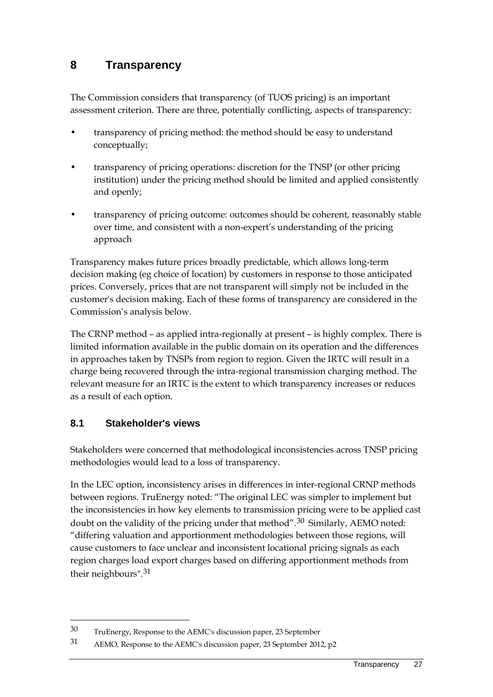# <span id="page-34-0"></span>**8 Transparency**

The Commission considers that transparency (of TUOS pricing) is an important assessment criterion. There are three, potentially conflicting, aspects of transparency:

- transparency of pricing method: the method should be easy to understand conceptually;
- transparency of pricing operations: discretion for the TNSP (or other pricing institution) under the pricing method should be limited and applied consistently and openly;
- transparency of pricing outcome: outcomes should be coherent, reasonably stable over time, and consistent with a non-expert's understanding of the pricing approach

Transparency makes future prices broadly predictable, which allows long-term decision making (eg choice of location) by customers in response to those anticipated prices. Conversely, prices that are not transparent will simply not be included in the customer's decision making. Each of these forms of transparency are considered in the Commission's analysis below.

The CRNP method – as applied intra-regionally at present – is highly complex. There is limited information available in the public domain on its operation and the differences in approaches taken by TNSPs from region to region. Given the IRTC will result in a charge being recovered through the intra-regional transmission charging method. The relevant measure for an IRTC is the extent to which transparency increases or reduces as a result of each option.

### <span id="page-34-1"></span>**8.1 Stakeholder's views**

 $\overline{a}$ 

Stakeholders were concerned that methodological inconsistencies across TNSP pricing methodologies would lead to a loss of transparency.

In the LEC option, inconsistency arises in differences in inter-regional CRNP methods between regions. TruEnergy noted: "The original LEC was simpler to implement but the inconsistencies in how key elements to transmission pricing were to be applied cast doubt on the validity of the pricing under that method".<sup>[30](#page-31-4)</sup> Similarly, AEMO noted: "differing valuation and apportionment methodologies between those regions, will cause customers to face unclear and inconsistent locational pricing signals as each region charges load export charges based on differing apportionment methods from their neighbours".[31](#page-34-2)

<span id="page-34-3"></span><sup>30</sup> TruEnergy, Response to the AEMC's discussion paper, 23 September

<span id="page-34-2"></span><sup>31</sup> AEMO, Response to the AEMC's discussion paper, 23 September 2012, p2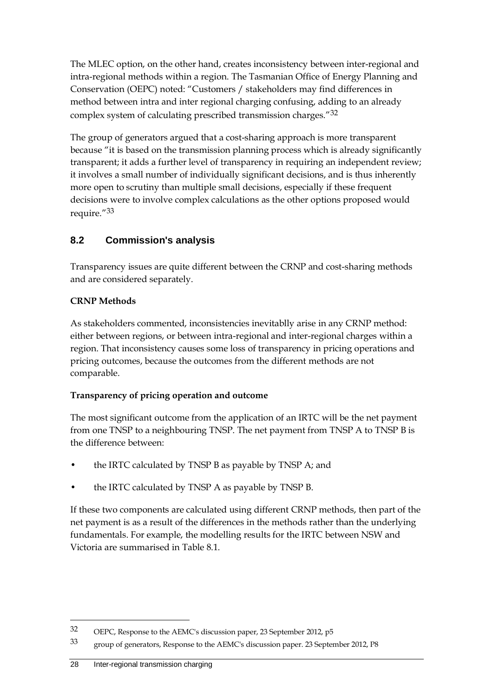The MLEC option, on the other hand, creates inconsistency between inter-regional and intra-regional methods within a region. The Tasmanian Office of Energy Planning and Conservation (OEPC) noted: "Customers / stakeholders may find differences in method between intra and inter regional charging confusing, adding to an already complex system of calculating prescribed transmission charges."[32](#page-34-3)

The group of generators argued that a cost-sharing approach is more transparent because "it is based on the transmission planning process which is already significantly transparent; it adds a further level of transparency in requiring an independent review; it involves a small number of individually significant decisions, and is thus inherently more open to scrutiny than multiple small decisions, especially if these frequent decisions were to involve complex calculations as the other options proposed would require."[33](#page-35-1)

### <span id="page-35-0"></span>**8.2 Commission's analysis**

Transparency issues are quite different between the CRNP and cost-sharing methods and are considered separately.

#### **CRNP Methods**

As stakeholders commented, inconsistencies inevitablly arise in any CRNP method: either between regions, or between intra-regional and inter-regional charges within a region. That inconsistency causes some loss of transparency in pricing operations and pricing outcomes, because the outcomes from the different methods are not comparable.

#### **Transparency of pricing operation and outcome**

The most significant outcome from the application of an IRTC will be the net payment from one TNSP to a neighbouring TNSP. The net payment from TNSP A to TNSP B is the difference between:

- the IRTC calculated by TNSP B as payable by TNSP A; and
- the IRTC calculated by TNSP A as payable by TNSP B.

If these two components are calculated using different CRNP methods, then part of the net payment is as a result of the differences in the methods rather than the underlying fundamentals. For example, the modelling results for the IRTC between NSW and Victoria are summarised in Table 8.1.

<sup>32</sup> OEPC, Response to the AEMC's discussion paper, 23 September 2012, p5

<span id="page-35-1"></span><sup>33</sup> group of generators, Response to the AEMC's discussion paper. 23 September 2012, P8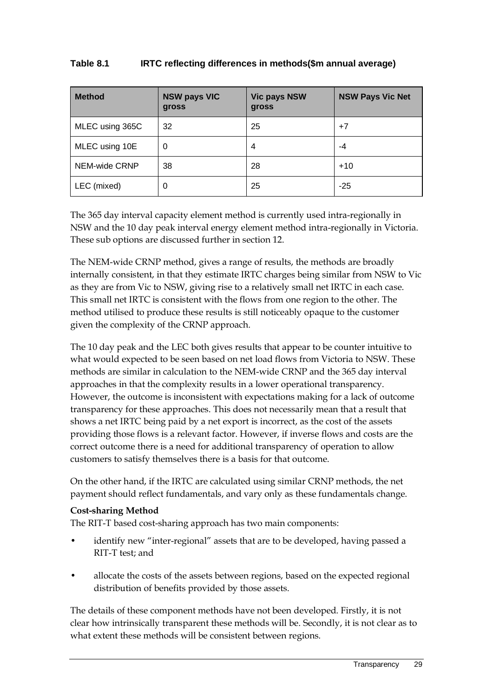#### **Table 8.1 IRTC reflecting differences in methods(\$m annual average)**

| <b>Method</b>   | <b>NSW pays VIC</b><br>gross | <b>Vic pays NSW</b><br>gross | <b>NSW Pays Vic Net</b> |
|-----------------|------------------------------|------------------------------|-------------------------|
| MLEC using 365C | 32                           | 25                           | $+7$                    |
| MLEC using 10E  | 0                            | 4                            | -4                      |
| NEM-wide CRNP   | 38                           | 28                           | $+10$                   |
| LEC (mixed)     | 0                            | 25                           | $-25$                   |

The 365 day interval capacity element method is currently used intra-regionally in NSW and the 10 day peak interval energy element method intra-regionally in Victoria. These sub options are discussed further in section 12.

The NEM-wide CRNP method, gives a range of results, the methods are broadly internally consistent, in that they estimate IRTC charges being similar from NSW to Vic as they are from Vic to NSW, giving rise to a relatively small net IRTC in each case. This small net IRTC is consistent with the flows from one region to the other. The method utilised to produce these results is still noticeably opaque to the customer given the complexity of the CRNP approach.

The 10 day peak and the LEC both gives results that appear to be counter intuitive to what would expected to be seen based on net load flows from Victoria to NSW. These methods are similar in calculation to the NEM-wide CRNP and the 365 day interval approaches in that the complexity results in a lower operational transparency. However, the outcome is inconsistent with expectations making for a lack of outcome transparency for these approaches. This does not necessarily mean that a result that shows a net IRTC being paid by a net export is incorrect, as the cost of the assets providing those flows is a relevant factor. However, if inverse flows and costs are the correct outcome there is a need for additional transparency of operation to allow customers to satisfy themselves there is a basis for that outcome.

On the other hand, if the IRTC are calculated using similar CRNP methods, the net payment should reflect fundamentals, and vary only as these fundamentals change.

#### **Cost-sharing Method**

The RIT-T based cost-sharing approach has two main components:

- identify new "inter-regional" assets that are to be developed, having passed a RIT-T test; and
- allocate the costs of the assets between regions, based on the expected regional distribution of benefits provided by those assets.

The details of these component methods have not been developed. Firstly, it is not clear how intrinsically transparent these methods will be. Secondly, it is not clear as to what extent these methods will be consistent between regions.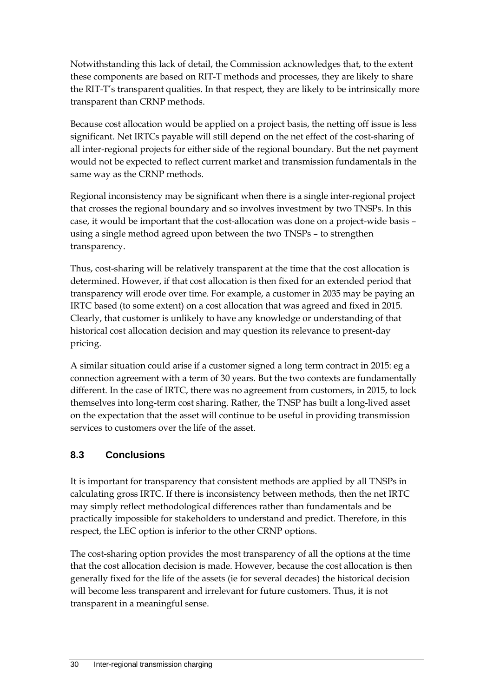Notwithstanding this lack of detail, the Commission acknowledges that, to the extent these components are based on RIT-T methods and processes, they are likely to share the RIT-T's transparent qualities. In that respect, they are likely to be intrinsically more transparent than CRNP methods.

Because cost allocation would be applied on a project basis, the netting off issue is less significant. Net IRTCs payable will still depend on the net effect of the cost-sharing of all inter-regional projects for either side of the regional boundary. But the net payment would not be expected to reflect current market and transmission fundamentals in the same way as the CRNP methods.

Regional inconsistency may be significant when there is a single inter-regional project that crosses the regional boundary and so involves investment by two TNSPs. In this case, it would be important that the cost-allocation was done on a project-wide basis – using a single method agreed upon between the two TNSPs – to strengthen transparency.

Thus, cost-sharing will be relatively transparent at the time that the cost allocation is determined. However, if that cost allocation is then fixed for an extended period that transparency will erode over time. For example, a customer in 2035 may be paying an IRTC based (to some extent) on a cost allocation that was agreed and fixed in 2015. Clearly, that customer is unlikely to have any knowledge or understanding of that historical cost allocation decision and may question its relevance to present-day pricing.

A similar situation could arise if a customer signed a long term contract in 2015: eg a connection agreement with a term of 30 years. But the two contexts are fundamentally different. In the case of IRTC, there was no agreement from customers, in 2015, to lock themselves into long-term cost sharing. Rather, the TNSP has built a long-lived asset on the expectation that the asset will continue to be useful in providing transmission services to customers over the life of the asset.

# **8.3 Conclusions**

It is important for transparency that consistent methods are applied by all TNSPs in calculating gross IRTC. If there is inconsistency between methods, then the net IRTC may simply reflect methodological differences rather than fundamentals and be practically impossible for stakeholders to understand and predict. Therefore, in this respect, the LEC option is inferior to the other CRNP options.

The cost-sharing option provides the most transparency of all the options at the time that the cost allocation decision is made. However, because the cost allocation is then generally fixed for the life of the assets (ie for several decades) the historical decision will become less transparent and irrelevant for future customers. Thus, it is not transparent in a meaningful sense.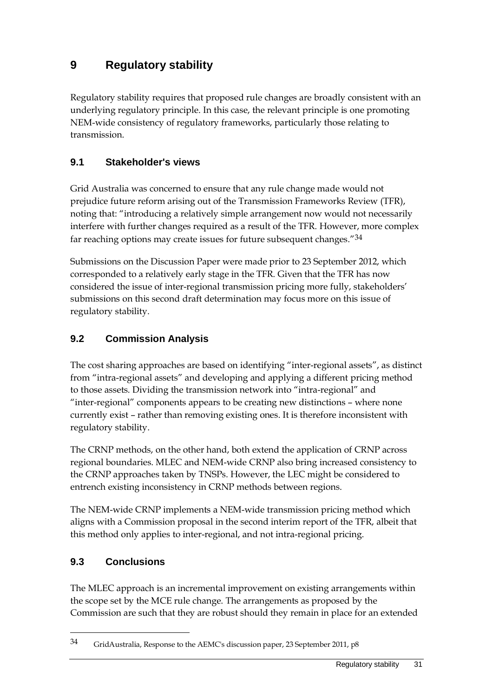# <span id="page-38-1"></span>**9 Regulatory stability**

Regulatory stability requires that proposed rule changes are broadly consistent with an underlying regulatory principle. In this case, the relevant principle is one promoting NEM-wide consistency of regulatory frameworks, particularly those relating to transmission.

## **9.1 Stakeholder's views**

Grid Australia was concerned to ensure that any rule change made would not prejudice future reform arising out of the Transmission Frameworks Review (TFR), noting that: "introducing a relatively simple arrangement now would not necessarily interfere with further changes required as a result of the TFR. However, more complex far reaching options may create issues for future subsequent changes."[34](#page-35-0)

Submissions on the Discussion Paper were made prior to 23 September 2012, which corresponded to a relatively early stage in the TFR. Given that the TFR has now considered the issue of inter-regional transmission pricing more fully, stakeholders' submissions on this second draft determination may focus more on this issue of regulatory stability.

## **9.2 Commission Analysis**

The cost sharing approaches are based on identifying "inter-regional assets", as distinct from "intra-regional assets" and developing and applying a different pricing method to those assets. Dividing the transmission network into "intra-regional" and "inter-regional" components appears to be creating new distinctions – where none currently exist – rather than removing existing ones. It is therefore inconsistent with regulatory stability.

The CRNP methods, on the other hand, both extend the application of CRNP across regional boundaries. MLEC and NEM-wide CRNP also bring increased consistency to the CRNP approaches taken by TNSPs. However, the LEC might be considered to entrench existing inconsistency in CRNP methods between regions.

The NEM-wide CRNP implements a NEM-wide transmission pricing method which aligns with a Commission proposal in the second interim report of the TFR, albeit that this method only applies to inter-regional, and not intra-regional pricing.

## **9.3 Conclusions**

 $\overline{a}$ 

<span id="page-38-0"></span>The MLEC approach is an incremental improvement on existing arrangements within the scope set by the MCE rule change. The arrangements as proposed by the Commission are such that they are robust should they remain in place for an extended

<sup>34</sup> GridAustralia, Response to the AEMC's discussion paper, 23 September 2011, p8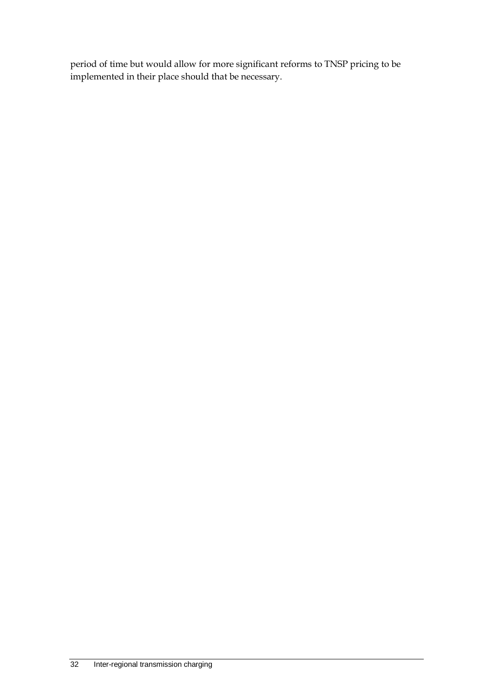period of time but would allow for more significant reforms to TNSP pricing to be implemented in their place should that be necessary.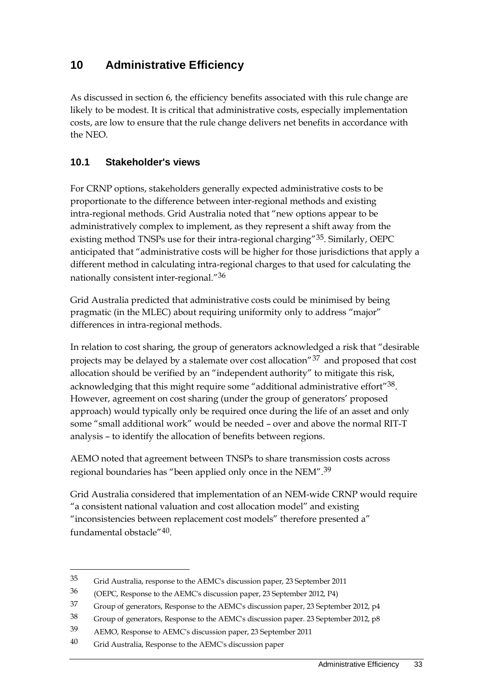# <span id="page-40-5"></span>**10 Administrative Efficiency**

As discussed in section [6,](#page-28-0) the efficiency benefits associated with this rule change are likely to be modest. It is critical that administrative costs, especially implementation costs, are low to ensure that the rule change delivers net benefits in accordance with the NEO.

## **10.1 Stakeholder's views**

For CRNP options, stakeholders generally expected administrative costs to be proportionate to the difference between inter-regional methods and existing intra-regional methods. Grid Australia noted that "new options appear to be administratively complex to implement, as they represent a shift away from the existing method TNSPs use for their intra-regional charging"[35](#page-38-0). Similarly, OEPC anticipated that "administrative costs will be higher for those jurisdictions that apply a different method in calculating intra-regional charges to that used for calculating the nationally consistent inter-regional."[36](#page-40-0)

Grid Australia predicted that administrative costs could be minimised by being pragmatic (in the MLEC) about requiring uniformity only to address "major" differences in intra-regional methods.

In relation to cost sharing, the group of generators acknowledged a risk that "desirable projects may be delayed by a stalemate over cost allocation"[37](#page-40-1) and proposed that cost allocation should be verified by an "independent authority" to mitigate this risk, acknowledging that this might require some "additional administrative effort"[38](#page-40-2). However, agreement on cost sharing (under the group of generators' proposed approach) would typically only be required once during the life of an asset and only some "small additional work" would be needed – over and above the normal RIT-T analysis – to identify the allocation of benefits between regions.

AEMO noted that agreement between TNSPs to share transmission costs across regional boundaries has "been applied only once in the NEM".[39](#page-40-3)

Grid Australia considered that implementation of an NEM-wide CRNP would require "a consistent national valuation and cost allocation model" and existing "inconsistencies between replacement cost models" therefore presented a" fundamental obstacle"[40.](#page-40-4)

 $\overline{a}$ 

<sup>35</sup> Grid Australia, response to the AEMC's discussion paper, 23 September 2011

<span id="page-40-0"></span><sup>36</sup> (OEPC, Response to the AEMC's discussion paper, 23 September 2012, P4)

<span id="page-40-1"></span><sup>37</sup> Group of generators, Response to the AEMC's discussion paper, 23 September 2012, p4

<span id="page-40-2"></span><sup>38</sup> Group of generators, Response to the AEMC's discussion paper. 23 September 2012, p8

<span id="page-40-3"></span><sup>39</sup> AEMO, Response to AEMC's discussion paper, 23 September 2011

<span id="page-40-4"></span><sup>40</sup> Grid Australia, Response to the AEMC's discussion paper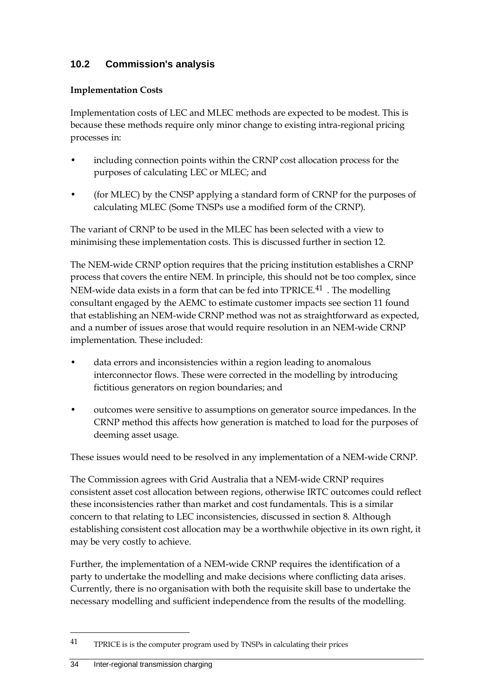# **10.2 Commission's analysis**

#### **Implementation Costs**

Implementation costs of LEC and MLEC methods are expected to be modest. This is because these methods require only minor change to existing intra-regional pricing processes in:

- including connection points within the CRNP cost allocation process for the purposes of calculating LEC or MLEC; and
- (for MLEC) by the CNSP applying a standard form of CRNP for the purposes of calculating MLEC (Some TNSPs use a modified form of the CRNP).

The variant of CRNP to be used in the MLEC has been selected with a view to minimising these implementation costs. This is discussed further in section 12.

The NEM-wide CRNP option requires that the pricing institution establishes a CRNP process that covers the entire NEM. In principle, this should not be too complex, since NEM-wide data exists in a form that can be fed into TPRICE.<sup>[41](#page-40-4)</sup>. The modelling consultant engaged by the AEMC to estimate customer impacts see section [11](#page-44-0) found that establishing an NEM-wide CRNP method was not as straightforward as expected, and a number of issues arose that would require resolution in an NEM-wide CRNP implementation. These included:

- data errors and inconsistencies within a region leading to anomalous interconnector flows. These were corrected in the modelling by introducing fictitious generators on region boundaries; and
- outcomes were sensitive to assumptions on generator source impedances. In the CRNP method this affects how generation is matched to load for the purposes of deeming asset usage.

These issues would need to be resolved in any implementation of a NEM-wide CRNP.

The Commission agrees with Grid Australia that a NEM-wide CRNP requires consistent asset cost allocation between regions, otherwise IRTC outcomes could reflect these inconsistencies rather than market and cost fundamentals. This is a similar concern to that relating to LEC inconsistencies, discussed in section 8. Although establishing consistent cost allocation may be a worthwhile objective in its own right, it may be very costly to achieve.

<span id="page-41-0"></span>Further, the implementation of a NEM-wide CRNP requires the identification of a party to undertake the modelling and make decisions where conflicting data arises. Currently, there is no organisation with both the requisite skill base to undertake the necessary modelling and sufficient independence from the results of the modelling.

 $\overline{a}$ 

<sup>41</sup> TPRICE is is the computer program used by TNSPs in calculating their prices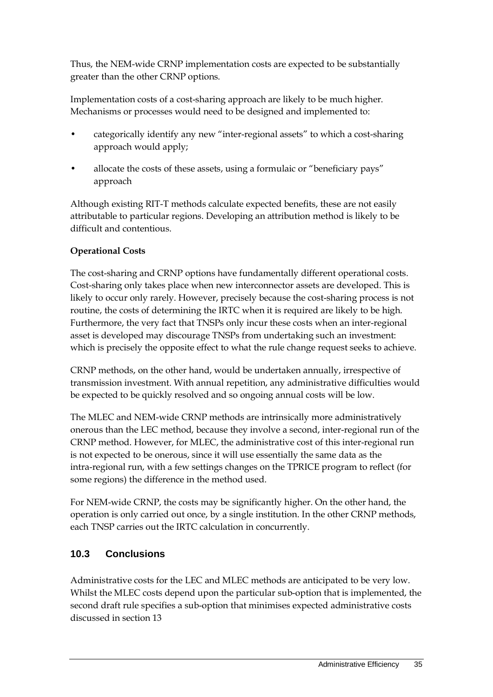Thus, the NEM-wide CRNP implementation costs are expected to be substantially greater than the other CRNP options.

Implementation costs of a cost-sharing approach are likely to be much higher. Mechanisms or processes would need to be designed and implemented to:

- categorically identify any new "inter-regional assets" to which a cost-sharing approach would apply;
- allocate the costs of these assets, using a formulaic or "beneficiary pays" approach

Although existing RIT-T methods calculate expected benefits, these are not easily attributable to particular regions. Developing an attribution method is likely to be difficult and contentious.

### **Operational Costs**

The cost-sharing and CRNP options have fundamentally different operational costs. Cost-sharing only takes place when new interconnector assets are developed. This is likely to occur only rarely. However, precisely because the cost-sharing process is not routine, the costs of determining the IRTC when it is required are likely to be high. Furthermore, the very fact that TNSPs only incur these costs when an inter-regional asset is developed may discourage TNSPs from undertaking such an investment: which is precisely the opposite effect to what the rule change request seeks to achieve.

CRNP methods, on the other hand, would be undertaken annually, irrespective of transmission investment. With annual repetition, any administrative difficulties would be expected to be quickly resolved and so ongoing annual costs will be low.

The MLEC and NEM-wide CRNP methods are intrinsically more administratively onerous than the LEC method, because they involve a second, inter-regional run of the CRNP method. However, for MLEC, the administrative cost of this inter-regional run is not expected to be onerous, since it will use essentially the same data as the intra-regional run, with a few settings changes on the TPRICE program to reflect (for some regions) the difference in the method used.

For NEM-wide CRNP, the costs may be significantly higher. On the other hand, the operation is only carried out once, by a single institution. In the other CRNP methods, each TNSP carries out the IRTC calculation in concurrently.

## **10.3 Conclusions**

Administrative costs for the LEC and MLEC methods are anticipated to be very low. Whilst the MLEC costs depend upon the particular sub-option that is implemented, the second draft rule specifies a sub-option that minimises expected administrative costs discussed in section [13](#page-49-0)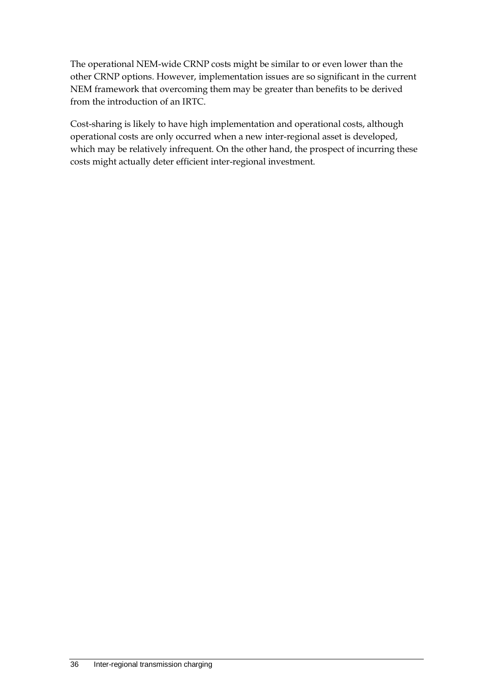The operational NEM-wide CRNP costs might be similar to or even lower than the other CRNP options. However, implementation issues are so significant in the current NEM framework that overcoming them may be greater than benefits to be derived from the introduction of an IRTC.

Cost-sharing is likely to have high implementation and operational costs, although operational costs are only occurred when a new inter-regional asset is developed, which may be relatively infrequent. On the other hand, the prospect of incurring these costs might actually deter efficient inter-regional investment.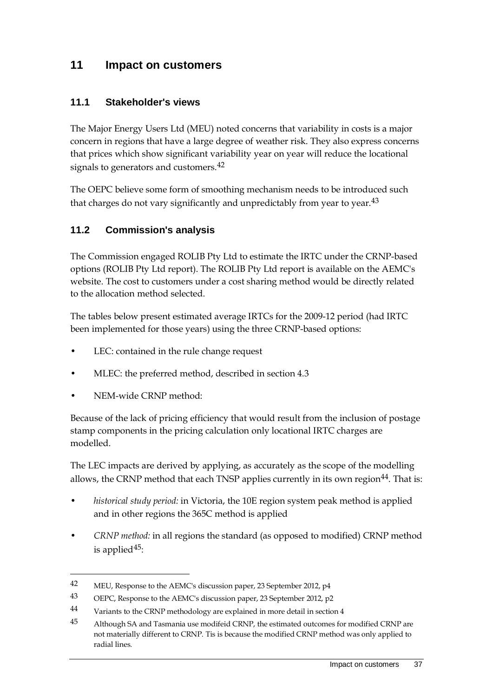# <span id="page-44-0"></span>**11 Impact on customers**

## **11.1 Stakeholder's views**

The Major Energy Users Ltd (MEU) noted concerns that variability in costs is a major concern in regions that have a large degree of weather risk. They also express concerns that prices which show significant variability year on year will reduce the locational signals to generators and customers.<sup>[42](#page-41-0)</sup>

The OEPC believe some form of smoothing mechanism needs to be introduced such that charges do not vary significantly and unpredictably from year to year.<sup>[43](#page-44-1)</sup>

## **11.2 Commission's analysis**

The Commission engaged ROLIB Pty Ltd to estimate the IRTC under the CRNP-based options (ROLIB Pty Ltd report). The ROLIB Pty Ltd report is available on the AEMC's website. The cost to customers under a cost sharing method would be directly related to the allocation method selected.

The tables below present estimated average IRTCs for the 2009-12 period (had IRTC been implemented for those years) using the three CRNP-based options:

- LEC: contained in the rule change request
- MLEC: the preferred method, described in section [4.3](#page-21-0)
- NEM-wide CRNP method:

 $\overline{a}$ 

Because of the lack of pricing efficiency that would result from the inclusion of postage stamp components in the pricing calculation only locational IRTC charges are modelled.

The LEC impacts are derived by applying, as accurately as the scope of the modelling allows, the CRNP method that each TNSP applies currently in its own region<sup>[44](#page-44-2)</sup>. That is:

- *historical study period:* in Victoria, the 10E region system peak method is applied and in other regions the 365C method is applied
- *CRNP method:* in all regions the standard (as opposed to modified) CRNP method is applied $45$ :

<sup>42</sup> MEU, Response to the AEMC's discussion paper, 23 September 2012, p4

<span id="page-44-1"></span><sup>43</sup> OEPC, Response to the AEMC's discussion paper, 23 September 2012, p2

<span id="page-44-2"></span><sup>44</sup> Variants to the CRNP methodology are explained in more detail in section 4

<span id="page-44-3"></span><sup>45</sup> Although SA and Tasmania use modifeid CRNP, the estimated outcomes for modified CRNP are not materially different to CRNP. Tis is because the modified CRNP method was only applied to radial lines.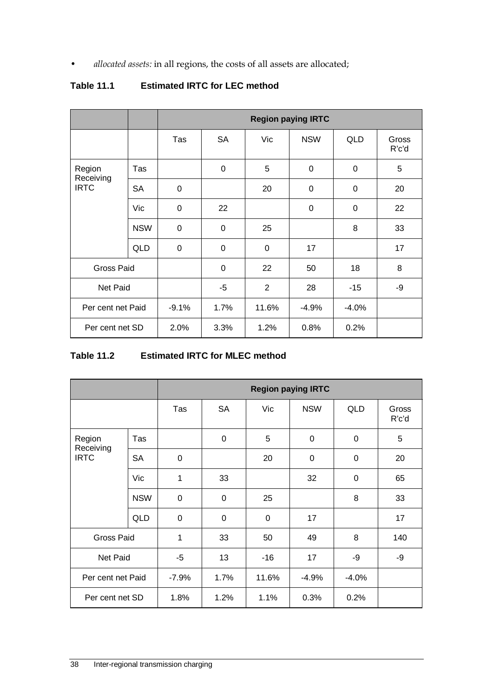• *allocated assets:* in all regions, the costs of all assets are allocated;

|                     |            |             | <b>Region paying IRTC</b> |       |                  |                  |                |
|---------------------|------------|-------------|---------------------------|-------|------------------|------------------|----------------|
|                     |            | Tas         | <b>SA</b>                 | Vic   | <b>NSW</b>       | QLD              | Gross<br>R'c'd |
| Region<br>Receiving | Tas        |             | $\mathbf 0$               | 5     | $\boldsymbol{0}$ | $\boldsymbol{0}$ | 5              |
| <b>IRTC</b>         | <b>SA</b>  | $\mathbf 0$ |                           | 20    | $\mathbf 0$      | 0                | 20             |
|                     | Vic        | $\mathbf 0$ | 22                        |       | $\mathbf 0$      | $\mathbf 0$      | 22             |
|                     | <b>NSW</b> | $\mathbf 0$ | $\mathbf 0$               | 25    |                  | 8                | 33             |
|                     | QLD        | $\mathbf 0$ | $\mathbf 0$               | 0     | 17               |                  | 17             |
| <b>Gross Paid</b>   |            |             | $\mathbf 0$               | 22    | 50               | 18               | 8              |
| Net Paid            |            |             | $-5$                      | 2     | 28               | $-15$            | -9             |
| Per cent net Paid   |            | $-9.1%$     | 1.7%                      | 11.6% | $-4.9\%$         | $-4.0%$          |                |
| Per cent net SD     |            | 2.0%        | 3.3%                      | 1.2%  | 0.8%             | 0.2%             |                |

## **Table 11.1 Estimated IRTC for LEC method**

### **Table 11.2 Estimated IRTC for MLEC method**

|                     |            |             |             |       | <b>Region paying IRTC</b> |            |                |
|---------------------|------------|-------------|-------------|-------|---------------------------|------------|----------------|
|                     |            | Tas         | <b>SA</b>   | Vic   | <b>NSW</b>                | <b>QLD</b> | Gross<br>R'c'd |
| Region<br>Receiving | Tas        |             | $\mathbf 0$ | 5     | 0                         | $\pmb{0}$  | 5              |
| <b>IRTC</b>         | <b>SA</b>  | $\mathbf 0$ |             | 20    | 0                         | 0          | 20             |
|                     | Vic        | 1           | 33          |       | 32                        | 0          | 65             |
|                     | <b>NSW</b> | $\mathbf 0$ | 0           | 25    |                           | 8          | 33             |
|                     | QLD        | $\mathbf 0$ | 0           | 0     | 17                        |            | 17             |
| <b>Gross Paid</b>   |            | 1           | 33          | 50    | 49                        | 8          | 140            |
| Net Paid            |            | $-5$        | 13          | $-16$ | 17                        | -9         | -9             |
| Per cent net Paid   |            | $-7.9%$     | 1.7%        | 11.6% | $-4.9%$                   | $-4.0%$    |                |
| Per cent net SD     |            | 1.8%        | 1.2%        | 1.1%  | 0.3%                      | 0.2%       |                |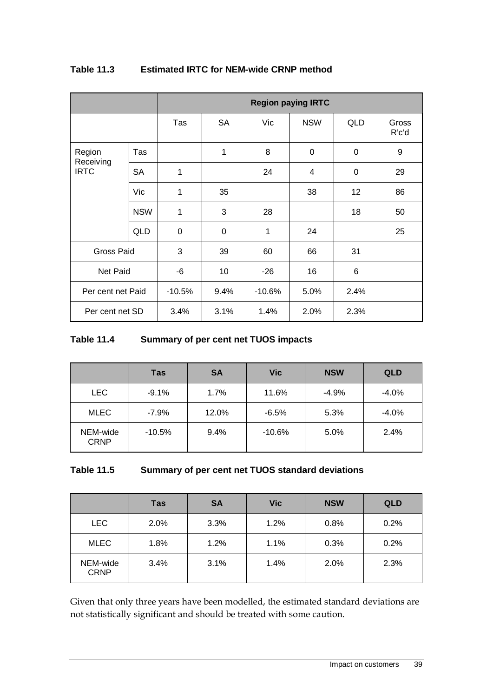|                     |            |          |             |          | <b>Region paying IRTC</b> |                |                |
|---------------------|------------|----------|-------------|----------|---------------------------|----------------|----------------|
|                     |            | Tas      | <b>SA</b>   | Vic      | <b>NSW</b>                | <b>QLD</b>     | Gross<br>R'c'd |
| Region<br>Receiving | Tas        |          | 1           | 8        | 0                         | 0              | 9              |
| <b>IRTC</b>         | <b>SA</b>  | 1        |             | 24       | 4                         | 0              | 29             |
|                     | Vic        | 1        | 35          |          | 38                        | 12             | 86             |
|                     | <b>NSW</b> | 1        | 3           | 28       |                           | 18             | 50             |
|                     | QLD        | 0        | $\mathbf 0$ | 1        | 24                        |                | 25             |
| <b>Gross Paid</b>   |            | 3        | 39          | 60       | 66                        | 31             |                |
| Net Paid            |            | -6       | 10          | $-26$    | 16                        | $6\phantom{1}$ |                |
| Per cent net Paid   |            | $-10.5%$ | 9.4%        | $-10.6%$ | 5.0%                      | 2.4%           |                |
| Per cent net SD     |            | 3.4%     | 3.1%        | 1.4%     | 2.0%                      | 2.3%           |                |

## **Table 11.3 Estimated IRTC for NEM-wide CRNP method**

| Table 11.4 | <b>Summary of per cent net TUOS impacts</b> |
|------------|---------------------------------------------|
|------------|---------------------------------------------|

|                         | Tas      | <b>SA</b> | <b>Vic</b> | <b>NSW</b> | QLD     |
|-------------------------|----------|-----------|------------|------------|---------|
| <b>LEC</b>              | $-9.1%$  | 1.7%      | 11.6%      | $-4.9%$    | $-4.0%$ |
| <b>MLEC</b>             | $-7.9%$  | 12.0%     | $-6.5%$    | 5.3%       | $-4.0%$ |
| NEM-wide<br><b>CRNP</b> | $-10.5%$ | 9.4%      | $-10.6%$   | 5.0%       | 2.4%    |

## **Table 11.5 Summary of per cent net TUOS standard deviations**

|                         | <b>Tas</b> | <b>SA</b> | <b>Vic</b> | <b>NSW</b> | <b>QLD</b> |
|-------------------------|------------|-----------|------------|------------|------------|
| <b>LEC</b>              | 2.0%       | 3.3%      | 1.2%       | 0.8%       | 0.2%       |
| <b>MLEC</b>             | 1.8%       | 1.2%      | 1.1%       | 0.3%       | 0.2%       |
| NEM-wide<br><b>CRNP</b> | 3.4%       | 3.1%      | 1.4%       | 2.0%       | 2.3%       |

Given that only three years have been modelled, the estimated standard deviations are not statistically significant and should be treated with some caution.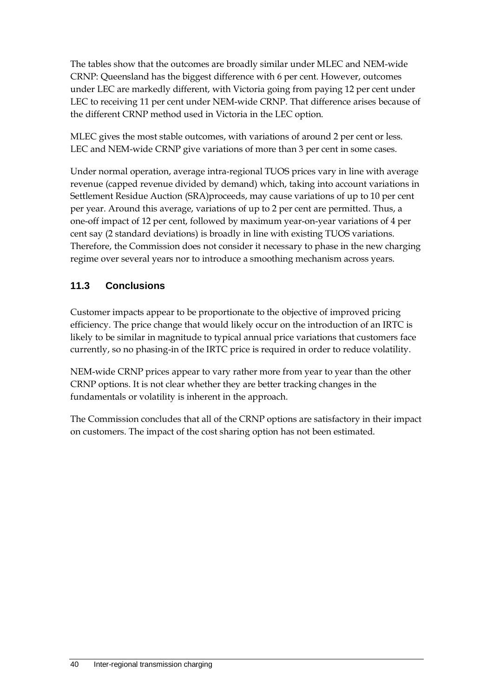The tables show that the outcomes are broadly similar under MLEC and NEM-wide CRNP: Queensland has the biggest difference with 6 per cent. However, outcomes under LEC are markedly different, with Victoria going from paying 12 per cent under LEC to receiving 11 per cent under NEM-wide CRNP. That difference arises because of the different CRNP method used in Victoria in the LEC option.

MLEC gives the most stable outcomes, with variations of around 2 per cent or less. LEC and NEM-wide CRNP give variations of more than 3 per cent in some cases.

Under normal operation, average intra-regional TUOS prices vary in line with average revenue (capped revenue divided by demand) which, taking into account variations in Settlement Residue Auction (SRA)proceeds, may cause variations of up to 10 per cent per year. Around this average, variations of up to 2 per cent are permitted. Thus, a one-off impact of 12 per cent, followed by maximum year-on-year variations of 4 per cent say (2 standard deviations) is broadly in line with existing TUOS variations. Therefore, the Commission does not consider it necessary to phase in the new charging regime over several years nor to introduce a smoothing mechanism across years.

## **11.3 Conclusions**

Customer impacts appear to be proportionate to the objective of improved pricing efficiency. The price change that would likely occur on the introduction of an IRTC is likely to be similar in magnitude to typical annual price variations that customers face currently, so no phasing-in of the IRTC price is required in order to reduce volatility.

NEM-wide CRNP prices appear to vary rather more from year to year than the other CRNP options. It is not clear whether they are better tracking changes in the fundamentals or volatility is inherent in the approach.

The Commission concludes that all of the CRNP options are satisfactory in their impact on customers. The impact of the cost sharing option has not been estimated.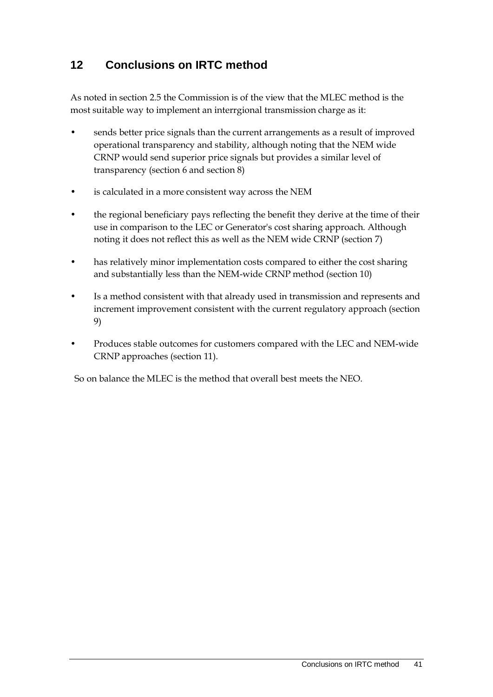# **12 Conclusions on IRTC method**

As noted in section [2.5](#page-15-0) the Commission is of the view that the MLEC method is the most suitable way to implement an interrgional transmission charge as it:

- sends better price signals than the current arrangements as a result of improved operational transparency and stability, although noting that the NEM wide CRNP would send superior price signals but provides a similar level of transparency (section [6](#page-28-0) and section [8\)](#page-34-0)
- is calculated in a more consistent way across the NEM
- the regional beneficiary pays reflecting the benefit they derive at the time of their use in comparison to the LEC or Generator's cost sharing approach. Although noting it does not reflect this as well as the NEM wide CRNP (section [7\)](#page-31-0)
- has relatively minor implementation costs compared to either the cost sharing and substantially less than the NEM-wide CRNP method (section [10\)](#page-40-5)
- Is a method consistent with that already used in transmission and represents and increment improvement consistent with the current regulatory approach (section [9\)](#page-38-1)
- Produces stable outcomes for customers compared with the LEC and NEM-wide CRNP approaches (section [11\)](#page-44-0).

So on balance the MLEC is the method that overall best meets the NEO.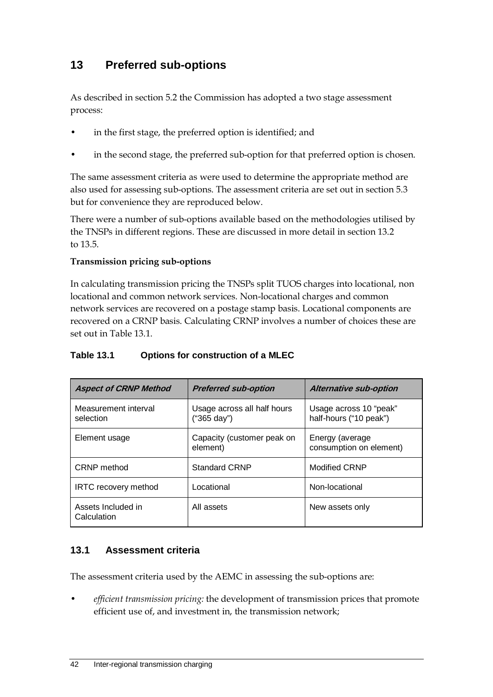# <span id="page-49-0"></span>**13 Preferred sub-options**

As described in section 5.2 the Commission has adopted a two stage assessment process:

- in the first stage, the preferred option is identified; and
- in the second stage, the preferred sub-option for that preferred option is chosen.

The same assessment criteria as were used to determine the appropriate method are also used for assessing sub-options. The assessment criteria are set out in section 5.3 but for convenience they are reproduced below.

There were a number of sub-options available based on the methodologies utilised by the TNSPs in different regions. These are discussed in more detail in section [13.2](#page-50-0) to [13.5.](#page-52-0)

#### **Transmission pricing sub-options**

In calculating transmission pricing the TNSPs split TUOS charges into locational, non locational and common network services. Non-locational charges and common network services are recovered on a postage stamp basis. Locational components are recovered on a CRNP basis. Calculating CRNP involves a number of choices these are set out in Table 13.1.

| <b>Table 13.1</b> | <b>Options for construction of a MLEC</b> |
|-------------------|-------------------------------------------|
|                   |                                           |

| <b>Aspect of CRNP Method</b>      | <b>Preferred sub-option</b>                | <b>Alternative sub-option</b>                    |
|-----------------------------------|--------------------------------------------|--------------------------------------------------|
| Measurement interval<br>selection | Usage across all half hours<br>("365 day") | Usage across 10 "peak"<br>half-hours ("10 peak") |
| Element usage                     | Capacity (customer peak on<br>element)     | Energy (average<br>consumption on element)       |
| CRNP method                       | <b>Standard CRNP</b>                       | <b>Modified CRNP</b>                             |
| <b>IRTC</b> recovery method       | Locational                                 | Non-locational                                   |
| Assets Included in<br>Calculation | All assets                                 | New assets only                                  |

### **13.1 Assessment criteria**

The assessment criteria used by the AEMC in assessing the sub-options are:

• *efficient transmission pricing:* the development of transmission prices that promote efficient use of, and investment in, the transmission network;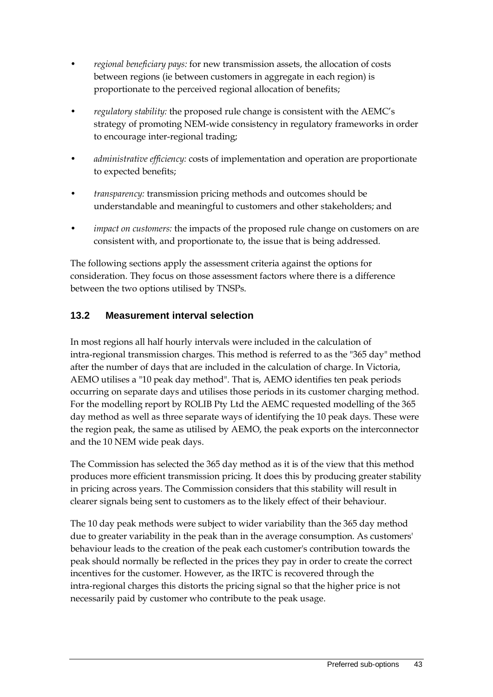- *regional beneficiary pays:* for new transmission assets, the allocation of costs between regions (ie between customers in aggregate in each region) is proportionate to the perceived regional allocation of benefits;
- *regulatory stability:* the proposed rule change is consistent with the AEMC's strategy of promoting NEM-wide consistency in regulatory frameworks in order to encourage inter-regional trading;
- *administrative efficiency:* costs of implementation and operation are proportionate to expected benefits;
- *transparency:* transmission pricing methods and outcomes should be understandable and meaningful to customers and other stakeholders; and
- *impact on customers:* the impacts of the proposed rule change on customers on are consistent with, and proportionate to, the issue that is being addressed.

The following sections apply the assessment criteria against the options for consideration. They focus on those assessment factors where there is a difference between the two options utilised by TNSPs.

## <span id="page-50-0"></span>**13.2 Measurement interval selection**

In most regions all half hourly intervals were included in the calculation of intra-regional transmission charges. This method is referred to as the "365 day" method after the number of days that are included in the calculation of charge. In Victoria, AEMO utilises a "10 peak day method". That is, AEMO identifies ten peak periods occurring on separate days and utilises those periods in its customer charging method. For the modelling report by ROLIB Pty Ltd the AEMC requested modelling of the 365 day method as well as three separate ways of identifying the 10 peak days. These were the region peak, the same as utilised by AEMO, the peak exports on the interconnector and the 10 NEM wide peak days.

The Commission has selected the 365 day method as it is of the view that this method produces more efficient transmission pricing. It does this by producing greater stability in pricing across years. The Commission considers that this stability will result in clearer signals being sent to customers as to the likely effect of their behaviour.

The 10 day peak methods were subject to wider variability than the 365 day method due to greater variability in the peak than in the average consumption. As customers' behaviour leads to the creation of the peak each customer's contribution towards the peak should normally be reflected in the prices they pay in order to create the correct incentives for the customer. However, as the IRTC is recovered through the intra-regional charges this distorts the pricing signal so that the higher price is not necessarily paid by customer who contribute to the peak usage.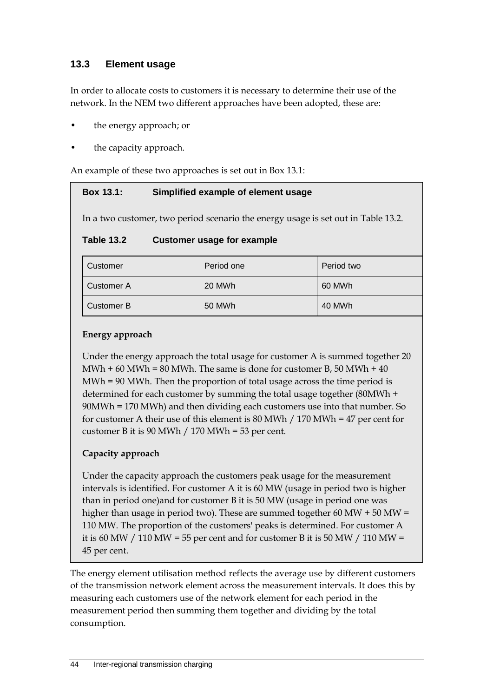## **13.3 Element usage**

In order to allocate costs to customers it is necessary to determine their use of the network. In the NEM two different approaches have been adopted, these are:

- the energy approach; or
- the capacity approach.

An example of these two approaches is set out in Box 13.1:

#### **Box 13.1: Simplified example of element usage**

In a two customer, two period scenario the energy usage is set out in Table 13.2.

**Table 13.2 Customer usage for example**

| Customer   | Period one | Period two |
|------------|------------|------------|
| Customer A | 20 MWh     | 60 MWh     |
| Customer B | 50 MWh     | 40 MWh     |

#### **Energy approach**

Under the energy approach the total usage for customer A is summed together 20 MWh +  $60$  MWh =  $80$  MWh. The same is done for customer B,  $50$  MWh +  $40$ MWh = 90 MWh. Then the proportion of total usage across the time period is determined for each customer by summing the total usage together (80MWh + 90MWh = 170 MWh) and then dividing each customers use into that number. So for customer A their use of this element is 80 MWh  $/ 170$  MWh = 47 per cent for customer B it is 90 MWh / 170 MWh = 53 per cent.

### **Capacity approach**

Under the capacity approach the customers peak usage for the measurement intervals is identified. For customer A it is 60 MW (usage in period two is higher than in period one)and for customer B it is 50 MW (usage in period one was higher than usage in period two). These are summed together 60 MW + 50 MW = 110 MW. The proportion of the customers' peaks is determined. For customer A it is 60 MW  $/$  110 MW = 55 per cent and for customer B it is 50 MW  $/$  110 MW = 45 per cent.

The energy element utilisation method reflects the average use by different customers of the transmission network element across the measurement intervals. It does this by measuring each customers use of the network element for each period in the measurement period then summing them together and dividing by the total consumption.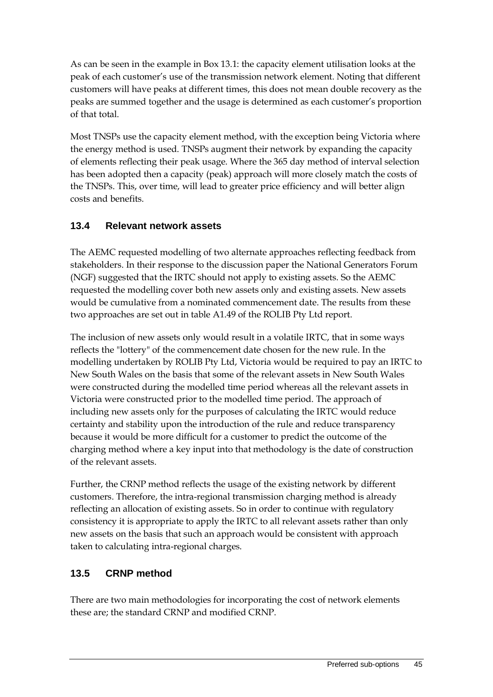As can be seen in the example in Box 13.1: the capacity element utilisation looks at the peak of each customer's use of the transmission network element. Noting that different customers will have peaks at different times, this does not mean double recovery as the peaks are summed together and the usage is determined as each customer's proportion of that total.

Most TNSPs use the capacity element method, with the exception being Victoria where the energy method is used. TNSPs augment their network by expanding the capacity of elements reflecting their peak usage. Where the 365 day method of interval selection has been adopted then a capacity (peak) approach will more closely match the costs of the TNSPs. This, over time, will lead to greater price efficiency and will better align costs and benefits.

## **13.4 Relevant network assets**

The AEMC requested modelling of two alternate approaches reflecting feedback from stakeholders. In their response to the discussion paper the National Generators Forum (NGF) suggested that the IRTC should not apply to existing assets. So the AEMC requested the modelling cover both new assets only and existing assets. New assets would be cumulative from a nominated commencement date. The results from these two approaches are set out in table A1.49 of the ROLIB Pty Ltd report.

The inclusion of new assets only would result in a volatile IRTC, that in some ways reflects the "lottery" of the commencement date chosen for the new rule. In the modelling undertaken by ROLIB Pty Ltd, Victoria would be required to pay an IRTC to New South Wales on the basis that some of the relevant assets in New South Wales were constructed during the modelled time period whereas all the relevant assets in Victoria were constructed prior to the modelled time period. The approach of including new assets only for the purposes of calculating the IRTC would reduce certainty and stability upon the introduction of the rule and reduce transparency because it would be more difficult for a customer to predict the outcome of the charging method where a key input into that methodology is the date of construction of the relevant assets.

Further, the CRNP method reflects the usage of the existing network by different customers. Therefore, the intra-regional transmission charging method is already reflecting an allocation of existing assets. So in order to continue with regulatory consistency it is appropriate to apply the IRTC to all relevant assets rather than only new assets on the basis that such an approach would be consistent with approach taken to calculating intra-regional charges.

## <span id="page-52-0"></span>**13.5 CRNP method**

There are two main methodologies for incorporating the cost of network elements these are; the standard CRNP and modified CRNP.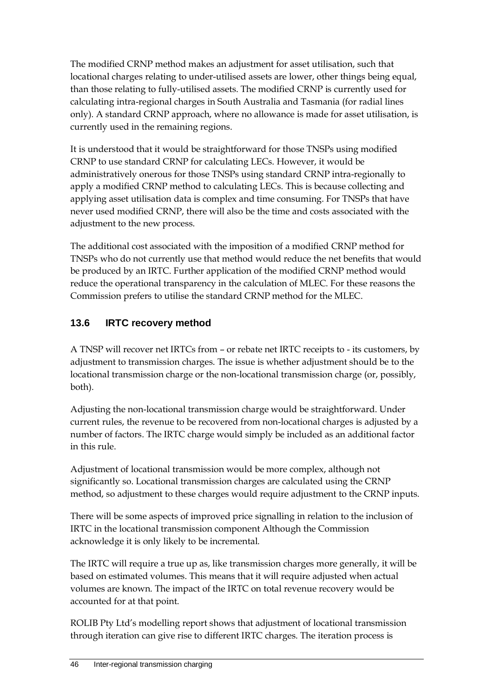The modified CRNP method makes an adjustment for asset utilisation, such that locational charges relating to under-utilised assets are lower, other things being equal, than those relating to fully-utilised assets. The modified CRNP is currently used for calculating intra-regional charges in South Australia and Tasmania (for radial lines only). A standard CRNP approach, where no allowance is made for asset utilisation, is currently used in the remaining regions.

It is understood that it would be straightforward for those TNSPs using modified CRNP to use standard CRNP for calculating LECs. However, it would be administratively onerous for those TNSPs using standard CRNP intra-regionally to apply a modified CRNP method to calculating LECs. This is because collecting and applying asset utilisation data is complex and time consuming. For TNSPs that have never used modified CRNP, there will also be the time and costs associated with the adjustment to the new process.

The additional cost associated with the imposition of a modified CRNP method for TNSPs who do not currently use that method would reduce the net benefits that would be produced by an IRTC. Further application of the modified CRNP method would reduce the operational transparency in the calculation of MLEC. For these reasons the Commission prefers to utilise the standard CRNP method for the MLEC.

# **13.6 IRTC recovery method**

A TNSP will recover net IRTCs from – or rebate net IRTC receipts to - its customers, by adjustment to transmission charges. The issue is whether adjustment should be to the locational transmission charge or the non-locational transmission charge (or, possibly, both).

Adjusting the non-locational transmission charge would be straightforward. Under current rules, the revenue to be recovered from non-locational charges is adjusted by a number of factors. The IRTC charge would simply be included as an additional factor in this rule.

Adjustment of locational transmission would be more complex, although not significantly so. Locational transmission charges are calculated using the CRNP method, so adjustment to these charges would require adjustment to the CRNP inputs.

There will be some aspects of improved price signalling in relation to the inclusion of IRTC in the locational transmission component Although the Commission acknowledge it is only likely to be incremental.

The IRTC will require a true up as, like transmission charges more generally, it will be based on estimated volumes. This means that it will require adjusted when actual volumes are known. The impact of the IRTC on total revenue recovery would be accounted for at that point.

ROLIB Pty Ltd's modelling report shows that adjustment of locational transmission through iteration can give rise to different IRTC charges. The iteration process is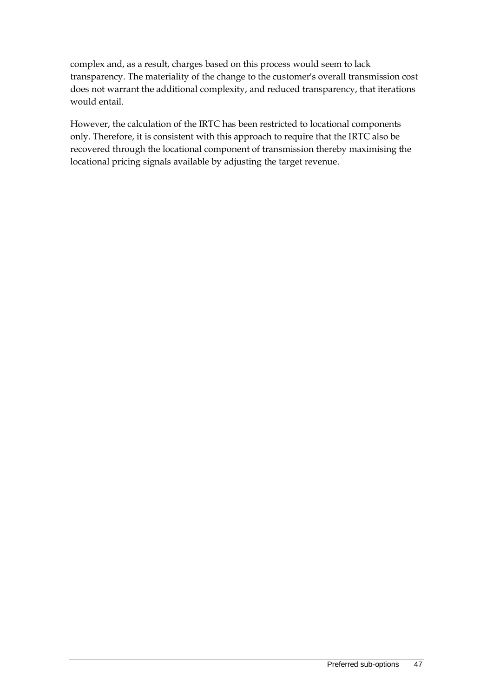complex and, as a result, charges based on this process would seem to lack transparency. The materiality of the change to the customer's overall transmission cost does not warrant the additional complexity, and reduced transparency, that iterations would entail.

However, the calculation of the IRTC has been restricted to locational components only. Therefore, it is consistent with this approach to require that the IRTC also be recovered through the locational component of transmission thereby maximising the locational pricing signals available by adjusting the target revenue.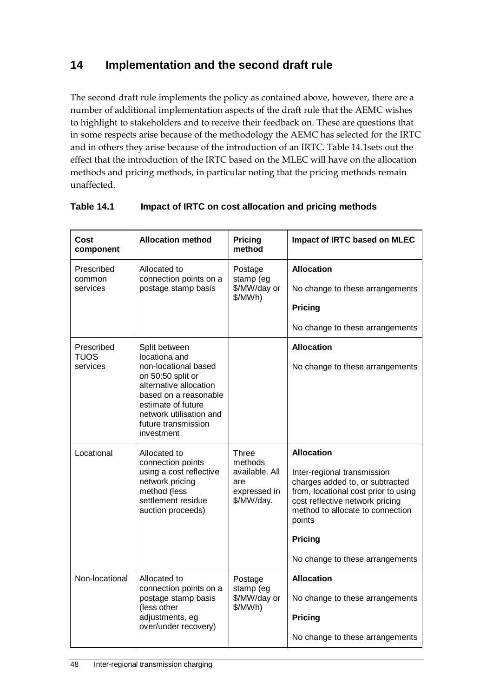# **14 Implementation and the second draft rule**

The second draft rule implements the policy as contained above, however, there are a number of additional implementation aspects of the draft rule that the AEMC wishes to highlight to stakeholders and to receive their feedback on. These are questions that in some respects arise because of the methodology the AEMC has selected for the IRTC and in others they arise because of the introduction of an IRTC. Table 14.1sets out the effect that the introduction of the IRTC based on the MLEC will have on the allocation methods and pricing methods, in particular noting that the pricing methods remain unaffected.

| Cost<br>component                                                         | <b>Allocation method</b>                                                                                                                                                                                                                                                | <b>Pricing</b><br>method                                                | Impact of IRTC based on MLEC                                                                                                                                                                                                                                      |
|---------------------------------------------------------------------------|-------------------------------------------------------------------------------------------------------------------------------------------------------------------------------------------------------------------------------------------------------------------------|-------------------------------------------------------------------------|-------------------------------------------------------------------------------------------------------------------------------------------------------------------------------------------------------------------------------------------------------------------|
| Prescribed<br>common<br>services<br>Prescribed<br><b>TUOS</b><br>services | Allocated to<br>connection points on a<br>postage stamp basis<br>Split between<br>locationa and<br>non-locational based<br>on 50:50 split or<br>alternative allocation<br>based on a reasonable<br>estimate of future<br>network utilisation and<br>future transmission | Postage<br>stamp (eg<br>\$/MW/day or<br>\$/MWh)                         | <b>Allocation</b><br>No change to these arrangements<br>Pricing<br>No change to these arrangements<br><b>Allocation</b><br>No change to these arrangements                                                                                                        |
| Locational                                                                | investment<br>Allocated to<br>connection points<br>using a cost reflective<br>network pricing<br>method (less<br>settlement residue<br>auction proceeds)                                                                                                                | Three<br>methods<br>available. All<br>are<br>expressed in<br>\$/MW/day. | <b>Allocation</b><br>Inter-regional transmission<br>charges added to, or subtracted<br>from, locational cost prior to using<br>cost reflective network pricing<br>method to allocate to connection<br>points<br><b>Pricing</b><br>No change to these arrangements |
| Non-locational                                                            | Allocated to<br>connection points on a<br>postage stamp basis<br>(less other<br>adjustments, eg<br>over/under recovery)                                                                                                                                                 | Postage<br>stamp (eg<br>\$/MW/day or<br>\$/MWh)                         | <b>Allocation</b><br>No change to these arrangements<br><b>Pricing</b><br>No change to these arrangements                                                                                                                                                         |

### **Table 14.1 Impact of IRTC on cost allocation and pricing methods**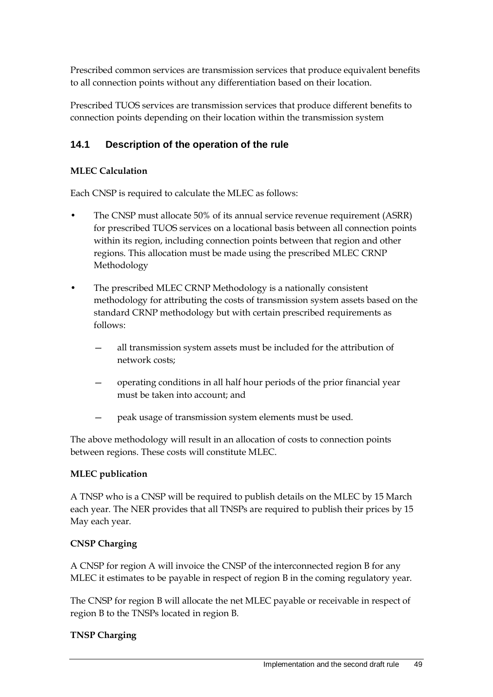Prescribed common services are transmission services that produce equivalent benefits to all connection points without any differentiation based on their location.

Prescribed TUOS services are transmission services that produce different benefits to connection points depending on their location within the transmission system

## <span id="page-56-0"></span>**14.1 Description of the operation of the rule**

## **MLEC Calculation**

Each CNSP is required to calculate the MLEC as follows:

- The CNSP must allocate 50% of its annual service revenue requirement (ASRR) for prescribed TUOS services on a locational basis between all connection points within its region, including connection points between that region and other regions. This allocation must be made using the prescribed MLEC CRNP Methodology
- The prescribed MLEC CRNP Methodology is a nationally consistent methodology for attributing the costs of transmission system assets based on the standard CRNP methodology but with certain prescribed requirements as follows:
	- all transmission system assets must be included for the attribution of network costs;
	- operating conditions in all half hour periods of the prior financial year must be taken into account; and
	- peak usage of transmission system elements must be used.

The above methodology will result in an allocation of costs to connection points between regions. These costs will constitute MLEC.

### **MLEC publication**

A TNSP who is a CNSP will be required to publish details on the MLEC by 15 March each year. The NER provides that all TNSPs are required to publish their prices by 15 May each year.

### **CNSP Charging**

A CNSP for region A will invoice the CNSP of the interconnected region B for any MLEC it estimates to be payable in respect of region B in the coming regulatory year.

The CNSP for region B will allocate the net MLEC payable or receivable in respect of region B to the TNSPs located in region B.

#### **TNSP Charging**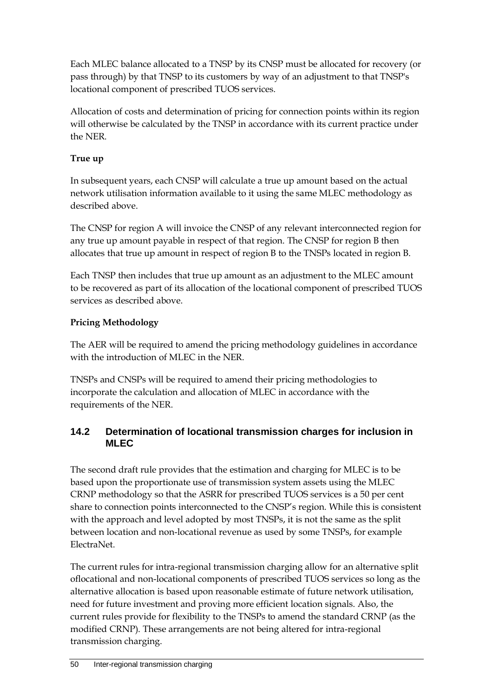Each MLEC balance allocated to a TNSP by its CNSP must be allocated for recovery (or pass through) by that TNSP to its customers by way of an adjustment to that TNSP's locational component of prescribed TUOS services.

Allocation of costs and determination of pricing for connection points within its region will otherwise be calculated by the TNSP in accordance with its current practice under the NER.

## **True up**

In subsequent years, each CNSP will calculate a true up amount based on the actual network utilisation information available to it using the same MLEC methodology as described above.

The CNSP for region A will invoice the CNSP of any relevant interconnected region for any true up amount payable in respect of that region. The CNSP for region B then allocates that true up amount in respect of region B to the TNSPs located in region B.

Each TNSP then includes that true up amount as an adjustment to the MLEC amount to be recovered as part of its allocation of the locational component of prescribed TUOS services as described above.

# **Pricing Methodology**

The AER will be required to amend the pricing methodology guidelines in accordance with the introduction of MLEC in the NER.

TNSPs and CNSPs will be required to amend their pricing methodologies to incorporate the calculation and allocation of MLEC in accordance with the requirements of the NER.

## **14.2 Determination of locational transmission charges for inclusion in MLEC**

The second draft rule provides that the estimation and charging for MLEC is to be based upon the proportionate use of transmission system assets using the MLEC CRNP methodology so that the ASRR for prescribed TUOS services is a 50 per cent share to connection points interconnected to the CNSP's region. While this is consistent with the approach and level adopted by most TNSPs, it is not the same as the split between location and non-locational revenue as used by some TNSPs, for example ElectraNet.

The current rules for intra-regional transmission charging allow for an alternative split oflocational and non-locational components of prescribed TUOS services so long as the alternative allocation is based upon reasonable estimate of future network utilisation, need for future investment and proving more efficient location signals. Also, the current rules provide for flexibility to the TNSPs to amend the standard CRNP (as the modified CRNP). These arrangements are not being altered for intra-regional transmission charging.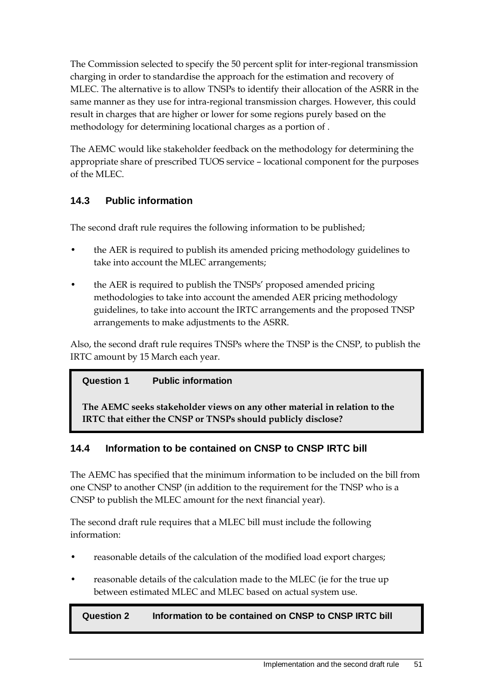The Commission selected to specify the 50 percent split for inter-regional transmission charging in order to standardise the approach for the estimation and recovery of MLEC. The alternative is to allow TNSPs to identify their allocation of the ASRR in the same manner as they use for intra-regional transmission charges. However, this could result in charges that are higher or lower for some regions purely based on the methodology for determining locational charges as a portion of .

The AEMC would like stakeholder feedback on the methodology for determining the appropriate share of prescribed TUOS service – locational component for the purposes of the MLEC.

## **14.3 Public information**

The second draft rule requires the following information to be published;

- the AER is required to publish its amended pricing methodology guidelines to take into account the MLEC arrangements;
- the AER is required to publish the TNSPs' proposed amended pricing methodologies to take into account the amended AER pricing methodology guidelines, to take into account the IRTC arrangements and the proposed TNSP arrangements to make adjustments to the ASRR.

Also, the second draft rule requires TNSPs where the TNSP is the CNSP, to publish the IRTC amount by 15 March each year.

### **Question 1 Public information**

**The AEMC seeks stakeholder views on any other material in relation to the IRTC that either the CNSP or TNSPs should publicly disclose?**

### **14.4 Information to be contained on CNSP to CNSP IRTC bill**

The AEMC has specified that the minimum information to be included on the bill from one CNSP to another CNSP (in addition to the requirement for the TNSP who is a CNSP to publish the MLEC amount for the next financial year).

The second draft rule requires that a MLEC bill must include the following information:

- reasonable details of the calculation of the modified load export charges;
- reasonable details of the calculation made to the MLEC (ie for the true up between estimated MLEC and MLEC based on actual system use.

#### **Question 2 Information to be contained on CNSP to CNSP IRTC bill**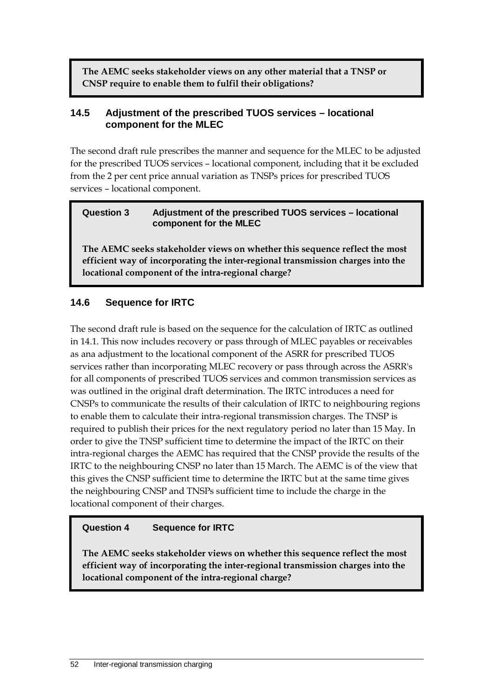**The AEMC seeks stakeholder views on any other material that a TNSP or CNSP require to enable them to fulfil their obligations?**

#### **14.5 Adjustment of the prescribed TUOS services – locational component for the MLEC**

The second draft rule prescribes the manner and sequence for the MLEC to be adjusted for the prescribed TUOS services – locational component, including that it be excluded from the 2 per cent price annual variation as TNSPs prices for prescribed TUOS services – locational component.

#### **Question 3 Adjustment of the prescribed TUOS services – locational component for the MLEC**

**The AEMC seeks stakeholder views on whether this sequence reflect the most efficient way of incorporating the inter-regional transmission charges into the locational component of the intra-regional charge?**

## **14.6 Sequence for IRTC**

The second draft rule is based on the sequence for the calculation of IRTC as outlined in [14.1.](#page-56-0) This now includes recovery or pass through of MLEC payables or receivables as ana adjustment to the locational component of the ASRR for prescribed TUOS services rather than incorporating MLEC recovery or pass through across the ASRR's for all components of prescribed TUOS services and common transmission services as was outlined in the original draft determination. The IRTC introduces a need for CNSPs to communicate the results of their calculation of IRTC to neighbouring regions to enable them to calculate their intra-regional transmission charges. The TNSP is required to publish their prices for the next regulatory period no later than 15 May. In order to give the TNSP sufficient time to determine the impact of the IRTC on their intra-regional charges the AEMC has required that the CNSP provide the results of the IRTC to the neighbouring CNSP no later than 15 March. The AEMC is of the view that this gives the CNSP sufficient time to determine the IRTC but at the same time gives the neighbouring CNSP and TNSPs sufficient time to include the charge in the locational component of their charges.

### **Question 4 Sequence for IRTC**

**The AEMC seeks stakeholder views on whether this sequence reflect the most efficient way of incorporating the inter-regional transmission charges into the locational component of the intra-regional charge?**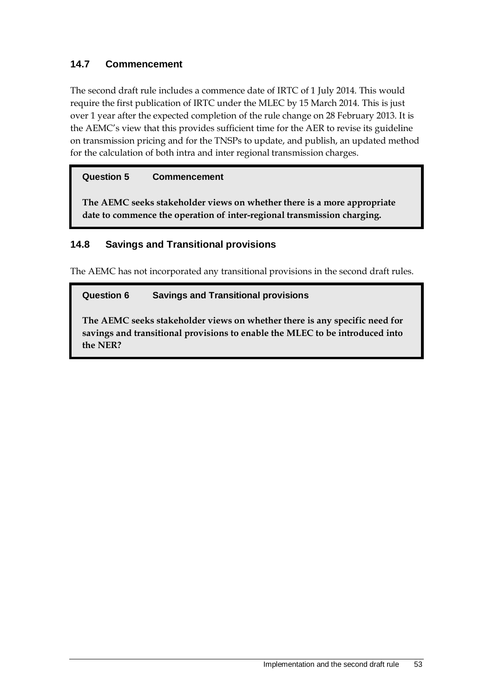## **14.7 Commencement**

The second draft rule includes a commence date of IRTC of 1 July 2014. This would require the first publication of IRTC under the MLEC by 15 March 2014. This is just over 1 year after the expected completion of the rule change on 28 February 2013. It is the AEMC's view that this provides sufficient time for the AER to revise its guideline on transmission pricing and for the TNSPs to update, and publish, an updated method for the calculation of both intra and inter regional transmission charges.

### **Question 5 Commencement**

**The AEMC seeks stakeholder views on whether there is a more appropriate date to commence the operation of inter-regional transmission charging.**

## **14.8 Savings and Transitional provisions**

The AEMC has not incorporated any transitional provisions in the second draft rules.

#### **Question 6 Savings and Transitional provisions**

**The AEMC seeks stakeholder views on whether there is any specific need for savings and transitional provisions to enable the MLEC to be introduced into the NER?**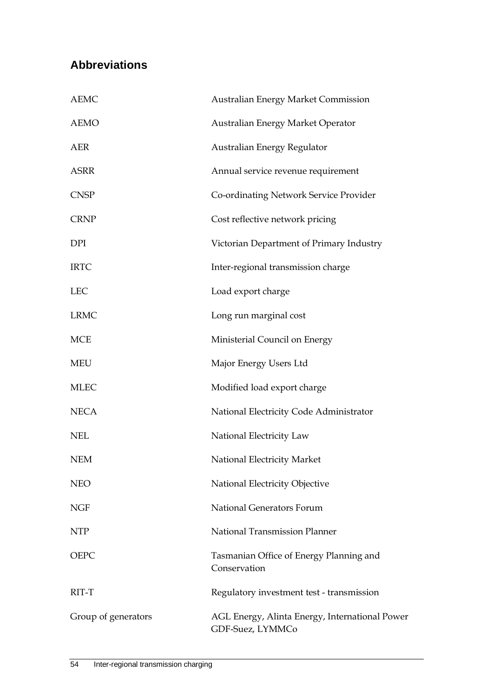# **Abbreviations**

| <b>AEMC</b>         | <b>Australian Energy Market Commission</b>                         |
|---------------------|--------------------------------------------------------------------|
| <b>AEMO</b>         | Australian Energy Market Operator                                  |
| <b>AER</b>          | Australian Energy Regulator                                        |
| <b>ASRR</b>         | Annual service revenue requirement                                 |
| <b>CNSP</b>         | Co-ordinating Network Service Provider                             |
| <b>CRNP</b>         | Cost reflective network pricing                                    |
| <b>DPI</b>          | Victorian Department of Primary Industry                           |
| <b>IRTC</b>         | Inter-regional transmission charge                                 |
| <b>LEC</b>          | Load export charge                                                 |
| <b>LRMC</b>         | Long run marginal cost                                             |
| <b>MCE</b>          | Ministerial Council on Energy                                      |
| MEU                 | Major Energy Users Ltd                                             |
| <b>MLEC</b>         | Modified load export charge                                        |
| <b>NECA</b>         | National Electricity Code Administrator                            |
| <b>NEL</b>          | National Electricity Law                                           |
| <b>NEM</b>          | National Electricity Market                                        |
| <b>NEO</b>          | National Electricity Objective                                     |
| NGF                 | National Generators Forum                                          |
| <b>NTP</b>          | National Transmission Planner                                      |
| <b>OEPC</b>         | Tasmanian Office of Energy Planning and<br>Conservation            |
| RIT-T               | Regulatory investment test - transmission                          |
| Group of generators | AGL Energy, Alinta Energy, International Power<br>GDF-Suez, LYMMCo |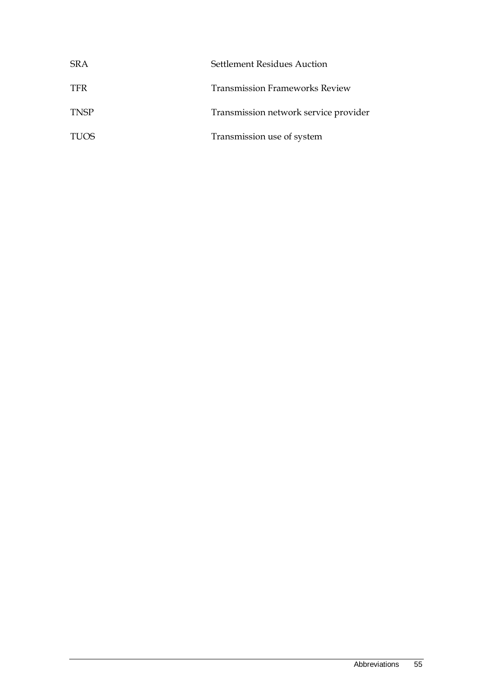| <b>SRA</b>  | <b>Settlement Residues Auction</b>    |
|-------------|---------------------------------------|
| <b>TFR</b>  | <b>Transmission Frameworks Review</b> |
| <b>TNSP</b> | Transmission network service provider |
| <b>TUOS</b> | Transmission use of system            |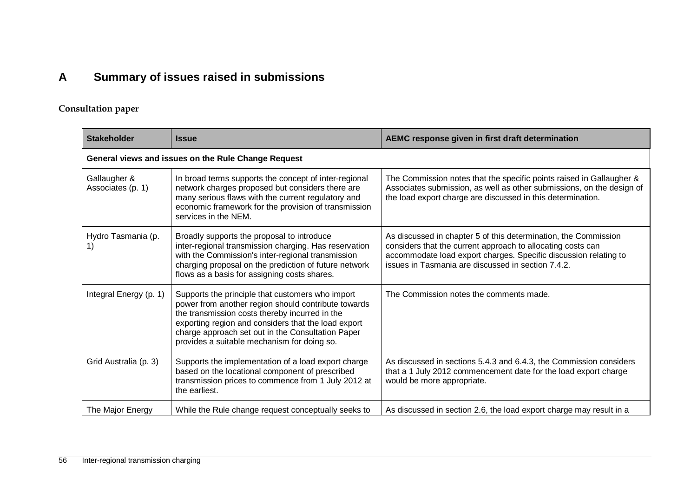# **A Summary of issues raised in submissions**

## **Consultation paper**

| <b>Stakeholder</b>                | <b>Issue</b>                                                                                                                                                                                                                                                                                                         | AEMC response given in first draft determination                                                                                                                                                                                                         |
|-----------------------------------|----------------------------------------------------------------------------------------------------------------------------------------------------------------------------------------------------------------------------------------------------------------------------------------------------------------------|----------------------------------------------------------------------------------------------------------------------------------------------------------------------------------------------------------------------------------------------------------|
|                                   | General views and issues on the Rule Change Request                                                                                                                                                                                                                                                                  |                                                                                                                                                                                                                                                          |
| Gallaugher &<br>Associates (p. 1) | In broad terms supports the concept of inter-regional<br>network charges proposed but considers there are<br>many serious flaws with the current regulatory and<br>economic framework for the provision of transmission<br>services in the NEM.                                                                      | The Commission notes that the specific points raised in Gallaugher &<br>Associates submission, as well as other submissions, on the design of<br>the load export charge are discussed in this determination.                                             |
| Hydro Tasmania (p.                | Broadly supports the proposal to introduce<br>inter-regional transmission charging. Has reservation<br>with the Commission's inter-regional transmission<br>charging proposal on the prediction of future network<br>flows as a basis for assigning costs shares.                                                    | As discussed in chapter 5 of this determination, the Commission<br>considers that the current approach to allocating costs can<br>accommodate load export charges. Specific discussion relating to<br>issues in Tasmania are discussed in section 7.4.2. |
| Integral Energy (p. 1)            | Supports the principle that customers who import<br>power from another region should contribute towards<br>the transmission costs thereby incurred in the<br>exporting region and considers that the load export<br>charge approach set out in the Consultation Paper<br>provides a suitable mechanism for doing so. | The Commission notes the comments made.                                                                                                                                                                                                                  |
| Grid Australia (p. 3)             | Supports the implementation of a load export charge<br>based on the locational component of prescribed<br>transmission prices to commence from 1 July 2012 at<br>the earliest.                                                                                                                                       | As discussed in sections 5.4.3 and 6.4.3, the Commission considers<br>that a 1 July 2012 commencement date for the load export charge<br>would be more appropriate.                                                                                      |
| The Major Energy                  | While the Rule change request conceptually seeks to                                                                                                                                                                                                                                                                  | As discussed in section 2.6, the load export charge may result in a                                                                                                                                                                                      |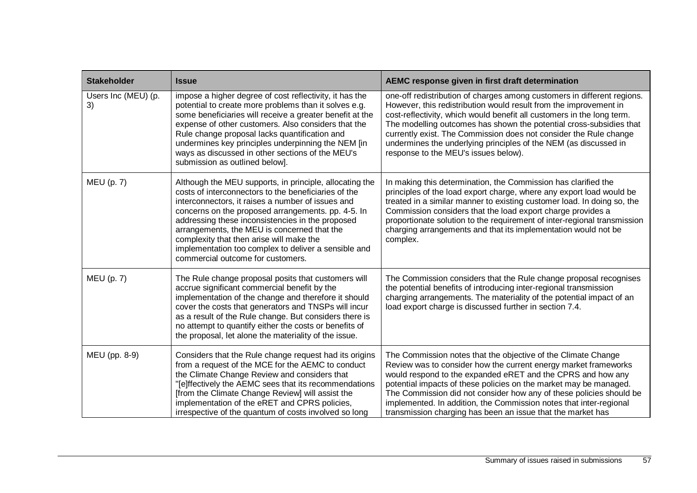| <b>Stakeholder</b>        | <b>Issue</b>                                                                                                                                                                                                                                                                                                                                                                                                                                                           | AEMC response given in first draft determination                                                                                                                                                                                                                                                                                                                                                                                                                                 |
|---------------------------|------------------------------------------------------------------------------------------------------------------------------------------------------------------------------------------------------------------------------------------------------------------------------------------------------------------------------------------------------------------------------------------------------------------------------------------------------------------------|----------------------------------------------------------------------------------------------------------------------------------------------------------------------------------------------------------------------------------------------------------------------------------------------------------------------------------------------------------------------------------------------------------------------------------------------------------------------------------|
| Users Inc (MEU) (p.<br>3) | impose a higher degree of cost reflectivity, it has the<br>potential to create more problems than it solves e.g.<br>some beneficiaries will receive a greater benefit at the<br>expense of other customers. Also considers that the<br>Rule change proposal lacks quantification and<br>undermines key principles underpinning the NEM [in<br>ways as discussed in other sections of the MEU's<br>submission as outlined below].                                       | one-off redistribution of charges among customers in different regions.<br>However, this redistribution would result from the improvement in<br>cost-reflectivity, which would benefit all customers in the long term.<br>The modelling outcomes has shown the potential cross-subsidies that<br>currently exist. The Commission does not consider the Rule change<br>undermines the underlying principles of the NEM (as discussed in<br>response to the MEU's issues below).   |
| $MEU$ (p. 7)              | Although the MEU supports, in principle, allocating the<br>costs of interconnectors to the beneficiaries of the<br>interconnectors, it raises a number of issues and<br>concerns on the proposed arrangements. pp. 4-5. In<br>addressing these inconsistencies in the proposed<br>arrangements, the MEU is concerned that the<br>complexity that then arise will make the<br>implementation too complex to deliver a sensible and<br>commercial outcome for customers. | In making this determination, the Commission has clarified the<br>principles of the load export charge, where any export load would be<br>treated in a similar manner to existing customer load. In doing so, the<br>Commission considers that the load export charge provides a<br>proportionate solution to the requirement of inter-regional transmission<br>charging arrangements and that its implementation would not be<br>complex.                                       |
| $MEU$ (p. 7)              | The Rule change proposal posits that customers will<br>accrue significant commercial benefit by the<br>implementation of the change and therefore it should<br>cover the costs that generators and TNSPs will incur<br>as a result of the Rule change. But considers there is<br>no attempt to quantify either the costs or benefits of<br>the proposal, let alone the materiality of the issue.                                                                       | The Commission considers that the Rule change proposal recognises<br>the potential benefits of introducing inter-regional transmission<br>charging arrangements. The materiality of the potential impact of an<br>load export charge is discussed further in section 7.4.                                                                                                                                                                                                        |
| MEU (pp. 8-9)             | Considers that the Rule change request had its origins<br>from a request of the MCE for the AEMC to conduct<br>the Climate Change Review and considers that<br>"[e]ffectively the AEMC sees that its recommendations<br>[from the Climate Change Review] will assist the<br>implementation of the eRET and CPRS policies,<br>irrespective of the quantum of costs involved so long                                                                                     | The Commission notes that the objective of the Climate Change<br>Review was to consider how the current energy market frameworks<br>would respond to the expanded eRET and the CPRS and how any<br>potential impacts of these policies on the market may be managed.<br>The Commission did not consider how any of these policies should be<br>implemented. In addition, the Commission notes that inter-regional<br>transmission charging has been an issue that the market has |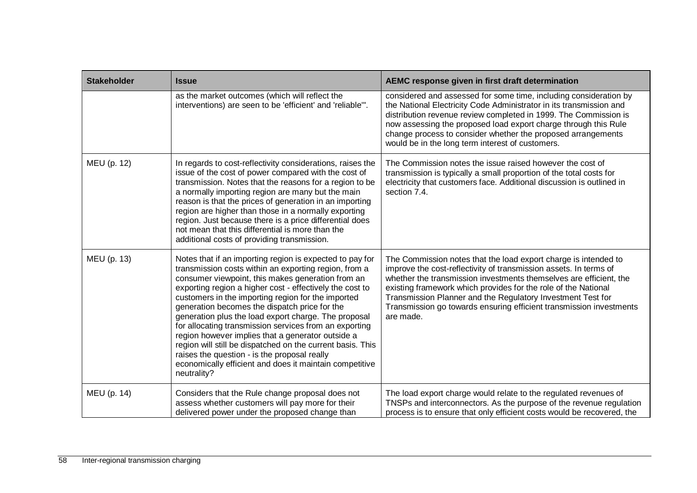| <b>Stakeholder</b> | <b>Issue</b>                                                                                                                                                                                                                                                                                                                                                                                                                                                                                                                                                                                                                                                                                             | AEMC response given in first draft determination                                                                                                                                                                                                                                                                                                                                                                                |
|--------------------|----------------------------------------------------------------------------------------------------------------------------------------------------------------------------------------------------------------------------------------------------------------------------------------------------------------------------------------------------------------------------------------------------------------------------------------------------------------------------------------------------------------------------------------------------------------------------------------------------------------------------------------------------------------------------------------------------------|---------------------------------------------------------------------------------------------------------------------------------------------------------------------------------------------------------------------------------------------------------------------------------------------------------------------------------------------------------------------------------------------------------------------------------|
|                    | as the market outcomes (which will reflect the<br>interventions) are seen to be 'efficient' and 'reliable'".                                                                                                                                                                                                                                                                                                                                                                                                                                                                                                                                                                                             | considered and assessed for some time, including consideration by<br>the National Electricity Code Administrator in its transmission and<br>distribution revenue review completed in 1999. The Commission is<br>now assessing the proposed load export charge through this Rule<br>change process to consider whether the proposed arrangements<br>would be in the long term interest of customers.                             |
| MEU (p. 12)        | In regards to cost-reflectivity considerations, raises the<br>issue of the cost of power compared with the cost of<br>transmission. Notes that the reasons for a region to be<br>a normally importing region are many but the main<br>reason is that the prices of generation in an importing<br>region are higher than those in a normally exporting<br>region. Just because there is a price differential does<br>not mean that this differential is more than the<br>additional costs of providing transmission.                                                                                                                                                                                      | The Commission notes the issue raised however the cost of<br>transmission is typically a small proportion of the total costs for<br>electricity that customers face. Additional discussion is outlined in<br>section 7.4.                                                                                                                                                                                                       |
| MEU (p. 13)        | Notes that if an importing region is expected to pay for<br>transmission costs within an exporting region, from a<br>consumer viewpoint, this makes generation from an<br>exporting region a higher cost - effectively the cost to<br>customers in the importing region for the imported<br>generation becomes the dispatch price for the<br>generation plus the load export charge. The proposal<br>for allocating transmission services from an exporting<br>region however implies that a generator outside a<br>region will still be dispatched on the current basis. This<br>raises the question - is the proposal really<br>economically efficient and does it maintain competitive<br>neutrality? | The Commission notes that the load export charge is intended to<br>improve the cost-reflectivity of transmission assets. In terms of<br>whether the transmission investments themselves are efficient, the<br>existing framework which provides for the role of the National<br>Transmission Planner and the Regulatory Investment Test for<br>Transmission go towards ensuring efficient transmission investments<br>are made. |
| MEU (p. 14)        | Considers that the Rule change proposal does not<br>assess whether customers will pay more for their<br>delivered power under the proposed change than                                                                                                                                                                                                                                                                                                                                                                                                                                                                                                                                                   | The load export charge would relate to the regulated revenues of<br>TNSPs and interconnectors. As the purpose of the revenue regulation<br>process is to ensure that only efficient costs would be recovered, the                                                                                                                                                                                                               |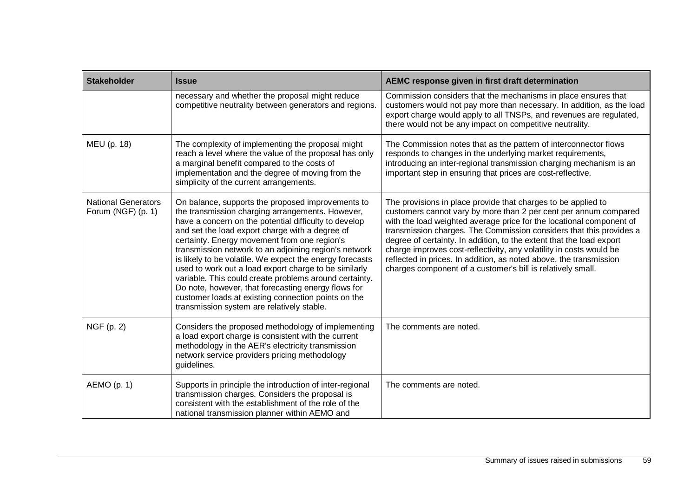| <b>Stakeholder</b>                               | <b>Issue</b>                                                                                                                                                                                                                                                                                                                                                                                                                                                                                                                                                                                                                                                          | AEMC response given in first draft determination                                                                                                                                                                                                                                                                                                                                                                                                                                                                                                                     |
|--------------------------------------------------|-----------------------------------------------------------------------------------------------------------------------------------------------------------------------------------------------------------------------------------------------------------------------------------------------------------------------------------------------------------------------------------------------------------------------------------------------------------------------------------------------------------------------------------------------------------------------------------------------------------------------------------------------------------------------|----------------------------------------------------------------------------------------------------------------------------------------------------------------------------------------------------------------------------------------------------------------------------------------------------------------------------------------------------------------------------------------------------------------------------------------------------------------------------------------------------------------------------------------------------------------------|
|                                                  | necessary and whether the proposal might reduce<br>competitive neutrality between generators and regions.                                                                                                                                                                                                                                                                                                                                                                                                                                                                                                                                                             | Commission considers that the mechanisms in place ensures that<br>customers would not pay more than necessary. In addition, as the load<br>export charge would apply to all TNSPs, and revenues are regulated,<br>there would not be any impact on competitive neutrality.                                                                                                                                                                                                                                                                                           |
| MEU (p. 18)                                      | The complexity of implementing the proposal might<br>reach a level where the value of the proposal has only<br>a marginal benefit compared to the costs of<br>implementation and the degree of moving from the<br>simplicity of the current arrangements.                                                                                                                                                                                                                                                                                                                                                                                                             | The Commission notes that as the pattern of interconnector flows<br>responds to changes in the underlying market requirements,<br>introducing an inter-regional transmission charging mechanism is an<br>important step in ensuring that prices are cost-reflective.                                                                                                                                                                                                                                                                                                 |
| <b>National Generators</b><br>Forum (NGF) (p. 1) | On balance, supports the proposed improvements to<br>the transmission charging arrangements. However,<br>have a concern on the potential difficulty to develop<br>and set the load export charge with a degree of<br>certainty. Energy movement from one region's<br>transmission network to an adjoining region's network<br>is likely to be volatile. We expect the energy forecasts<br>used to work out a load export charge to be similarly<br>variable. This could create problems around certainty.<br>Do note, however, that forecasting energy flows for<br>customer loads at existing connection points on the<br>transmission system are relatively stable. | The provisions in place provide that charges to be applied to<br>customers cannot vary by more than 2 per cent per annum compared<br>with the load weighted average price for the locational component of<br>transmission charges. The Commission considers that this provides a<br>degree of certainty. In addition, to the extent that the load export<br>charge improves cost-reflectivity, any volatility in costs would be<br>reflected in prices. In addition, as noted above, the transmission<br>charges component of a customer's bill is relatively small. |
| NGF (p. 2)                                       | Considers the proposed methodology of implementing<br>a load export charge is consistent with the current<br>methodology in the AER's electricity transmission<br>network service providers pricing methodology<br>guidelines.                                                                                                                                                                                                                                                                                                                                                                                                                                        | The comments are noted.                                                                                                                                                                                                                                                                                                                                                                                                                                                                                                                                              |
| AEMO (p. 1)                                      | Supports in principle the introduction of inter-regional<br>transmission charges. Considers the proposal is<br>consistent with the establishment of the role of the<br>national transmission planner within AEMO and                                                                                                                                                                                                                                                                                                                                                                                                                                                  | The comments are noted.                                                                                                                                                                                                                                                                                                                                                                                                                                                                                                                                              |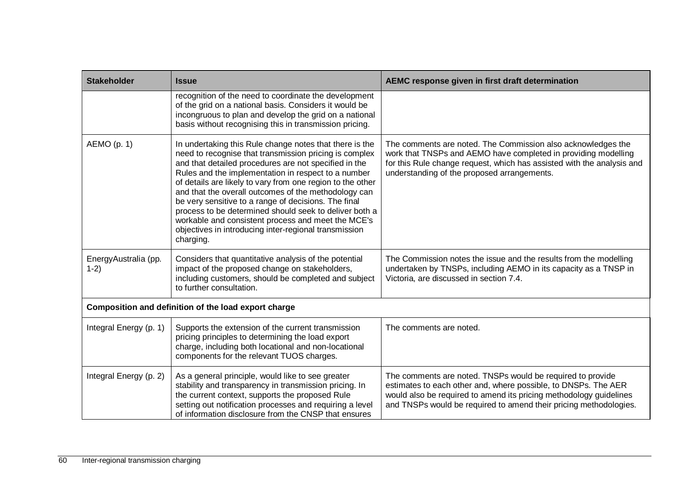| <b>Stakeholder</b>                                   | <b>Issue</b>                                                                                                                                                                                                                                                                                                                                                                                                                                                                                                                                                                                          | AEMC response given in first draft determination                                                                                                                                                                                                                        |
|------------------------------------------------------|-------------------------------------------------------------------------------------------------------------------------------------------------------------------------------------------------------------------------------------------------------------------------------------------------------------------------------------------------------------------------------------------------------------------------------------------------------------------------------------------------------------------------------------------------------------------------------------------------------|-------------------------------------------------------------------------------------------------------------------------------------------------------------------------------------------------------------------------------------------------------------------------|
|                                                      | recognition of the need to coordinate the development<br>of the grid on a national basis. Considers it would be<br>incongruous to plan and develop the grid on a national<br>basis without recognising this in transmission pricing.                                                                                                                                                                                                                                                                                                                                                                  |                                                                                                                                                                                                                                                                         |
| AEMO (p. 1)                                          | In undertaking this Rule change notes that there is the<br>need to recognise that transmission pricing is complex<br>and that detailed procedures are not specified in the<br>Rules and the implementation in respect to a number<br>of details are likely to vary from one region to the other<br>and that the overall outcomes of the methodology can<br>be very sensitive to a range of decisions. The final<br>process to be determined should seek to deliver both a<br>workable and consistent process and meet the MCE's<br>objectives in introducing inter-regional transmission<br>charging. | The comments are noted. The Commission also acknowledges the<br>work that TNSPs and AEMO have completed in providing modelling<br>for this Rule change request, which has assisted with the analysis and<br>understanding of the proposed arrangements.                 |
| EnergyAustralia (pp.<br>$1-2)$                       | Considers that quantitative analysis of the potential<br>impact of the proposed change on stakeholders,<br>including customers, should be completed and subject<br>to further consultation.                                                                                                                                                                                                                                                                                                                                                                                                           | The Commission notes the issue and the results from the modelling<br>undertaken by TNSPs, including AEMO in its capacity as a TNSP in<br>Victoria, are discussed in section 7.4.                                                                                        |
| Composition and definition of the load export charge |                                                                                                                                                                                                                                                                                                                                                                                                                                                                                                                                                                                                       |                                                                                                                                                                                                                                                                         |
| Integral Energy (p. 1)                               | Supports the extension of the current transmission<br>pricing principles to determining the load export<br>charge, including both locational and non-locational<br>components for the relevant TUOS charges.                                                                                                                                                                                                                                                                                                                                                                                          | The comments are noted.                                                                                                                                                                                                                                                 |
| Integral Energy (p. 2)                               | As a general principle, would like to see greater<br>stability and transparency in transmission pricing. In<br>the current context, supports the proposed Rule<br>setting out notification processes and requiring a level<br>of information disclosure from the CNSP that ensures                                                                                                                                                                                                                                                                                                                    | The comments are noted. TNSPs would be required to provide<br>estimates to each other and, where possible, to DNSPs. The AER<br>would also be required to amend its pricing methodology guidelines<br>and TNSPs would be required to amend their pricing methodologies. |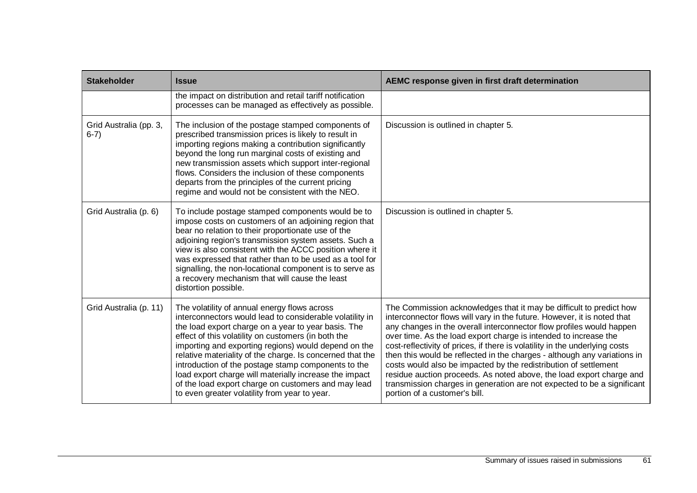| <b>Stakeholder</b>               | <b>Issue</b>                                                                                                                                                                                                                                                                                                                                                                                                                                                                                                                                                         | AEMC response given in first draft determination                                                                                                                                                                                                                                                                                                                                                                                                                                                                                                                                                                                                                                                              |
|----------------------------------|----------------------------------------------------------------------------------------------------------------------------------------------------------------------------------------------------------------------------------------------------------------------------------------------------------------------------------------------------------------------------------------------------------------------------------------------------------------------------------------------------------------------------------------------------------------------|---------------------------------------------------------------------------------------------------------------------------------------------------------------------------------------------------------------------------------------------------------------------------------------------------------------------------------------------------------------------------------------------------------------------------------------------------------------------------------------------------------------------------------------------------------------------------------------------------------------------------------------------------------------------------------------------------------------|
|                                  | the impact on distribution and retail tariff notification<br>processes can be managed as effectively as possible.                                                                                                                                                                                                                                                                                                                                                                                                                                                    |                                                                                                                                                                                                                                                                                                                                                                                                                                                                                                                                                                                                                                                                                                               |
| Grid Australia (pp. 3,<br>$6-7)$ | The inclusion of the postage stamped components of<br>prescribed transmission prices is likely to result in<br>importing regions making a contribution significantly<br>beyond the long run marginal costs of existing and<br>new transmission assets which support inter-regional<br>flows. Considers the inclusion of these components<br>departs from the principles of the current pricing<br>regime and would not be consistent with the NEO.                                                                                                                   | Discussion is outlined in chapter 5.                                                                                                                                                                                                                                                                                                                                                                                                                                                                                                                                                                                                                                                                          |
| Grid Australia (p. 6)            | To include postage stamped components would be to<br>impose costs on customers of an adjoining region that<br>bear no relation to their proportionate use of the<br>adjoining region's transmission system assets. Such a<br>view is also consistent with the ACCC position where it<br>was expressed that rather than to be used as a tool for<br>signalling, the non-locational component is to serve as<br>a recovery mechanism that will cause the least<br>distortion possible.                                                                                 | Discussion is outlined in chapter 5.                                                                                                                                                                                                                                                                                                                                                                                                                                                                                                                                                                                                                                                                          |
| Grid Australia (p. 11)           | The volatility of annual energy flows across<br>interconnectors would lead to considerable volatility in<br>the load export charge on a year to year basis. The<br>effect of this volatility on customers (in both the<br>importing and exporting regions) would depend on the<br>relative materiality of the charge. Is concerned that the<br>introduction of the postage stamp components to the<br>load export charge will materially increase the impact<br>of the load export charge on customers and may lead<br>to even greater volatility from year to year. | The Commission acknowledges that it may be difficult to predict how<br>interconnector flows will vary in the future. However, it is noted that<br>any changes in the overall interconnector flow profiles would happen<br>over time. As the load export charge is intended to increase the<br>cost-reflectivity of prices, if there is volatility in the underlying costs<br>then this would be reflected in the charges - although any variations in<br>costs would also be impacted by the redistribution of settlement<br>residue auction proceeds. As noted above, the load export charge and<br>transmission charges in generation are not expected to be a significant<br>portion of a customer's bill. |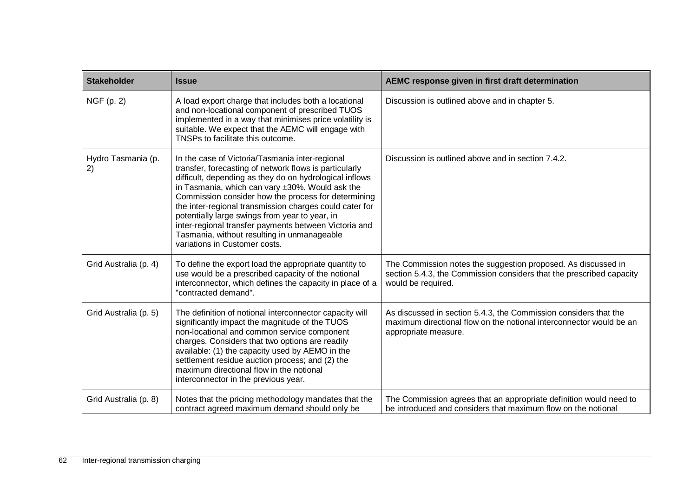| <b>Stakeholder</b>       | <b>Issue</b>                                                                                                                                                                                                                                                                                                                                                                                                                                                                                                                         | AEMC response given in first draft determination                                                                                                                |
|--------------------------|--------------------------------------------------------------------------------------------------------------------------------------------------------------------------------------------------------------------------------------------------------------------------------------------------------------------------------------------------------------------------------------------------------------------------------------------------------------------------------------------------------------------------------------|-----------------------------------------------------------------------------------------------------------------------------------------------------------------|
| NGF (p. 2)               | A load export charge that includes both a locational<br>and non-locational component of prescribed TUOS<br>implemented in a way that minimises price volatility is<br>suitable. We expect that the AEMC will engage with<br>TNSPs to facilitate this outcome.                                                                                                                                                                                                                                                                        | Discussion is outlined above and in chapter 5.                                                                                                                  |
| Hydro Tasmania (p.<br>2) | In the case of Victoria/Tasmania inter-regional<br>transfer, forecasting of network flows is particularly<br>difficult, depending as they do on hydrological inflows<br>in Tasmania, which can vary ±30%. Would ask the<br>Commission consider how the process for determining<br>the inter-regional transmission charges could cater for<br>potentially large swings from year to year, in<br>inter-regional transfer payments between Victoria and<br>Tasmania, without resulting in unmanageable<br>variations in Customer costs. | Discussion is outlined above and in section 7.4.2.                                                                                                              |
| Grid Australia (p. 4)    | To define the export load the appropriate quantity to<br>use would be a prescribed capacity of the notional<br>interconnector, which defines the capacity in place of a<br>"contracted demand".                                                                                                                                                                                                                                                                                                                                      | The Commission notes the suggestion proposed. As discussed in<br>section 5.4.3, the Commission considers that the prescribed capacity<br>would be required.     |
| Grid Australia (p. 5)    | The definition of notional interconnector capacity will<br>significantly impact the magnitude of the TUOS<br>non-locational and common service component<br>charges. Considers that two options are readily<br>available: (1) the capacity used by AEMO in the<br>settlement residue auction process; and (2) the<br>maximum directional flow in the notional<br>interconnector in the previous year.                                                                                                                                | As discussed in section 5.4.3, the Commission considers that the<br>maximum directional flow on the notional interconnector would be an<br>appropriate measure. |
| Grid Australia (p. 8)    | Notes that the pricing methodology mandates that the<br>contract agreed maximum demand should only be                                                                                                                                                                                                                                                                                                                                                                                                                                | The Commission agrees that an appropriate definition would need to<br>be introduced and considers that maximum flow on the notional                             |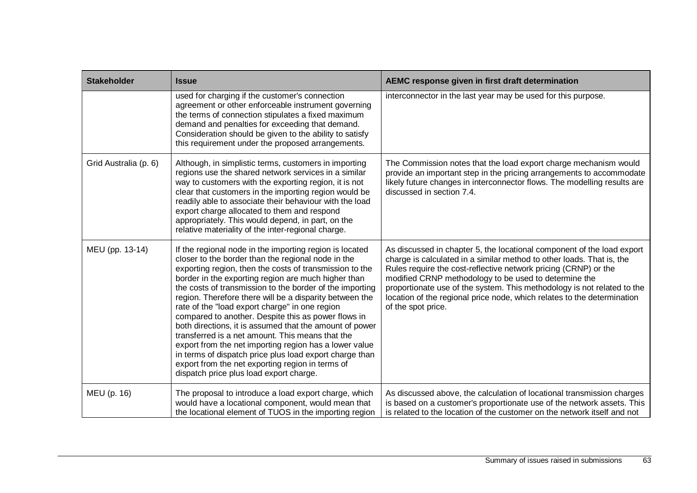| <b>Stakeholder</b>    | <b>Issue</b>                                                                                                                                                                                                                                                                                                                                                                                                                                                                                                                                                                                                                                                                                                                                                                                       | AEMC response given in first draft determination                                                                                                                                                                                                                                                                                                                                                                                                        |
|-----------------------|----------------------------------------------------------------------------------------------------------------------------------------------------------------------------------------------------------------------------------------------------------------------------------------------------------------------------------------------------------------------------------------------------------------------------------------------------------------------------------------------------------------------------------------------------------------------------------------------------------------------------------------------------------------------------------------------------------------------------------------------------------------------------------------------------|---------------------------------------------------------------------------------------------------------------------------------------------------------------------------------------------------------------------------------------------------------------------------------------------------------------------------------------------------------------------------------------------------------------------------------------------------------|
|                       | used for charging if the customer's connection<br>agreement or other enforceable instrument governing<br>the terms of connection stipulates a fixed maximum<br>demand and penalties for exceeding that demand.<br>Consideration should be given to the ability to satisfy<br>this requirement under the proposed arrangements.                                                                                                                                                                                                                                                                                                                                                                                                                                                                     | interconnector in the last year may be used for this purpose.                                                                                                                                                                                                                                                                                                                                                                                           |
| Grid Australia (p. 6) | Although, in simplistic terms, customers in importing<br>regions use the shared network services in a similar<br>way to customers with the exporting region, it is not<br>clear that customers in the importing region would be<br>readily able to associate their behaviour with the load<br>export charge allocated to them and respond<br>appropriately. This would depend, in part, on the<br>relative materiality of the inter-regional charge.                                                                                                                                                                                                                                                                                                                                               | The Commission notes that the load export charge mechanism would<br>provide an important step in the pricing arrangements to accommodate<br>likely future changes in interconnector flows. The modelling results are<br>discussed in section 7.4.                                                                                                                                                                                                       |
| MEU (pp. 13-14)       | If the regional node in the importing region is located<br>closer to the border than the regional node in the<br>exporting region, then the costs of transmission to the<br>border in the exporting region are much higher than<br>the costs of transmission to the border of the importing<br>region. Therefore there will be a disparity between the<br>rate of the "load export charge" in one region<br>compared to another. Despite this as power flows in<br>both directions, it is assumed that the amount of power<br>transferred is a net amount. This means that the<br>export from the net importing region has a lower value<br>in terms of dispatch price plus load export charge than<br>export from the net exporting region in terms of<br>dispatch price plus load export charge. | As discussed in chapter 5, the locational component of the load export<br>charge is calculated in a similar method to other loads. That is, the<br>Rules require the cost-reflective network pricing (CRNP) or the<br>modified CRNP methodology to be used to determine the<br>proportionate use of the system. This methodology is not related to the<br>location of the regional price node, which relates to the determination<br>of the spot price. |
| MEU (p. 16)           | The proposal to introduce a load export charge, which<br>would have a locational component, would mean that<br>the locational element of TUOS in the importing region                                                                                                                                                                                                                                                                                                                                                                                                                                                                                                                                                                                                                              | As discussed above, the calculation of locational transmission charges<br>is based on a customer's proportionate use of the network assets. This<br>is related to the location of the customer on the network itself and not                                                                                                                                                                                                                            |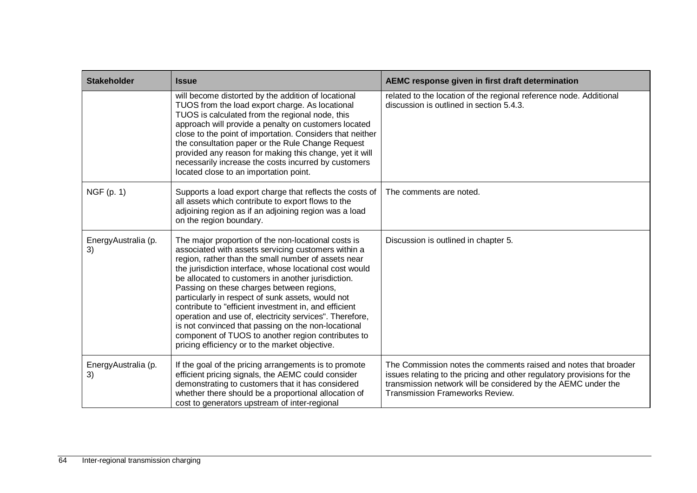| <b>Stakeholder</b>        | <b>Issue</b>                                                                                                                                                                                                                                                                                                                                                                                                                                                                                                                                                                                                                                                            | AEMC response given in first draft determination                                                                                                                                                                                                     |
|---------------------------|-------------------------------------------------------------------------------------------------------------------------------------------------------------------------------------------------------------------------------------------------------------------------------------------------------------------------------------------------------------------------------------------------------------------------------------------------------------------------------------------------------------------------------------------------------------------------------------------------------------------------------------------------------------------------|------------------------------------------------------------------------------------------------------------------------------------------------------------------------------------------------------------------------------------------------------|
|                           | will become distorted by the addition of locational<br>TUOS from the load export charge. As locational<br>TUOS is calculated from the regional node, this<br>approach will provide a penalty on customers located<br>close to the point of importation. Considers that neither<br>the consultation paper or the Rule Change Request<br>provided any reason for making this change, yet it will<br>necessarily increase the costs incurred by customers<br>located close to an importation point.                                                                                                                                                                        | related to the location of the regional reference node. Additional<br>discussion is outlined in section 5.4.3.                                                                                                                                       |
| NGF (p. 1)                | Supports a load export charge that reflects the costs of<br>all assets which contribute to export flows to the<br>adjoining region as if an adjoining region was a load<br>on the region boundary.                                                                                                                                                                                                                                                                                                                                                                                                                                                                      | The comments are noted.                                                                                                                                                                                                                              |
| EnergyAustralia (p.<br>3) | The major proportion of the non-locational costs is<br>associated with assets servicing customers within a<br>region, rather than the small number of assets near<br>the jurisdiction interface, whose locational cost would<br>be allocated to customers in another jurisdiction.<br>Passing on these charges between regions,<br>particularly in respect of sunk assets, would not<br>contribute to "efficient investment in, and efficient<br>operation and use of, electricity services". Therefore,<br>is not convinced that passing on the non-locational<br>component of TUOS to another region contributes to<br>pricing efficiency or to the market objective. | Discussion is outlined in chapter 5.                                                                                                                                                                                                                 |
| EnergyAustralia (p.<br>3) | If the goal of the pricing arrangements is to promote<br>efficient pricing signals, the AEMC could consider<br>demonstrating to customers that it has considered<br>whether there should be a proportional allocation of<br>cost to generators upstream of inter-regional                                                                                                                                                                                                                                                                                                                                                                                               | The Commission notes the comments raised and notes that broader<br>issues relating to the pricing and other regulatory provisions for the<br>transmission network will be considered by the AEMC under the<br><b>Transmission Frameworks Review.</b> |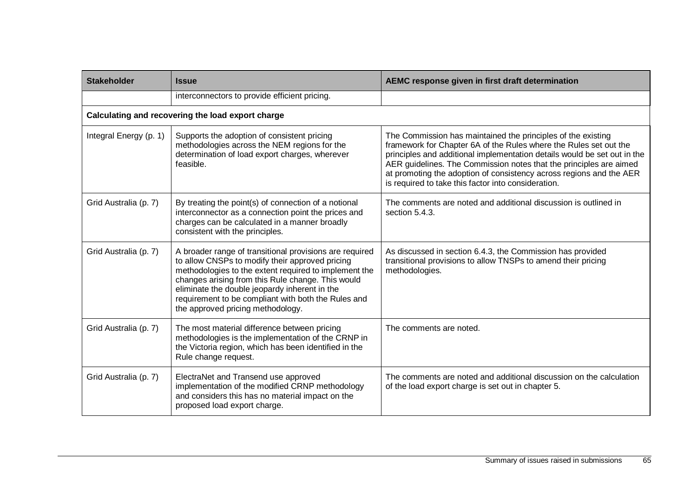| <b>Stakeholder</b>     | <b>Issue</b>                                                                                                                                                                                                                                                                                                                                                          | AEMC response given in first draft determination                                                                                                                                                                                                                                                                                                                                                                  |
|------------------------|-----------------------------------------------------------------------------------------------------------------------------------------------------------------------------------------------------------------------------------------------------------------------------------------------------------------------------------------------------------------------|-------------------------------------------------------------------------------------------------------------------------------------------------------------------------------------------------------------------------------------------------------------------------------------------------------------------------------------------------------------------------------------------------------------------|
|                        | interconnectors to provide efficient pricing.                                                                                                                                                                                                                                                                                                                         |                                                                                                                                                                                                                                                                                                                                                                                                                   |
|                        | Calculating and recovering the load export charge                                                                                                                                                                                                                                                                                                                     |                                                                                                                                                                                                                                                                                                                                                                                                                   |
| Integral Energy (p. 1) | Supports the adoption of consistent pricing<br>methodologies across the NEM regions for the<br>determination of load export charges, wherever<br>feasible.                                                                                                                                                                                                            | The Commission has maintained the principles of the existing<br>framework for Chapter 6A of the Rules where the Rules set out the<br>principles and additional implementation details would be set out in the<br>AER guidelines. The Commission notes that the principles are aimed<br>at promoting the adoption of consistency across regions and the AER<br>is required to take this factor into consideration. |
| Grid Australia (p. 7)  | By treating the point(s) of connection of a notional<br>interconnector as a connection point the prices and<br>charges can be calculated in a manner broadly<br>consistent with the principles.                                                                                                                                                                       | The comments are noted and additional discussion is outlined in<br>section 5.4.3.                                                                                                                                                                                                                                                                                                                                 |
| Grid Australia (p. 7)  | A broader range of transitional provisions are required<br>to allow CNSPs to modify their approved pricing<br>methodologies to the extent required to implement the<br>changes arising from this Rule change. This would<br>eliminate the double jeopardy inherent in the<br>requirement to be compliant with both the Rules and<br>the approved pricing methodology. | As discussed in section 6.4.3, the Commission has provided<br>transitional provisions to allow TNSPs to amend their pricing<br>methodologies.                                                                                                                                                                                                                                                                     |
| Grid Australia (p. 7)  | The most material difference between pricing<br>methodologies is the implementation of the CRNP in<br>the Victoria region, which has been identified in the<br>Rule change request.                                                                                                                                                                                   | The comments are noted.                                                                                                                                                                                                                                                                                                                                                                                           |
| Grid Australia (p. 7)  | ElectraNet and Transend use approved<br>implementation of the modified CRNP methodology<br>and considers this has no material impact on the<br>proposed load export charge.                                                                                                                                                                                           | The comments are noted and additional discussion on the calculation<br>of the load export charge is set out in chapter 5.                                                                                                                                                                                                                                                                                         |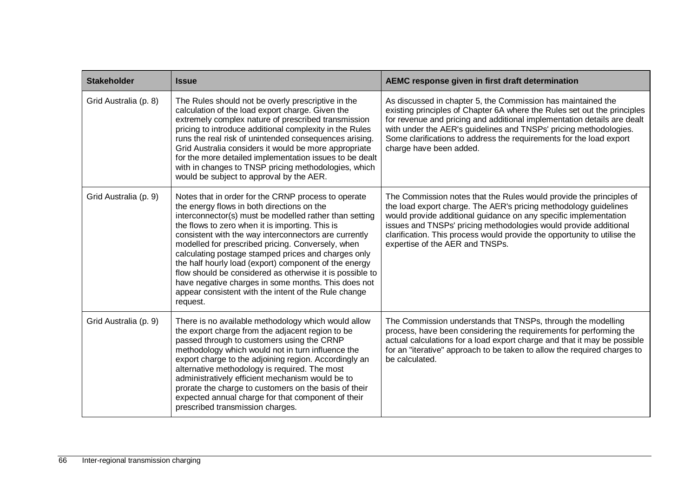| <b>Stakeholder</b>    | <b>Issue</b>                                                                                                                                                                                                                                                                                                                                                                                                                                                                                                                                                                                                                        | AEMC response given in first draft determination                                                                                                                                                                                                                                                                                                                                               |
|-----------------------|-------------------------------------------------------------------------------------------------------------------------------------------------------------------------------------------------------------------------------------------------------------------------------------------------------------------------------------------------------------------------------------------------------------------------------------------------------------------------------------------------------------------------------------------------------------------------------------------------------------------------------------|------------------------------------------------------------------------------------------------------------------------------------------------------------------------------------------------------------------------------------------------------------------------------------------------------------------------------------------------------------------------------------------------|
| Grid Australia (p. 8) | The Rules should not be overly prescriptive in the<br>calculation of the load export charge. Given the<br>extremely complex nature of prescribed transmission<br>pricing to introduce additional complexity in the Rules<br>runs the real risk of unintended consequences arising.<br>Grid Australia considers it would be more appropriate<br>for the more detailed implementation issues to be dealt<br>with in changes to TNSP pricing methodologies, which<br>would be subject to approval by the AER.                                                                                                                          | As discussed in chapter 5, the Commission has maintained the<br>existing principles of Chapter 6A where the Rules set out the principles<br>for revenue and pricing and additional implementation details are dealt<br>with under the AER's guidelines and TNSPs' pricing methodologies.<br>Some clarifications to address the requirements for the load export<br>charge have been added.     |
| Grid Australia (p. 9) | Notes that in order for the CRNP process to operate<br>the energy flows in both directions on the<br>interconnector(s) must be modelled rather than setting<br>the flows to zero when it is importing. This is<br>consistent with the way interconnectors are currently<br>modelled for prescribed pricing. Conversely, when<br>calculating postage stamped prices and charges only<br>the half hourly load (export) component of the energy<br>flow should be considered as otherwise it is possible to<br>have negative charges in some months. This does not<br>appear consistent with the intent of the Rule change<br>request. | The Commission notes that the Rules would provide the principles of<br>the load export charge. The AER's pricing methodology guidelines<br>would provide additional guidance on any specific implementation<br>issues and TNSPs' pricing methodologies would provide additional<br>clarification. This process would provide the opportunity to utilise the<br>expertise of the AER and TNSPs. |
| Grid Australia (p. 9) | There is no available methodology which would allow<br>the export charge from the adjacent region to be<br>passed through to customers using the CRNP<br>methodology which would not in turn influence the<br>export charge to the adjoining region. Accordingly an<br>alternative methodology is required. The most<br>administratively efficient mechanism would be to<br>prorate the charge to customers on the basis of their<br>expected annual charge for that component of their<br>prescribed transmission charges.                                                                                                         | The Commission understands that TNSPs, through the modelling<br>process, have been considering the requirements for performing the<br>actual calculations for a load export charge and that it may be possible<br>for an "iterative" approach to be taken to allow the required charges to<br>be calculated.                                                                                   |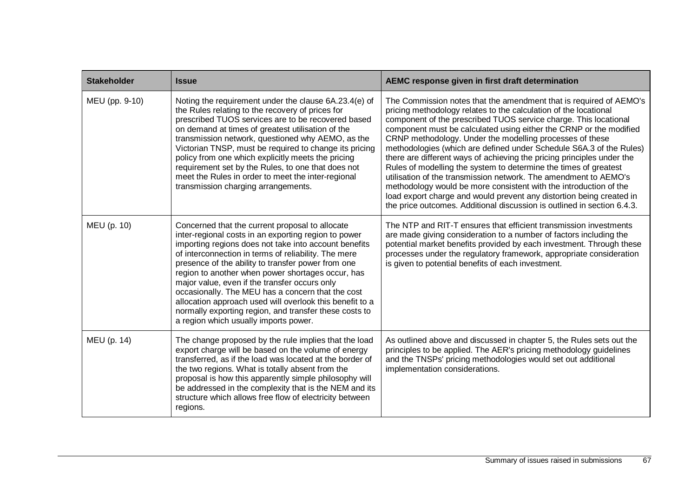| <b>Stakeholder</b> | <b>Issue</b>                                                                                                                                                                                                                                                                                                                                                                                                                                                                                                                                                                                             | AEMC response given in first draft determination                                                                                                                                                                                                                                                                                                                                                                                                                                                                                                                                                                                                                                                                                                                                                                                                              |
|--------------------|----------------------------------------------------------------------------------------------------------------------------------------------------------------------------------------------------------------------------------------------------------------------------------------------------------------------------------------------------------------------------------------------------------------------------------------------------------------------------------------------------------------------------------------------------------------------------------------------------------|---------------------------------------------------------------------------------------------------------------------------------------------------------------------------------------------------------------------------------------------------------------------------------------------------------------------------------------------------------------------------------------------------------------------------------------------------------------------------------------------------------------------------------------------------------------------------------------------------------------------------------------------------------------------------------------------------------------------------------------------------------------------------------------------------------------------------------------------------------------|
| MEU (pp. 9-10)     | Noting the requirement under the clause 6A.23.4(e) of<br>the Rules relating to the recovery of prices for<br>prescribed TUOS services are to be recovered based<br>on demand at times of greatest utilisation of the<br>transmission network, questioned why AEMO, as the<br>Victorian TNSP, must be required to change its pricing<br>policy from one which explicitly meets the pricing<br>requirement set by the Rules, to one that does not<br>meet the Rules in order to meet the inter-regional<br>transmission charging arrangements.                                                             | The Commission notes that the amendment that is required of AEMO's<br>pricing methodology relates to the calculation of the locational<br>component of the prescribed TUOS service charge. This locational<br>component must be calculated using either the CRNP or the modified<br>CRNP methodology. Under the modelling processes of these<br>methodologies (which are defined under Schedule S6A.3 of the Rules)<br>there are different ways of achieving the pricing principles under the<br>Rules of modelling the system to determine the times of greatest<br>utilisation of the transmission network. The amendment to AEMO's<br>methodology would be more consistent with the introduction of the<br>load export charge and would prevent any distortion being created in<br>the price outcomes. Additional discussion is outlined in section 6.4.3. |
| MEU (p. 10)        | Concerned that the current proposal to allocate<br>inter-regional costs in an exporting region to power<br>importing regions does not take into account benefits<br>of interconnection in terms of reliability. The mere<br>presence of the ability to transfer power from one<br>region to another when power shortages occur, has<br>major value, even if the transfer occurs only<br>occasionally. The MEU has a concern that the cost<br>allocation approach used will overlook this benefit to a<br>normally exporting region, and transfer these costs to<br>a region which usually imports power. | The NTP and RIT-T ensures that efficient transmission investments<br>are made giving consideration to a number of factors including the<br>potential market benefits provided by each investment. Through these<br>processes under the regulatory framework, appropriate consideration<br>is given to potential benefits of each investment.                                                                                                                                                                                                                                                                                                                                                                                                                                                                                                                  |
| MEU (p. 14)        | The change proposed by the rule implies that the load<br>export charge will be based on the volume of energy<br>transferred, as if the load was located at the border of<br>the two regions. What is totally absent from the<br>proposal is how this apparently simple philosophy will<br>be addressed in the complexity that is the NEM and its<br>structure which allows free flow of electricity between<br>regions.                                                                                                                                                                                  | As outlined above and discussed in chapter 5, the Rules sets out the<br>principles to be applied. The AER's pricing methodology guidelines<br>and the TNSPs' pricing methodologies would set out additional<br>implementation considerations.                                                                                                                                                                                                                                                                                                                                                                                                                                                                                                                                                                                                                 |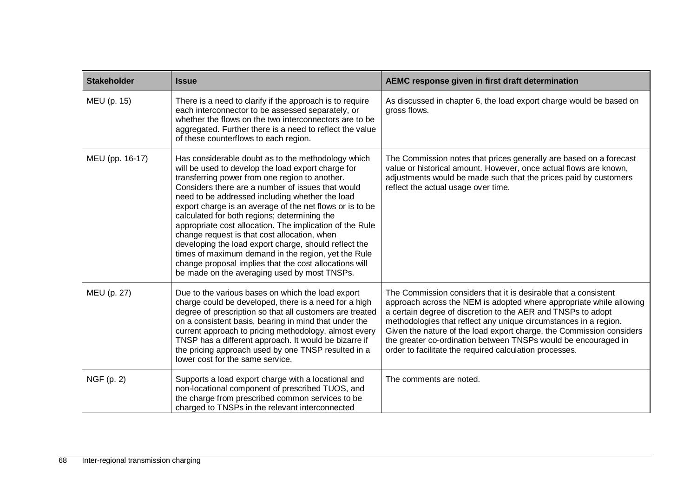| <b>Stakeholder</b> | <b>Issue</b>                                                                                                                                                                                                                                                                                                                                                                                                                                                                                                                                                                                                                                                                                                         | AEMC response given in first draft determination                                                                                                                                                                                                                                                                                                                                                                                                                                |
|--------------------|----------------------------------------------------------------------------------------------------------------------------------------------------------------------------------------------------------------------------------------------------------------------------------------------------------------------------------------------------------------------------------------------------------------------------------------------------------------------------------------------------------------------------------------------------------------------------------------------------------------------------------------------------------------------------------------------------------------------|---------------------------------------------------------------------------------------------------------------------------------------------------------------------------------------------------------------------------------------------------------------------------------------------------------------------------------------------------------------------------------------------------------------------------------------------------------------------------------|
| MEU (p. 15)        | There is a need to clarify if the approach is to require<br>each interconnector to be assessed separately, or<br>whether the flows on the two interconnectors are to be<br>aggregated. Further there is a need to reflect the value<br>of these counterflows to each region.                                                                                                                                                                                                                                                                                                                                                                                                                                         | As discussed in chapter 6, the load export charge would be based on<br>gross flows.                                                                                                                                                                                                                                                                                                                                                                                             |
| MEU (pp. 16-17)    | Has considerable doubt as to the methodology which<br>will be used to develop the load export charge for<br>transferring power from one region to another.<br>Considers there are a number of issues that would<br>need to be addressed including whether the load<br>export charge is an average of the net flows or is to be<br>calculated for both regions; determining the<br>appropriate cost allocation. The implication of the Rule<br>change request is that cost allocation, when<br>developing the load export charge, should reflect the<br>times of maximum demand in the region, yet the Rule<br>change proposal implies that the cost allocations will<br>be made on the averaging used by most TNSPs. | The Commission notes that prices generally are based on a forecast<br>value or historical amount. However, once actual flows are known,<br>adjustments would be made such that the prices paid by customers<br>reflect the actual usage over time.                                                                                                                                                                                                                              |
| MEU (p. 27)        | Due to the various bases on which the load export<br>charge could be developed, there is a need for a high<br>degree of prescription so that all customers are treated<br>on a consistent basis, bearing in mind that under the<br>current approach to pricing methodology, almost every<br>TNSP has a different approach. It would be bizarre if<br>the pricing approach used by one TNSP resulted in a<br>lower cost for the same service.                                                                                                                                                                                                                                                                         | The Commission considers that it is desirable that a consistent<br>approach across the NEM is adopted where appropriate while allowing<br>a certain degree of discretion to the AER and TNSPs to adopt<br>methodologies that reflect any unique circumstances in a region.<br>Given the nature of the load export charge, the Commission considers<br>the greater co-ordination between TNSPs would be encouraged in<br>order to facilitate the required calculation processes. |
| NGF (p. 2)         | Supports a load export charge with a locational and<br>non-locational component of prescribed TUOS, and<br>the charge from prescribed common services to be<br>charged to TNSPs in the relevant interconnected                                                                                                                                                                                                                                                                                                                                                                                                                                                                                                       | The comments are noted.                                                                                                                                                                                                                                                                                                                                                                                                                                                         |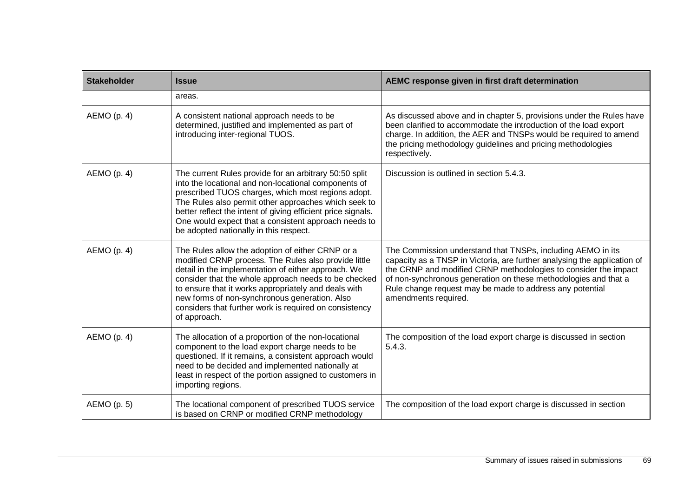| <b>Stakeholder</b> | <b>Issue</b>                                                                                                                                                                                                                                                                                                                                                                                               | AEMC response given in first draft determination                                                                                                                                                                                                                                                                                                                  |
|--------------------|------------------------------------------------------------------------------------------------------------------------------------------------------------------------------------------------------------------------------------------------------------------------------------------------------------------------------------------------------------------------------------------------------------|-------------------------------------------------------------------------------------------------------------------------------------------------------------------------------------------------------------------------------------------------------------------------------------------------------------------------------------------------------------------|
|                    | areas.                                                                                                                                                                                                                                                                                                                                                                                                     |                                                                                                                                                                                                                                                                                                                                                                   |
| AEMO(p. 4)         | A consistent national approach needs to be<br>determined, justified and implemented as part of<br>introducing inter-regional TUOS.                                                                                                                                                                                                                                                                         | As discussed above and in chapter 5, provisions under the Rules have<br>been clarified to accommodate the introduction of the load export<br>charge. In addition, the AER and TNSPs would be required to amend<br>the pricing methodology guidelines and pricing methodologies<br>respectively.                                                                   |
| AEMO(p. 4)         | The current Rules provide for an arbitrary 50:50 split<br>into the locational and non-locational components of<br>prescribed TUOS charges, which most regions adopt.<br>The Rules also permit other approaches which seek to<br>better reflect the intent of giving efficient price signals.<br>One would expect that a consistent approach needs to<br>be adopted nationally in this respect.             | Discussion is outlined in section 5.4.3.                                                                                                                                                                                                                                                                                                                          |
| AEMO(p. 4)         | The Rules allow the adoption of either CRNP or a<br>modified CRNP process. The Rules also provide little<br>detail in the implementation of either approach. We<br>consider that the whole approach needs to be checked<br>to ensure that it works appropriately and deals with<br>new forms of non-synchronous generation. Also<br>considers that further work is required on consistency<br>of approach. | The Commission understand that TNSPs, including AEMO in its<br>capacity as a TNSP in Victoria, are further analysing the application of<br>the CRNP and modified CRNP methodologies to consider the impact<br>of non-synchronous generation on these methodologies and that a<br>Rule change request may be made to address any potential<br>amendments required. |
| AEMO(p. 4)         | The allocation of a proportion of the non-locational<br>component to the load export charge needs to be<br>questioned. If it remains, a consistent approach would<br>need to be decided and implemented nationally at<br>least in respect of the portion assigned to customers in<br>importing regions.                                                                                                    | The composition of the load export charge is discussed in section<br>5.4.3.                                                                                                                                                                                                                                                                                       |
| AEMO (p. 5)        | The locational component of prescribed TUOS service<br>is based on CRNP or modified CRNP methodology                                                                                                                                                                                                                                                                                                       | The composition of the load export charge is discussed in section                                                                                                                                                                                                                                                                                                 |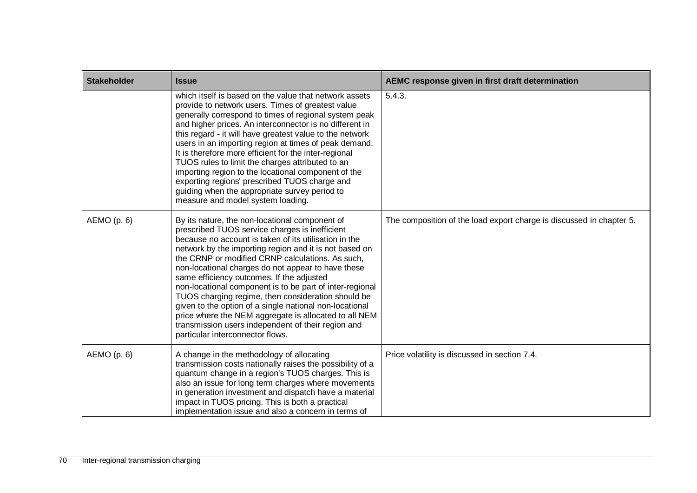| <b>Stakeholder</b> | <b>Issue</b>                                                                                                                                                                                                                                                                                                                                                                                                                                                                                                                                                                                                                                                                                               | AEMC response given in first draft determination                     |
|--------------------|------------------------------------------------------------------------------------------------------------------------------------------------------------------------------------------------------------------------------------------------------------------------------------------------------------------------------------------------------------------------------------------------------------------------------------------------------------------------------------------------------------------------------------------------------------------------------------------------------------------------------------------------------------------------------------------------------------|----------------------------------------------------------------------|
|                    | which itself is based on the value that network assets<br>provide to network users. Times of greatest value<br>generally correspond to times of regional system peak<br>and higher prices. An interconnector is no different in<br>this regard - it will have greatest value to the network<br>users in an importing region at times of peak demand.<br>It is therefore more efficient for the inter-regional<br>TUOS rules to limit the charges attributed to an<br>importing region to the locational component of the<br>exporting regions' prescribed TUOS charge and<br>guiding when the appropriate survey period to<br>measure and model system loading.                                            | 5.4.3.                                                               |
| AEMO (p. 6)        | By its nature, the non-locational component of<br>prescribed TUOS service charges is inefficient<br>because no account is taken of its utilisation in the<br>network by the importing region and it is not based on<br>the CRNP or modified CRNP calculations. As such,<br>non-locational charges do not appear to have these<br>same efficiency outcomes. If the adjusted<br>non-locational component is to be part of inter-regional<br>TUOS charging regime, then consideration should be<br>given to the option of a single national non-locational<br>price where the NEM aggregate is allocated to all NEM<br>transmission users independent of their region and<br>particular interconnector flows. | The composition of the load export charge is discussed in chapter 5. |
| AEMO(p. 6)         | A change in the methodology of allocating<br>transmission costs nationally raises the possibility of a<br>quantum change in a region's TUOS charges. This is<br>also an issue for long term charges where movements<br>in generation investment and dispatch have a material<br>impact in TUOS pricing. This is both a practical<br>implementation issue and also a concern in terms of                                                                                                                                                                                                                                                                                                                    | Price volatility is discussed in section 7.4.                        |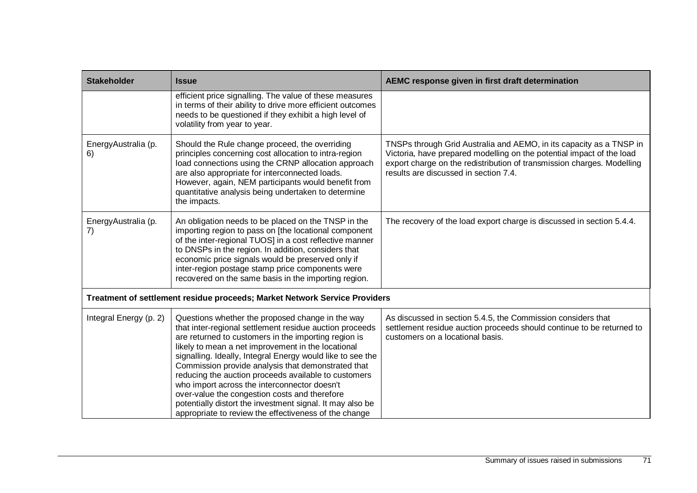| <b>Stakeholder</b>        | <b>Issue</b>                                                                                                                                                                                                                                                                                                                                                                                                                                                                                                                                                                                                                 | AEMC response given in first draft determination                                                                                                                                                                                                                |
|---------------------------|------------------------------------------------------------------------------------------------------------------------------------------------------------------------------------------------------------------------------------------------------------------------------------------------------------------------------------------------------------------------------------------------------------------------------------------------------------------------------------------------------------------------------------------------------------------------------------------------------------------------------|-----------------------------------------------------------------------------------------------------------------------------------------------------------------------------------------------------------------------------------------------------------------|
|                           | efficient price signalling. The value of these measures<br>in terms of their ability to drive more efficient outcomes<br>needs to be questioned if they exhibit a high level of<br>volatility from year to year.                                                                                                                                                                                                                                                                                                                                                                                                             |                                                                                                                                                                                                                                                                 |
| EnergyAustralia (p.<br>6) | Should the Rule change proceed, the overriding<br>principles concerning cost allocation to intra-region<br>load connections using the CRNP allocation approach<br>are also appropriate for interconnected loads.<br>However, again, NEM participants would benefit from<br>quantitative analysis being undertaken to determine<br>the impacts.                                                                                                                                                                                                                                                                               | TNSPs through Grid Australia and AEMO, in its capacity as a TNSP in<br>Victoria, have prepared modelling on the potential impact of the load<br>export charge on the redistribution of transmission charges. Modelling<br>results are discussed in section 7.4. |
| EnergyAustralia (p.<br>7) | An obligation needs to be placed on the TNSP in the<br>importing region to pass on [the locational component<br>of the inter-regional TUOS] in a cost reflective manner<br>to DNSPs in the region. In addition, considers that<br>economic price signals would be preserved only if<br>inter-region postage stamp price components were<br>recovered on the same basis in the importing region.                                                                                                                                                                                                                              | The recovery of the load export charge is discussed in section 5.4.4.                                                                                                                                                                                           |
|                           | Treatment of settlement residue proceeds; Market Network Service Providers                                                                                                                                                                                                                                                                                                                                                                                                                                                                                                                                                   |                                                                                                                                                                                                                                                                 |
| Integral Energy (p. 2)    | Questions whether the proposed change in the way<br>that inter-regional settlement residue auction proceeds<br>are returned to customers in the importing region is<br>likely to mean a net improvement in the locational<br>signalling. Ideally, Integral Energy would like to see the<br>Commission provide analysis that demonstrated that<br>reducing the auction proceeds available to customers<br>who import across the interconnector doesn't<br>over-value the congestion costs and therefore<br>potentially distort the investment signal. It may also be<br>appropriate to review the effectiveness of the change | As discussed in section 5.4.5, the Commission considers that<br>settlement residue auction proceeds should continue to be returned to<br>customers on a locational basis.                                                                                       |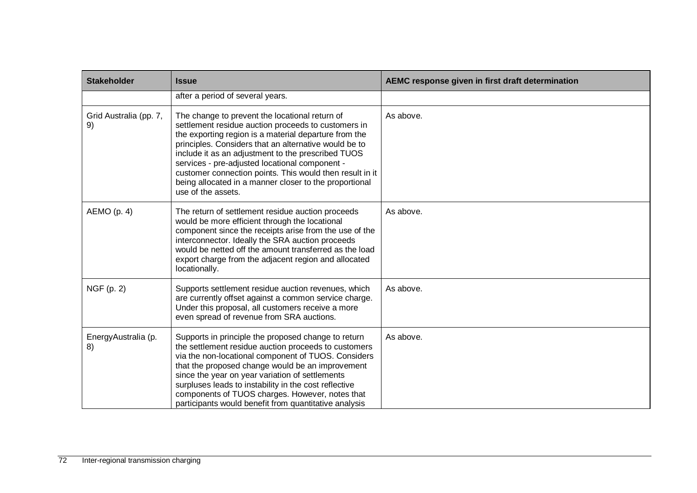| <b>Stakeholder</b>           | <b>Issue</b>                                                                                                                                                                                                                                                                                                                                                                                                                                                                | AEMC response given in first draft determination |
|------------------------------|-----------------------------------------------------------------------------------------------------------------------------------------------------------------------------------------------------------------------------------------------------------------------------------------------------------------------------------------------------------------------------------------------------------------------------------------------------------------------------|--------------------------------------------------|
|                              | after a period of several years.                                                                                                                                                                                                                                                                                                                                                                                                                                            |                                                  |
| Grid Australia (pp. 7,<br>9) | The change to prevent the locational return of<br>settlement residue auction proceeds to customers in<br>the exporting region is a material departure from the<br>principles. Considers that an alternative would be to<br>include it as an adjustment to the prescribed TUOS<br>services - pre-adjusted locational component -<br>customer connection points. This would then result in it<br>being allocated in a manner closer to the proportional<br>use of the assets. | As above.                                        |
| AEMO(p. 4)                   | The return of settlement residue auction proceeds<br>would be more efficient through the locational<br>component since the receipts arise from the use of the<br>interconnector. Ideally the SRA auction proceeds<br>would be netted off the amount transferred as the load<br>export charge from the adjacent region and allocated<br>locationally.                                                                                                                        | As above.                                        |
| NGF (p. 2)                   | Supports settlement residue auction revenues, which<br>are currently offset against a common service charge.<br>Under this proposal, all customers receive a more<br>even spread of revenue from SRA auctions.                                                                                                                                                                                                                                                              | As above.                                        |
| EnergyAustralia (p.<br>8)    | Supports in principle the proposed change to return<br>the settlement residue auction proceeds to customers<br>via the non-locational component of TUOS. Considers<br>that the proposed change would be an improvement<br>since the year on year variation of settlements<br>surpluses leads to instability in the cost reflective<br>components of TUOS charges. However, notes that<br>participants would benefit from quantitative analysis                              | As above.                                        |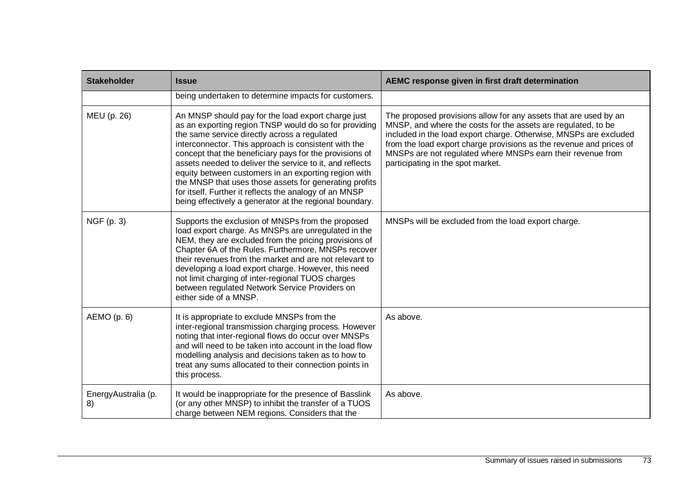| <b>Stakeholder</b>        | <b>Issue</b>                                                                                                                                                                                                                                                                                                                                                                                                                                                                                                                                                                      | AEMC response given in first draft determination                                                                                                                                                                                                                                                                                                                                  |
|---------------------------|-----------------------------------------------------------------------------------------------------------------------------------------------------------------------------------------------------------------------------------------------------------------------------------------------------------------------------------------------------------------------------------------------------------------------------------------------------------------------------------------------------------------------------------------------------------------------------------|-----------------------------------------------------------------------------------------------------------------------------------------------------------------------------------------------------------------------------------------------------------------------------------------------------------------------------------------------------------------------------------|
|                           | being undertaken to determine impacts for customers.                                                                                                                                                                                                                                                                                                                                                                                                                                                                                                                              |                                                                                                                                                                                                                                                                                                                                                                                   |
| MEU (p. 26)               | An MNSP should pay for the load export charge just<br>as an exporting region TNSP would do so for providing<br>the same service directly across a regulated<br>interconnector. This approach is consistent with the<br>concept that the beneficiary pays for the provisions of<br>assets needed to deliver the service to it, and reflects<br>equity between customers in an exporting region with<br>the MNSP that uses those assets for generating profits<br>for itself. Further it reflects the analogy of an MNSP<br>being effectively a generator at the regional boundary. | The proposed provisions allow for any assets that are used by an<br>MNSP, and where the costs for the assets are regulated, to be<br>included in the load export charge. Otherwise, MNSPs are excluded<br>from the load export charge provisions as the revenue and prices of<br>MNSPs are not regulated where MNSPs earn their revenue from<br>participating in the spot market. |
| NGF (p. 3)                | Supports the exclusion of MNSPs from the proposed<br>load export charge. As MNSPs are unregulated in the<br>NEM, they are excluded from the pricing provisions of<br>Chapter 6A of the Rules. Furthermore, MNSPs recover<br>their revenues from the market and are not relevant to<br>developing a load export charge. However, this need<br>not limit charging of inter-regional TUOS charges<br>between regulated Network Service Providers on<br>either side of a MNSP.                                                                                                        | MNSPs will be excluded from the load export charge.                                                                                                                                                                                                                                                                                                                               |
| AEMO(p. 6)                | It is appropriate to exclude MNSPs from the<br>inter-regional transmission charging process. However<br>noting that inter-regional flows do occur over MNSPs<br>and will need to be taken into account in the load flow<br>modelling analysis and decisions taken as to how to<br>treat any sums allocated to their connection points in<br>this process.                                                                                                                                                                                                                         | As above.                                                                                                                                                                                                                                                                                                                                                                         |
| EnergyAustralia (p.<br>8) | It would be inappropriate for the presence of Basslink<br>(or any other MNSP) to inhibit the transfer of a TUOS<br>charge between NEM regions. Considers that the                                                                                                                                                                                                                                                                                                                                                                                                                 | As above.                                                                                                                                                                                                                                                                                                                                                                         |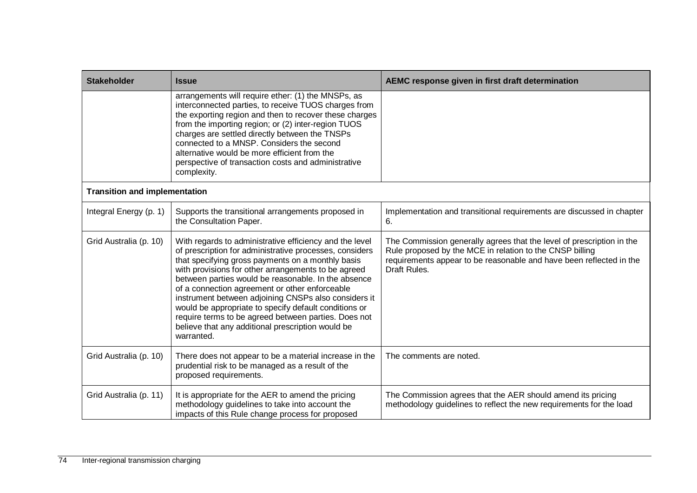| <b>Stakeholder</b>                   | <b>Issue</b>                                                                                                                                                                                                                                                                                                                                                                                                                                                                                                                                                                        | AEMC response given in first draft determination                                                                                                                                                                         |
|--------------------------------------|-------------------------------------------------------------------------------------------------------------------------------------------------------------------------------------------------------------------------------------------------------------------------------------------------------------------------------------------------------------------------------------------------------------------------------------------------------------------------------------------------------------------------------------------------------------------------------------|--------------------------------------------------------------------------------------------------------------------------------------------------------------------------------------------------------------------------|
|                                      | arrangements will require ether: (1) the MNSPs, as<br>interconnected parties, to receive TUOS charges from<br>the exporting region and then to recover these charges<br>from the importing region; or (2) inter-region TUOS<br>charges are settled directly between the TNSPs<br>connected to a MNSP. Considers the second<br>alternative would be more efficient from the<br>perspective of transaction costs and administrative<br>complexity.                                                                                                                                    |                                                                                                                                                                                                                          |
| <b>Transition and implementation</b> |                                                                                                                                                                                                                                                                                                                                                                                                                                                                                                                                                                                     |                                                                                                                                                                                                                          |
| Integral Energy (p. 1)               | Supports the transitional arrangements proposed in<br>the Consultation Paper.                                                                                                                                                                                                                                                                                                                                                                                                                                                                                                       | Implementation and transitional requirements are discussed in chapter<br>6.                                                                                                                                              |
| Grid Australia (p. 10)               | With regards to administrative efficiency and the level<br>of prescription for administrative processes, considers<br>that specifying gross payments on a monthly basis<br>with provisions for other arrangements to be agreed<br>between parties would be reasonable. In the absence<br>of a connection agreement or other enforceable<br>instrument between adjoining CNSPs also considers it<br>would be appropriate to specify default conditions or<br>require terms to be agreed between parties. Does not<br>believe that any additional prescription would be<br>warranted. | The Commission generally agrees that the level of prescription in the<br>Rule proposed by the MCE in relation to the CNSP billing<br>requirements appear to be reasonable and have been reflected in the<br>Draft Rules. |
| Grid Australia (p. 10)               | There does not appear to be a material increase in the<br>prudential risk to be managed as a result of the<br>proposed requirements.                                                                                                                                                                                                                                                                                                                                                                                                                                                | The comments are noted.                                                                                                                                                                                                  |
| Grid Australia (p. 11)               | It is appropriate for the AER to amend the pricing<br>methodology guidelines to take into account the<br>impacts of this Rule change process for proposed                                                                                                                                                                                                                                                                                                                                                                                                                           | The Commission agrees that the AER should amend its pricing<br>methodology guidelines to reflect the new requirements for the load                                                                                       |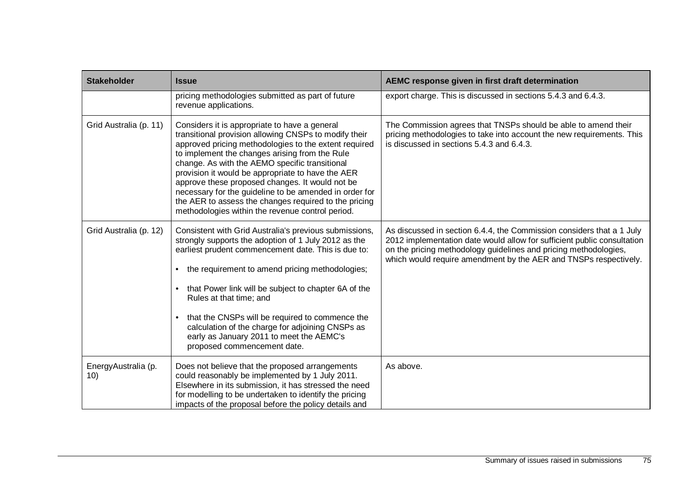| <b>Stakeholder</b>         | <b>Issue</b>                                                                                                                                                                                                                                                                                                                                                                                                                                                                                                                                       | AEMC response given in first draft determination                                                                                                                                                                                                                                         |
|----------------------------|----------------------------------------------------------------------------------------------------------------------------------------------------------------------------------------------------------------------------------------------------------------------------------------------------------------------------------------------------------------------------------------------------------------------------------------------------------------------------------------------------------------------------------------------------|------------------------------------------------------------------------------------------------------------------------------------------------------------------------------------------------------------------------------------------------------------------------------------------|
|                            | pricing methodologies submitted as part of future<br>revenue applications.                                                                                                                                                                                                                                                                                                                                                                                                                                                                         | export charge. This is discussed in sections 5.4.3 and 6.4.3.                                                                                                                                                                                                                            |
| Grid Australia (p. 11)     | Considers it is appropriate to have a general<br>transitional provision allowing CNSPs to modify their<br>approved pricing methodologies to the extent required<br>to implement the changes arising from the Rule<br>change. As with the AEMO specific transitional<br>provision it would be appropriate to have the AER<br>approve these proposed changes. It would not be<br>necessary for the guideline to be amended in order for<br>the AER to assess the changes required to the pricing<br>methodologies within the revenue control period. | The Commission agrees that TNSPs should be able to amend their<br>pricing methodologies to take into account the new requirements. This<br>is discussed in sections 5.4.3 and 6.4.3.                                                                                                     |
| Grid Australia (p. 12)     | Consistent with Grid Australia's previous submissions,<br>strongly supports the adoption of 1 July 2012 as the<br>earliest prudent commencement date. This is due to:<br>the requirement to amend pricing methodologies;<br>that Power link will be subject to chapter 6A of the<br>$\bullet$<br>Rules at that time; and<br>that the CNSPs will be required to commence the<br>$\bullet$<br>calculation of the charge for adjoining CNSPs as<br>early as January 2011 to meet the AEMC's<br>proposed commencement date.                            | As discussed in section 6.4.4, the Commission considers that a 1 July<br>2012 implementation date would allow for sufficient public consultation<br>on the pricing methodology guidelines and pricing methodologies,<br>which would require amendment by the AER and TNSPs respectively. |
| EnergyAustralia (p.<br>10) | Does not believe that the proposed arrangements<br>could reasonably be implemented by 1 July 2011.<br>Elsewhere in its submission, it has stressed the need<br>for modelling to be undertaken to identify the pricing<br>impacts of the proposal before the policy details and                                                                                                                                                                                                                                                                     | As above.                                                                                                                                                                                                                                                                                |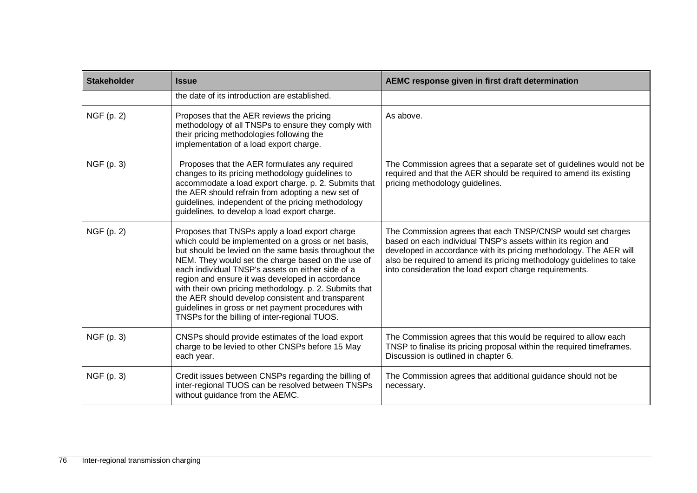| <b>Stakeholder</b> | <b>Issue</b>                                                                                                                                                                                                                                                                                                                                                                                                                                                                                                                                        | AEMC response given in first draft determination                                                                                                                                                                                                                                                                                     |
|--------------------|-----------------------------------------------------------------------------------------------------------------------------------------------------------------------------------------------------------------------------------------------------------------------------------------------------------------------------------------------------------------------------------------------------------------------------------------------------------------------------------------------------------------------------------------------------|--------------------------------------------------------------------------------------------------------------------------------------------------------------------------------------------------------------------------------------------------------------------------------------------------------------------------------------|
|                    | the date of its introduction are established.                                                                                                                                                                                                                                                                                                                                                                                                                                                                                                       |                                                                                                                                                                                                                                                                                                                                      |
| NGF (p. 2)         | Proposes that the AER reviews the pricing<br>methodology of all TNSPs to ensure they comply with<br>their pricing methodologies following the<br>implementation of a load export charge.                                                                                                                                                                                                                                                                                                                                                            | As above.                                                                                                                                                                                                                                                                                                                            |
| NGF (p. 3)         | Proposes that the AER formulates any required<br>changes to its pricing methodology guidelines to<br>accommodate a load export charge. p. 2. Submits that<br>the AER should refrain from adopting a new set of<br>guidelines, independent of the pricing methodology<br>guidelines, to develop a load export charge.                                                                                                                                                                                                                                | The Commission agrees that a separate set of guidelines would not be<br>required and that the AER should be required to amend its existing<br>pricing methodology guidelines.                                                                                                                                                        |
| NGF (p. 2)         | Proposes that TNSPs apply a load export charge<br>which could be implemented on a gross or net basis,<br>but should be levied on the same basis throughout the<br>NEM. They would set the charge based on the use of<br>each individual TNSP's assets on either side of a<br>region and ensure it was developed in accordance<br>with their own pricing methodology. p. 2. Submits that<br>the AER should develop consistent and transparent<br>guidelines in gross or net payment procedures with<br>TNSPs for the billing of inter-regional TUOS. | The Commission agrees that each TNSP/CNSP would set charges<br>based on each individual TNSP's assets within its region and<br>developed in accordance with its pricing methodology. The AER will<br>also be required to amend its pricing methodology guidelines to take<br>into consideration the load export charge requirements. |
| NGF (p. 3)         | CNSPs should provide estimates of the load export<br>charge to be levied to other CNSPs before 15 May<br>each year.                                                                                                                                                                                                                                                                                                                                                                                                                                 | The Commission agrees that this would be required to allow each<br>TNSP to finalise its pricing proposal within the required timeframes.<br>Discussion is outlined in chapter 6.                                                                                                                                                     |
| NGF (p. 3)         | Credit issues between CNSPs regarding the billing of<br>inter-regional TUOS can be resolved between TNSPs<br>without guidance from the AEMC.                                                                                                                                                                                                                                                                                                                                                                                                        | The Commission agrees that additional guidance should not be<br>necessary.                                                                                                                                                                                                                                                           |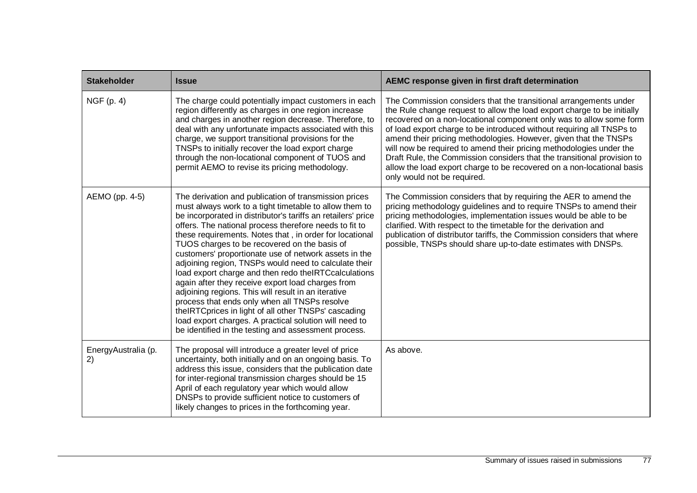| <b>Stakeholder</b>        | <b>Issue</b>                                                                                                                                                                                                                                                                                                                                                                                                                                                                                                                                                                                                                                                                                                                                                                                                                                                          | AEMC response given in first draft determination                                                                                                                                                                                                                                                                                                                                                                                                                                                                                                                                                                            |
|---------------------------|-----------------------------------------------------------------------------------------------------------------------------------------------------------------------------------------------------------------------------------------------------------------------------------------------------------------------------------------------------------------------------------------------------------------------------------------------------------------------------------------------------------------------------------------------------------------------------------------------------------------------------------------------------------------------------------------------------------------------------------------------------------------------------------------------------------------------------------------------------------------------|-----------------------------------------------------------------------------------------------------------------------------------------------------------------------------------------------------------------------------------------------------------------------------------------------------------------------------------------------------------------------------------------------------------------------------------------------------------------------------------------------------------------------------------------------------------------------------------------------------------------------------|
| NGF $(p. 4)$              | The charge could potentially impact customers in each<br>region differently as charges in one region increase<br>and charges in another region decrease. Therefore, to<br>deal with any unfortunate impacts associated with this<br>charge, we support transitional provisions for the<br>TNSPs to initially recover the load export charge<br>through the non-locational component of TUOS and<br>permit AEMO to revise its pricing methodology.                                                                                                                                                                                                                                                                                                                                                                                                                     | The Commission considers that the transitional arrangements under<br>the Rule change request to allow the load export charge to be initially<br>recovered on a non-locational component only was to allow some form<br>of load export charge to be introduced without requiring all TNSPs to<br>amend their pricing methodologies. However, given that the TNSPs<br>will now be required to amend their pricing methodologies under the<br>Draft Rule, the Commission considers that the transitional provision to<br>allow the load export charge to be recovered on a non-locational basis<br>only would not be required. |
| AEMO (pp. 4-5)            | The derivation and publication of transmission prices<br>must always work to a tight timetable to allow them to<br>be incorporated in distributor's tariffs an retailers' price<br>offers. The national process therefore needs to fit to<br>these requirements. Notes that, in order for locational<br>TUOS charges to be recovered on the basis of<br>customers' proportionate use of network assets in the<br>adjoining region, TNSPs would need to calculate their<br>load export charge and then redo theIRTCcalculations<br>again after they receive export load charges from<br>adjoining regions. This will result in an iterative<br>process that ends only when all TNSPs resolve<br>theIRTCprices in light of all other TNSPs' cascading<br>load export charges. A practical solution will need to<br>be identified in the testing and assessment process. | The Commission considers that by requiring the AER to amend the<br>pricing methodology guidelines and to require TNSPs to amend their<br>pricing methodologies, implementation issues would be able to be<br>clarified. With respect to the timetable for the derivation and<br>publication of distributor tariffs, the Commission considers that where<br>possible, TNSPs should share up-to-date estimates with DNSPs.                                                                                                                                                                                                    |
| EnergyAustralia (p.<br>2) | The proposal will introduce a greater level of price<br>uncertainty, both initially and on an ongoing basis. To<br>address this issue, considers that the publication date<br>for inter-regional transmission charges should be 15<br>April of each regulatory year which would allow<br>DNSPs to provide sufficient notice to customers of<br>likely changes to prices in the forthcoming year.                                                                                                                                                                                                                                                                                                                                                                                                                                                                      | As above.                                                                                                                                                                                                                                                                                                                                                                                                                                                                                                                                                                                                                   |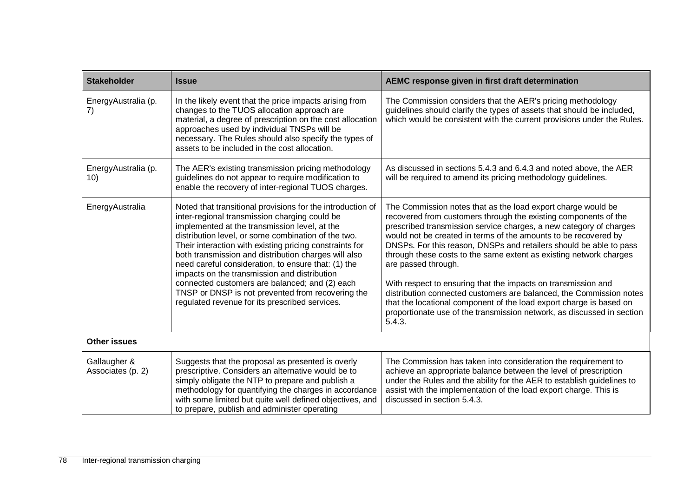| <b>Stakeholder</b>                | <b>Issue</b>                                                                                                                                                                                                                                                                                                                                                                                                                                                                                                                                                                                           | AEMC response given in first draft determination                                                                                                                                                                                                                                                                                                                                                                                                                                                                                                                                                                                                                                                                                               |
|-----------------------------------|--------------------------------------------------------------------------------------------------------------------------------------------------------------------------------------------------------------------------------------------------------------------------------------------------------------------------------------------------------------------------------------------------------------------------------------------------------------------------------------------------------------------------------------------------------------------------------------------------------|------------------------------------------------------------------------------------------------------------------------------------------------------------------------------------------------------------------------------------------------------------------------------------------------------------------------------------------------------------------------------------------------------------------------------------------------------------------------------------------------------------------------------------------------------------------------------------------------------------------------------------------------------------------------------------------------------------------------------------------------|
| EnergyAustralia (p.<br>7)         | In the likely event that the price impacts arising from<br>changes to the TUOS allocation approach are<br>material, a degree of prescription on the cost allocation<br>approaches used by individual TNSPs will be<br>necessary. The Rules should also specify the types of<br>assets to be included in the cost allocation.                                                                                                                                                                                                                                                                           | The Commission considers that the AER's pricing methodology<br>guidelines should clarify the types of assets that should be included,<br>which would be consistent with the current provisions under the Rules.                                                                                                                                                                                                                                                                                                                                                                                                                                                                                                                                |
| EnergyAustralia (p.<br>10)        | The AER's existing transmission pricing methodology<br>guidelines do not appear to require modification to<br>enable the recovery of inter-regional TUOS charges.                                                                                                                                                                                                                                                                                                                                                                                                                                      | As discussed in sections 5.4.3 and 6.4.3 and noted above, the AER<br>will be required to amend its pricing methodology guidelines.                                                                                                                                                                                                                                                                                                                                                                                                                                                                                                                                                                                                             |
| EnergyAustralia                   | Noted that transitional provisions for the introduction of<br>inter-regional transmission charging could be<br>implemented at the transmission level, at the<br>distribution level, or some combination of the two.<br>Their interaction with existing pricing constraints for<br>both transmission and distribution charges will also<br>need careful consideration, to ensure that: (1) the<br>impacts on the transmission and distribution<br>connected customers are balanced; and (2) each<br>TNSP or DNSP is not prevented from recovering the<br>regulated revenue for its prescribed services. | The Commission notes that as the load export charge would be<br>recovered from customers through the existing components of the<br>prescribed transmission service charges, a new category of charges<br>would not be created in terms of the amounts to be recovered by<br>DNSPs. For this reason, DNSPs and retailers should be able to pass<br>through these costs to the same extent as existing network charges<br>are passed through.<br>With respect to ensuring that the impacts on transmission and<br>distribution connected customers are balanced, the Commission notes<br>that the locational component of the load export charge is based on<br>proportionate use of the transmission network, as discussed in section<br>5.4.3. |
| <b>Other issues</b>               |                                                                                                                                                                                                                                                                                                                                                                                                                                                                                                                                                                                                        |                                                                                                                                                                                                                                                                                                                                                                                                                                                                                                                                                                                                                                                                                                                                                |
| Gallaugher &<br>Associates (p. 2) | Suggests that the proposal as presented is overly<br>prescriptive. Considers an alternative would be to<br>simply obligate the NTP to prepare and publish a<br>methodology for quantifying the charges in accordance<br>with some limited but quite well defined objectives, and<br>to prepare, publish and administer operating                                                                                                                                                                                                                                                                       | The Commission has taken into consideration the requirement to<br>achieve an appropriate balance between the level of prescription<br>under the Rules and the ability for the AER to establish guidelines to<br>assist with the implementation of the load export charge. This is<br>discussed in section 5.4.3.                                                                                                                                                                                                                                                                                                                                                                                                                               |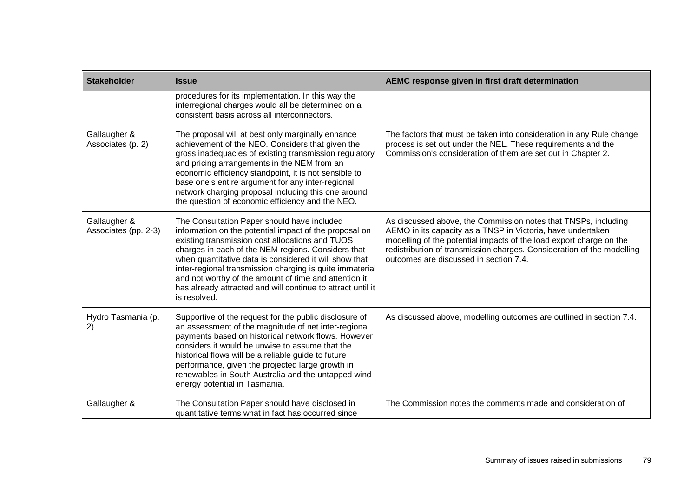| <b>Stakeholder</b>                   | <b>Issue</b>                                                                                                                                                                                                                                                                                                                                                                                                                                                                 | AEMC response given in first draft determination                                                                                                                                                                                                                                                                         |
|--------------------------------------|------------------------------------------------------------------------------------------------------------------------------------------------------------------------------------------------------------------------------------------------------------------------------------------------------------------------------------------------------------------------------------------------------------------------------------------------------------------------------|--------------------------------------------------------------------------------------------------------------------------------------------------------------------------------------------------------------------------------------------------------------------------------------------------------------------------|
|                                      | procedures for its implementation. In this way the<br>interregional charges would all be determined on a<br>consistent basis across all interconnectors.                                                                                                                                                                                                                                                                                                                     |                                                                                                                                                                                                                                                                                                                          |
| Gallaugher &<br>Associates (p. 2)    | The proposal will at best only marginally enhance<br>achievement of the NEO. Considers that given the<br>gross inadequacies of existing transmission regulatory<br>and pricing arrangements in the NEM from an<br>economic efficiency standpoint, it is not sensible to<br>base one's entire argument for any inter-regional<br>network charging proposal including this one around<br>the question of economic efficiency and the NEO.                                      | The factors that must be taken into consideration in any Rule change<br>process is set out under the NEL. These requirements and the<br>Commission's consideration of them are set out in Chapter 2.                                                                                                                     |
| Gallaugher &<br>Associates (pp. 2-3) | The Consultation Paper should have included<br>information on the potential impact of the proposal on<br>existing transmission cost allocations and TUOS<br>charges in each of the NEM regions. Considers that<br>when quantitative data is considered it will show that<br>inter-regional transmission charging is quite immaterial<br>and not worthy of the amount of time and attention it<br>has already attracted and will continue to attract until it<br>is resolved. | As discussed above, the Commission notes that TNSPs, including<br>AEMO in its capacity as a TNSP in Victoria, have undertaken<br>modelling of the potential impacts of the load export charge on the<br>redistribution of transmission charges. Consideration of the modelling<br>outcomes are discussed in section 7.4. |
| Hydro Tasmania (p.<br>2)             | Supportive of the request for the public disclosure of<br>an assessment of the magnitude of net inter-regional<br>payments based on historical network flows. However<br>considers it would be unwise to assume that the<br>historical flows will be a reliable guide to future<br>performance, given the projected large growth in<br>renewables in South Australia and the untapped wind<br>energy potential in Tasmania.                                                  | As discussed above, modelling outcomes are outlined in section 7.4.                                                                                                                                                                                                                                                      |
| Gallaugher &                         | The Consultation Paper should have disclosed in<br>quantitative terms what in fact has occurred since                                                                                                                                                                                                                                                                                                                                                                        | The Commission notes the comments made and consideration of                                                                                                                                                                                                                                                              |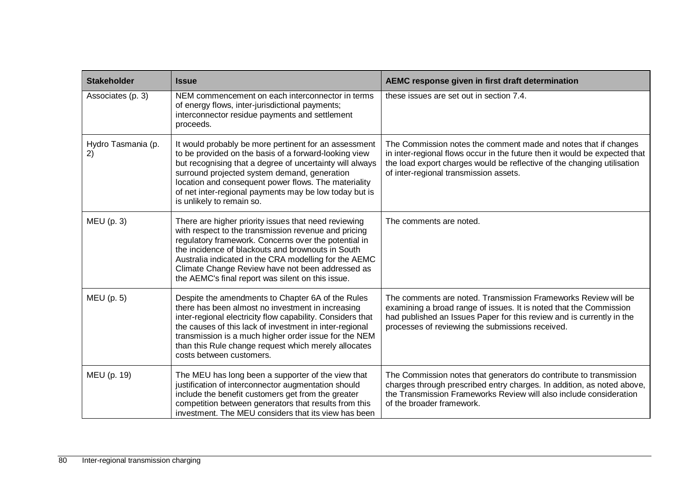| <b>Stakeholder</b>       | <b>Issue</b>                                                                                                                                                                                                                                                                                                                                                                                | AEMC response given in first draft determination                                                                                                                                                                                                                   |
|--------------------------|---------------------------------------------------------------------------------------------------------------------------------------------------------------------------------------------------------------------------------------------------------------------------------------------------------------------------------------------------------------------------------------------|--------------------------------------------------------------------------------------------------------------------------------------------------------------------------------------------------------------------------------------------------------------------|
| Associates (p. 3)        | NEM commencement on each interconnector in terms<br>of energy flows, inter-jurisdictional payments;<br>interconnector residue payments and settlement<br>proceeds.                                                                                                                                                                                                                          | these issues are set out in section 7.4.                                                                                                                                                                                                                           |
| Hydro Tasmania (p.<br>2) | It would probably be more pertinent for an assessment<br>to be provided on the basis of a forward-looking view<br>but recognising that a degree of uncertainty will always<br>surround projected system demand, generation<br>location and consequent power flows. The materiality<br>of net inter-regional payments may be low today but is<br>is unlikely to remain so.                   | The Commission notes the comment made and notes that if changes<br>in inter-regional flows occur in the future then it would be expected that<br>the load export charges would be reflective of the changing utilisation<br>of inter-regional transmission assets. |
| $MEU$ (p. 3)             | There are higher priority issues that need reviewing<br>with respect to the transmission revenue and pricing<br>regulatory framework. Concerns over the potential in<br>the incidence of blackouts and brownouts in South<br>Australia indicated in the CRA modelling for the AEMC<br>Climate Change Review have not been addressed as<br>the AEMC's final report was silent on this issue. | The comments are noted.                                                                                                                                                                                                                                            |
| $MEU$ (p. 5)             | Despite the amendments to Chapter 6A of the Rules<br>there has been almost no investment in increasing<br>inter-regional electricity flow capability. Considers that<br>the causes of this lack of investment in inter-regional<br>transmission is a much higher order issue for the NEM<br>than this Rule change request which merely allocates<br>costs between customers.                | The comments are noted. Transmission Frameworks Review will be<br>examining a broad range of issues. It is noted that the Commission<br>had published an Issues Paper for this review and is currently in the<br>processes of reviewing the submissions received.  |
| MEU (p. 19)              | The MEU has long been a supporter of the view that<br>justification of interconnector augmentation should<br>include the benefit customers get from the greater<br>competition between generators that results from this<br>investment. The MEU considers that its view has been                                                                                                            | The Commission notes that generators do contribute to transmission<br>charges through prescribed entry charges. In addition, as noted above,<br>the Transmission Frameworks Review will also include consideration<br>of the broader framework.                    |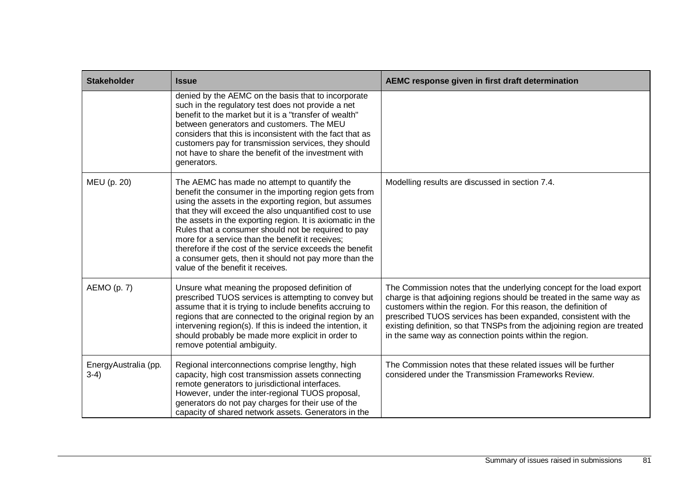| <b>Stakeholder</b>             | <b>Issue</b>                                                                                                                                                                                                                                                                                                                                                                                                                                                                                                                                                  | AEMC response given in first draft determination                                                                                                                                                                                                                                                                                                                                                                           |
|--------------------------------|---------------------------------------------------------------------------------------------------------------------------------------------------------------------------------------------------------------------------------------------------------------------------------------------------------------------------------------------------------------------------------------------------------------------------------------------------------------------------------------------------------------------------------------------------------------|----------------------------------------------------------------------------------------------------------------------------------------------------------------------------------------------------------------------------------------------------------------------------------------------------------------------------------------------------------------------------------------------------------------------------|
|                                | denied by the AEMC on the basis that to incorporate<br>such in the regulatory test does not provide a net<br>benefit to the market but it is a "transfer of wealth"<br>between generators and customers. The MEU<br>considers that this is inconsistent with the fact that as<br>customers pay for transmission services, they should<br>not have to share the benefit of the investment with<br>generators.                                                                                                                                                  |                                                                                                                                                                                                                                                                                                                                                                                                                            |
| MEU (p. 20)                    | The AEMC has made no attempt to quantify the<br>benefit the consumer in the importing region gets from<br>using the assets in the exporting region, but assumes<br>that they will exceed the also unquantified cost to use<br>the assets in the exporting region. It is axiomatic in the<br>Rules that a consumer should not be required to pay<br>more for a service than the benefit it receives;<br>therefore if the cost of the service exceeds the benefit<br>a consumer gets, then it should not pay more than the<br>value of the benefit it receives. | Modelling results are discussed in section 7.4.                                                                                                                                                                                                                                                                                                                                                                            |
| AEMO (p. 7)                    | Unsure what meaning the proposed definition of<br>prescribed TUOS services is attempting to convey but<br>assume that it is trying to include benefits accruing to<br>regions that are connected to the original region by an<br>intervening region(s). If this is indeed the intention, it<br>should probably be made more explicit in order to<br>remove potential ambiguity.                                                                                                                                                                               | The Commission notes that the underlying concept for the load export<br>charge is that adjoining regions should be treated in the same way as<br>customers within the region. For this reason, the definition of<br>prescribed TUOS services has been expanded, consistent with the<br>existing definition, so that TNSPs from the adjoining region are treated<br>in the same way as connection points within the region. |
| EnergyAustralia (pp.<br>$3-4)$ | Regional interconnections comprise lengthy, high<br>capacity, high cost transmission assets connecting<br>remote generators to jurisdictional interfaces.<br>However, under the inter-regional TUOS proposal,<br>generators do not pay charges for their use of the<br>capacity of shared network assets. Generators in the                                                                                                                                                                                                                                   | The Commission notes that these related issues will be further<br>considered under the Transmission Frameworks Review.                                                                                                                                                                                                                                                                                                     |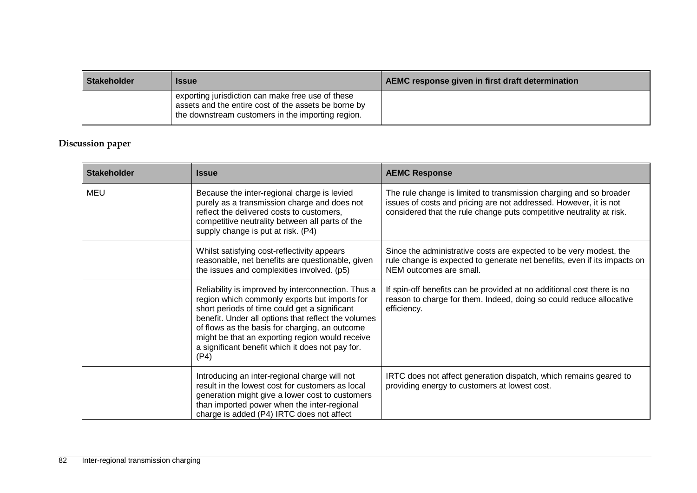| <b>Stakeholder</b> | <b>Issue</b>                                                                                                                                                   | AEMC response given in first draft determination |
|--------------------|----------------------------------------------------------------------------------------------------------------------------------------------------------------|--------------------------------------------------|
|                    | exporting jurisdiction can make free use of these<br>assets and the entire cost of the assets be borne by<br>the downstream customers in the importing region. |                                                  |

## **Discussion paper**

| <b>Stakeholder</b> | <b>Issue</b>                                                                                                                                                                                                                                                                                                                                                                 | <b>AEMC Response</b>                                                                                                                                                                                            |
|--------------------|------------------------------------------------------------------------------------------------------------------------------------------------------------------------------------------------------------------------------------------------------------------------------------------------------------------------------------------------------------------------------|-----------------------------------------------------------------------------------------------------------------------------------------------------------------------------------------------------------------|
| <b>MEU</b>         | Because the inter-regional charge is levied<br>purely as a transmission charge and does not<br>reflect the delivered costs to customers,<br>competitive neutrality between all parts of the<br>supply change is put at risk. (P4)                                                                                                                                            | The rule change is limited to transmission charging and so broader<br>issues of costs and pricing are not addressed. However, it is not<br>considered that the rule change puts competitive neutrality at risk. |
|                    | Whilst satisfying cost-reflectivity appears<br>reasonable, net benefits are questionable, given<br>the issues and complexities involved. (p5)                                                                                                                                                                                                                                | Since the administrative costs are expected to be very modest, the<br>rule change is expected to generate net benefits, even if its impacts on<br>NEM outcomes are small.                                       |
|                    | Reliability is improved by interconnection. Thus a<br>region which commonly exports but imports for<br>short periods of time could get a significant<br>benefit. Under all options that reflect the volumes<br>of flows as the basis for charging, an outcome<br>might be that an exporting region would receive<br>a significant benefit which it does not pay for.<br>(P4) | If spin-off benefits can be provided at no additional cost there is no<br>reason to charge for them. Indeed, doing so could reduce allocative<br>efficiency.                                                    |
|                    | Introducing an inter-regional charge will not<br>result in the lowest cost for customers as local<br>generation might give a lower cost to customers<br>than imported power when the inter-regional<br>charge is added (P4) IRTC does not affect                                                                                                                             | IRTC does not affect generation dispatch, which remains geared to<br>providing energy to customers at lowest cost.                                                                                              |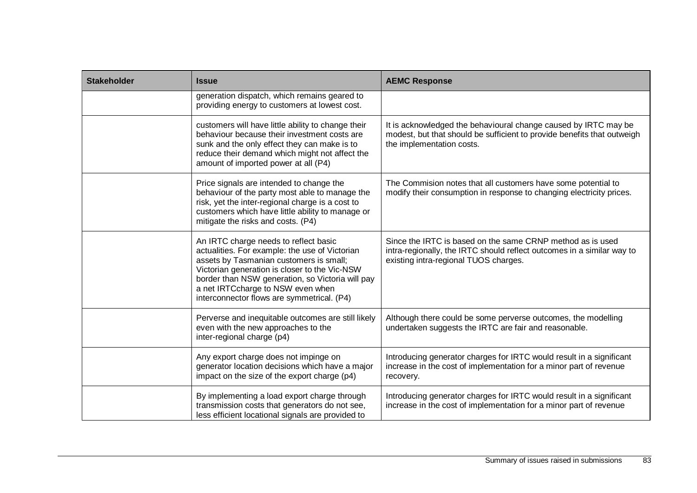| <b>Stakeholder</b> | <b>Issue</b>                                                                                                                                                                                                                                                                                                               | <b>AEMC Response</b>                                                                                                                                                          |
|--------------------|----------------------------------------------------------------------------------------------------------------------------------------------------------------------------------------------------------------------------------------------------------------------------------------------------------------------------|-------------------------------------------------------------------------------------------------------------------------------------------------------------------------------|
|                    | generation dispatch, which remains geared to<br>providing energy to customers at lowest cost.                                                                                                                                                                                                                              |                                                                                                                                                                               |
|                    | customers will have little ability to change their<br>behaviour because their investment costs are<br>sunk and the only effect they can make is to<br>reduce their demand which might not affect the<br>amount of imported power at all (P4)                                                                               | It is acknowledged the behavioural change caused by IRTC may be<br>modest, but that should be sufficient to provide benefits that outweigh<br>the implementation costs.       |
|                    | Price signals are intended to change the<br>behaviour of the party most able to manage the<br>risk, yet the inter-regional charge is a cost to<br>customers which have little ability to manage or<br>mitigate the risks and costs. (P4)                                                                                   | The Commision notes that all customers have some potential to<br>modify their consumption in response to changing electricity prices.                                         |
|                    | An IRTC charge needs to reflect basic<br>actualities. For example: the use of Victorian<br>assets by Tasmanian customers is small;<br>Victorian generation is closer to the Vic-NSW<br>border than NSW generation, so Victoria will pay<br>a net IRTCcharge to NSW even when<br>interconnector flows are symmetrical. (P4) | Since the IRTC is based on the same CRNP method as is used<br>intra-regionally, the IRTC should reflect outcomes in a similar way to<br>existing intra-regional TUOS charges. |
|                    | Perverse and inequitable outcomes are still likely<br>even with the new approaches to the<br>inter-regional charge (p4)                                                                                                                                                                                                    | Although there could be some perverse outcomes, the modelling<br>undertaken suggests the IRTC are fair and reasonable.                                                        |
|                    | Any export charge does not impinge on<br>generator location decisions which have a major<br>impact on the size of the export charge (p4)                                                                                                                                                                                   | Introducing generator charges for IRTC would result in a significant<br>increase in the cost of implementation for a minor part of revenue<br>recovery.                       |
|                    | By implementing a load export charge through<br>transmission costs that generators do not see,<br>less efficient locational signals are provided to                                                                                                                                                                        | Introducing generator charges for IRTC would result in a significant<br>increase in the cost of implementation for a minor part of revenue                                    |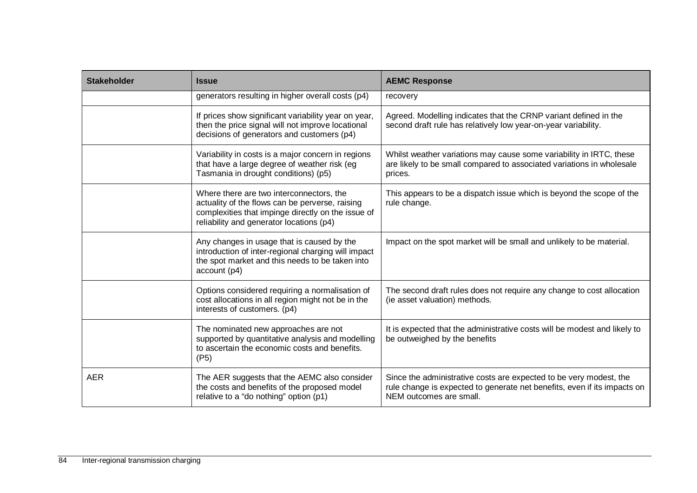| <b>Stakeholder</b> | <b>Issue</b>                                                                                                                                                                                  | <b>AEMC Response</b>                                                                                                                                                      |
|--------------------|-----------------------------------------------------------------------------------------------------------------------------------------------------------------------------------------------|---------------------------------------------------------------------------------------------------------------------------------------------------------------------------|
|                    | generators resulting in higher overall costs (p4)                                                                                                                                             | recovery                                                                                                                                                                  |
|                    | If prices show significant variability year on year,<br>then the price signal will not improve locational<br>decisions of generators and customers (p4)                                       | Agreed. Modelling indicates that the CRNP variant defined in the<br>second draft rule has relatively low year-on-year variability.                                        |
|                    | Variability in costs is a major concern in regions<br>that have a large degree of weather risk (eg<br>Tasmania in drought conditions) (p5)                                                    | Whilst weather variations may cause some variability in IRTC, these<br>are likely to be small compared to associated variations in wholesale<br>prices.                   |
|                    | Where there are two interconnectors, the<br>actuality of the flows can be perverse, raising<br>complexities that impinge directly on the issue of<br>reliability and generator locations (p4) | This appears to be a dispatch issue which is beyond the scope of the<br>rule change.                                                                                      |
|                    | Any changes in usage that is caused by the<br>introduction of inter-regional charging will impact<br>the spot market and this needs to be taken into<br>account (p4)                          | Impact on the spot market will be small and unlikely to be material.                                                                                                      |
|                    | Options considered requiring a normalisation of<br>cost allocations in all region might not be in the<br>interests of customers. (p4)                                                         | The second draft rules does not require any change to cost allocation<br>(ie asset valuation) methods.                                                                    |
|                    | The nominated new approaches are not<br>supported by quantitative analysis and modelling<br>to ascertain the economic costs and benefits.<br>(P5)                                             | It is expected that the administrative costs will be modest and likely to<br>be outweighed by the benefits                                                                |
| <b>AER</b>         | The AER suggests that the AEMC also consider<br>the costs and benefits of the proposed model<br>relative to a "do nothing" option (p1)                                                        | Since the administrative costs are expected to be very modest, the<br>rule change is expected to generate net benefits, even if its impacts on<br>NEM outcomes are small. |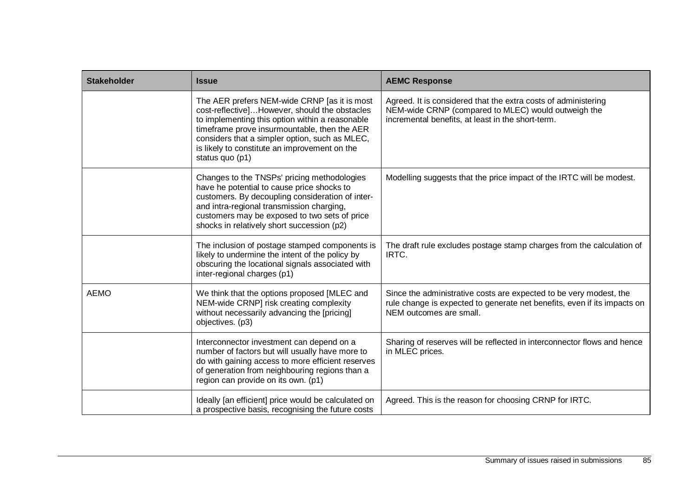| <b>Stakeholder</b> | <b>Issue</b>                                                                                                                                                                                                                                                                                                           | <b>AEMC Response</b>                                                                                                                                                       |
|--------------------|------------------------------------------------------------------------------------------------------------------------------------------------------------------------------------------------------------------------------------------------------------------------------------------------------------------------|----------------------------------------------------------------------------------------------------------------------------------------------------------------------------|
|                    | The AER prefers NEM-wide CRNP [as it is most<br>cost-reflective]However, should the obstacles<br>to implementing this option within a reasonable<br>timeframe prove insurmountable, then the AER<br>considers that a simpler option, such as MLEC,<br>is likely to constitute an improvement on the<br>status quo (p1) | Agreed. It is considered that the extra costs of administering<br>NEM-wide CRNP (compared to MLEC) would outweigh the<br>incremental benefits, at least in the short-term. |
|                    | Changes to the TNSPs' pricing methodologies<br>have he potential to cause price shocks to<br>customers. By decoupling consideration of inter-<br>and intra-regional transmission charging,<br>customers may be exposed to two sets of price<br>shocks in relatively short succession (p2)                              | Modelling suggests that the price impact of the IRTC will be modest.                                                                                                       |
|                    | The inclusion of postage stamped components is<br>likely to undermine the intent of the policy by<br>obscuring the locational signals associated with<br>inter-regional charges (p1)                                                                                                                                   | The draft rule excludes postage stamp charges from the calculation of<br>IRTC.                                                                                             |
| <b>AEMO</b>        | We think that the options proposed [MLEC and<br>NEM-wide CRNP] risk creating complexity<br>without necessarily advancing the [pricing]<br>objectives. (p3)                                                                                                                                                             | Since the administrative costs are expected to be very modest, the<br>rule change is expected to generate net benefits, even if its impacts on<br>NEM outcomes are small.  |
|                    | Interconnector investment can depend on a<br>number of factors but will usually have more to<br>do with gaining access to more efficient reserves<br>of generation from neighbouring regions than a<br>region can provide on its own. (p1)                                                                             | Sharing of reserves will be reflected in interconnector flows and hence<br>in MLEC prices.                                                                                 |
|                    | Ideally [an efficient] price would be calculated on<br>a prospective basis, recognising the future costs                                                                                                                                                                                                               | Agreed. This is the reason for choosing CRNP for IRTC.                                                                                                                     |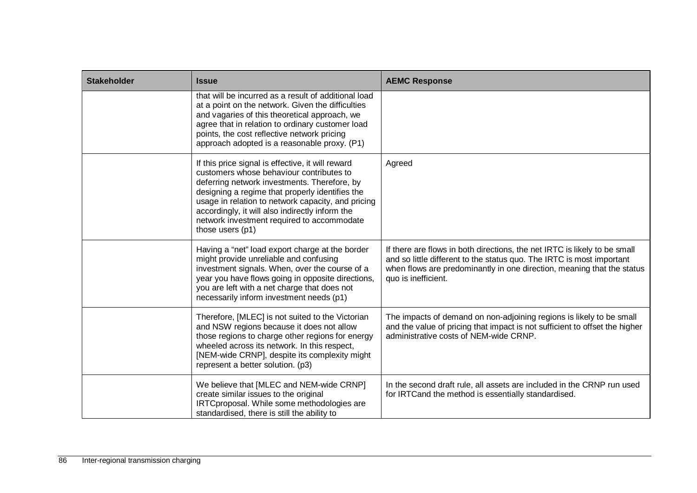| <b>Stakeholder</b> | <b>Issue</b>                                                                                                                                                                                                                                                                                                                                                                | <b>AEMC Response</b>                                                                                                                                                                                                                                |
|--------------------|-----------------------------------------------------------------------------------------------------------------------------------------------------------------------------------------------------------------------------------------------------------------------------------------------------------------------------------------------------------------------------|-----------------------------------------------------------------------------------------------------------------------------------------------------------------------------------------------------------------------------------------------------|
|                    | that will be incurred as a result of additional load<br>at a point on the network. Given the difficulties<br>and vagaries of this theoretical approach, we<br>agree that in relation to ordinary customer load<br>points, the cost reflective network pricing<br>approach adopted is a reasonable proxy. (P1)                                                               |                                                                                                                                                                                                                                                     |
|                    | If this price signal is effective, it will reward<br>customers whose behaviour contributes to<br>deferring network investments. Therefore, by<br>designing a regime that properly identifies the<br>usage in relation to network capacity, and pricing<br>accordingly, it will also indirectly inform the<br>network investment required to accommodate<br>those users (p1) | Agreed                                                                                                                                                                                                                                              |
|                    | Having a "net" load export charge at the border<br>might provide unreliable and confusing<br>investment signals. When, over the course of a<br>year you have flows going in opposite directions,<br>you are left with a net charge that does not<br>necessarily inform investment needs (p1)                                                                                | If there are flows in both directions, the net IRTC is likely to be small<br>and so little different to the status quo. The IRTC is most important<br>when flows are predominantly in one direction, meaning that the status<br>quo is inefficient. |
|                    | Therefore, [MLEC] is not suited to the Victorian<br>and NSW regions because it does not allow<br>those regions to charge other regions for energy<br>wheeled across its network. In this respect,<br>[NEM-wide CRNP], despite its complexity might<br>represent a better solution. (p3)                                                                                     | The impacts of demand on non-adjoining regions is likely to be small<br>and the value of pricing that impact is not sufficient to offset the higher<br>administrative costs of NEM-wide CRNP.                                                       |
|                    | We believe that [MLEC and NEM-wide CRNP]<br>create similar issues to the original<br>IRTCproposal. While some methodologies are<br>standardised, there is still the ability to                                                                                                                                                                                              | In the second draft rule, all assets are included in the CRNP run used<br>for IRTCand the method is essentially standardised.                                                                                                                       |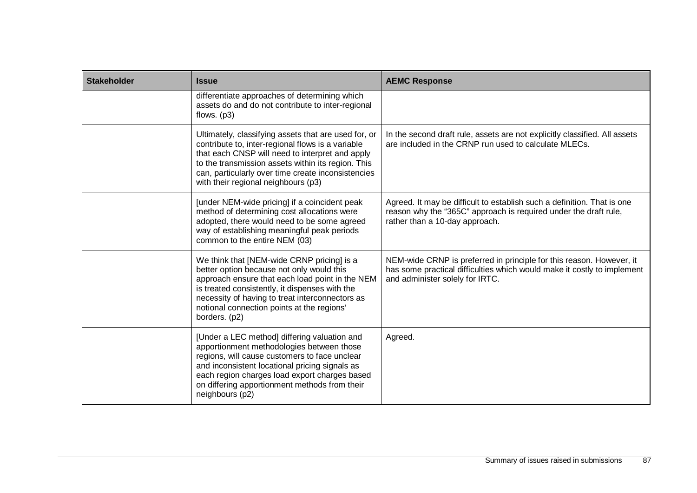| <b>Stakeholder</b> | <b>Issue</b>                                                                                                                                                                                                                                                                                                      | <b>AEMC Response</b>                                                                                                                                                               |
|--------------------|-------------------------------------------------------------------------------------------------------------------------------------------------------------------------------------------------------------------------------------------------------------------------------------------------------------------|------------------------------------------------------------------------------------------------------------------------------------------------------------------------------------|
|                    | differentiate approaches of determining which<br>assets do and do not contribute to inter-regional<br>flows. $(p3)$                                                                                                                                                                                               |                                                                                                                                                                                    |
|                    | Ultimately, classifying assets that are used for, or<br>contribute to, inter-regional flows is a variable<br>that each CNSP will need to interpret and apply<br>to the transmission assets within its region. This<br>can, particularly over time create inconsistencies<br>with their regional neighbours (p3)   | In the second draft rule, assets are not explicitly classified. All assets<br>are included in the CRNP run used to calculate MLECs.                                                |
|                    | [under NEM-wide pricing] if a coincident peak<br>method of determining cost allocations were<br>adopted, there would need to be some agreed<br>way of establishing meaningful peak periods<br>common to the entire NEM (03)                                                                                       | Agreed. It may be difficult to establish such a definition. That is one<br>reason why the "365C" approach is required under the draft rule,<br>rather than a 10-day approach.      |
|                    | We think that [NEM-wide CRNP pricing] is a<br>better option because not only would this<br>approach ensure that each load point in the NEM<br>is treated consistently, it dispenses with the<br>necessity of having to treat interconnectors as<br>notional connection points at the regions'<br>borders. (p2)    | NEM-wide CRNP is preferred in principle for this reason. However, it<br>has some practical difficulties which would make it costly to implement<br>and administer solely for IRTC. |
|                    | [Under a LEC method] differing valuation and<br>apportionment methodologies between those<br>regions, will cause customers to face unclear<br>and inconsistent locational pricing signals as<br>each region charges load export charges based<br>on differing apportionment methods from their<br>neighbours (p2) | Agreed.                                                                                                                                                                            |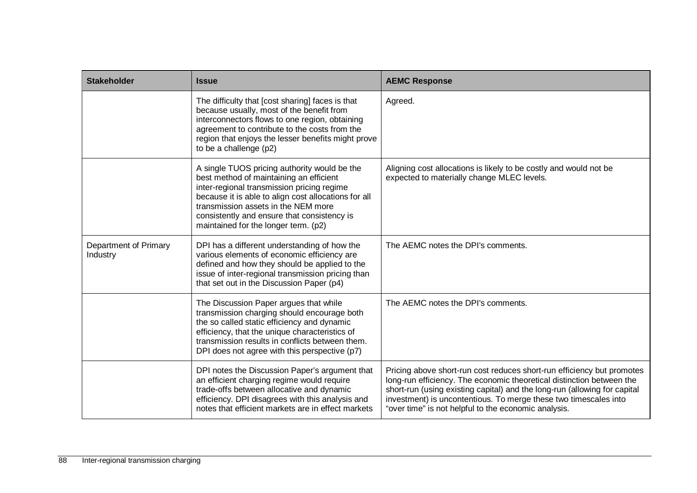| <b>Stakeholder</b>                | <b>Issue</b>                                                                                                                                                                                                                                                                                                                | <b>AEMC Response</b>                                                                                                                                                                                                                                                                                                                                     |
|-----------------------------------|-----------------------------------------------------------------------------------------------------------------------------------------------------------------------------------------------------------------------------------------------------------------------------------------------------------------------------|----------------------------------------------------------------------------------------------------------------------------------------------------------------------------------------------------------------------------------------------------------------------------------------------------------------------------------------------------------|
|                                   | The difficulty that [cost sharing] faces is that<br>because usually, most of the benefit from<br>interconnectors flows to one region, obtaining<br>agreement to contribute to the costs from the<br>region that enjoys the lesser benefits might prove<br>to be a challenge (p2)                                            | Agreed.                                                                                                                                                                                                                                                                                                                                                  |
|                                   | A single TUOS pricing authority would be the<br>best method of maintaining an efficient<br>inter-regional transmission pricing regime<br>because it is able to align cost allocations for all<br>transmission assets in the NEM more<br>consistently and ensure that consistency is<br>maintained for the longer term. (p2) | Aligning cost allocations is likely to be costly and would not be<br>expected to materially change MLEC levels.                                                                                                                                                                                                                                          |
| Department of Primary<br>Industry | DPI has a different understanding of how the<br>various elements of economic efficiency are<br>defined and how they should be applied to the<br>issue of inter-regional transmission pricing than<br>that set out in the Discussion Paper (p4)                                                                              | The AEMC notes the DPI's comments.                                                                                                                                                                                                                                                                                                                       |
|                                   | The Discussion Paper argues that while<br>transmission charging should encourage both<br>the so called static efficiency and dynamic<br>efficiency, that the unique characteristics of<br>transmission results in conflicts between them.<br>DPI does not agree with this perspective (p7)                                  | The AEMC notes the DPI's comments.                                                                                                                                                                                                                                                                                                                       |
|                                   | DPI notes the Discussion Paper's argument that<br>an efficient charging regime would require<br>trade-offs between allocative and dynamic<br>efficiency. DPI disagrees with this analysis and<br>notes that efficient markets are in effect markets                                                                         | Pricing above short-run cost reduces short-run efficiency but promotes<br>long-run efficiency. The economic theoretical distinction between the<br>short-run (using existing capital) and the long-run (allowing for capital<br>investment) is uncontentious. To merge these two timescales into<br>"over time" is not helpful to the economic analysis. |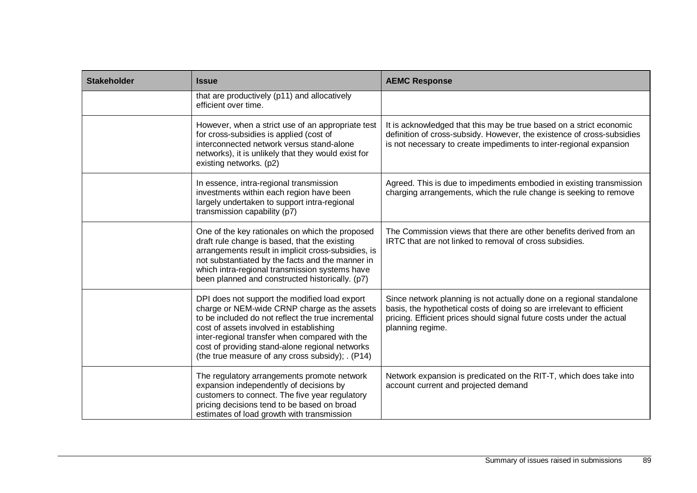| <b>Stakeholder</b> | <b>Issue</b>                                                                                                                                                                                                                                                                                                                                            | <b>AEMC Response</b>                                                                                                                                                                                                                       |
|--------------------|---------------------------------------------------------------------------------------------------------------------------------------------------------------------------------------------------------------------------------------------------------------------------------------------------------------------------------------------------------|--------------------------------------------------------------------------------------------------------------------------------------------------------------------------------------------------------------------------------------------|
|                    | that are productively (p11) and allocatively<br>efficient over time.                                                                                                                                                                                                                                                                                    |                                                                                                                                                                                                                                            |
|                    | However, when a strict use of an appropriate test<br>for cross-subsidies is applied (cost of<br>interconnected network versus stand-alone<br>networks), it is unlikely that they would exist for<br>existing networks. (p2)                                                                                                                             | It is acknowledged that this may be true based on a strict economic<br>definition of cross-subsidy. However, the existence of cross-subsidies<br>is not necessary to create impediments to inter-regional expansion                        |
|                    | In essence, intra-regional transmission<br>investments within each region have been<br>largely undertaken to support intra-regional<br>transmission capability (p7)                                                                                                                                                                                     | Agreed. This is due to impediments embodied in existing transmission<br>charging arrangements, which the rule change is seeking to remove                                                                                                  |
|                    | One of the key rationales on which the proposed<br>draft rule change is based, that the existing<br>arrangements result in implicit cross-subsidies, is<br>not substantiated by the facts and the manner in<br>which intra-regional transmission systems have<br>been planned and constructed historically. (p7)                                        | The Commission views that there are other benefits derived from an<br>IRTC that are not linked to removal of cross subsidies.                                                                                                              |
|                    | DPI does not support the modified load export<br>charge or NEM-wide CRNP charge as the assets<br>to be included do not reflect the true incremental<br>cost of assets involved in establishing<br>inter-regional transfer when compared with the<br>cost of providing stand-alone regional networks<br>(the true measure of any cross subsidy); . (P14) | Since network planning is not actually done on a regional standalone<br>basis, the hypothetical costs of doing so are irrelevant to efficient<br>pricing. Efficient prices should signal future costs under the actual<br>planning regime. |
|                    | The regulatory arrangements promote network<br>expansion independently of decisions by<br>customers to connect. The five year regulatory<br>pricing decisions tend to be based on broad<br>estimates of load growth with transmission                                                                                                                   | Network expansion is predicated on the RIT-T, which does take into<br>account current and projected demand                                                                                                                                 |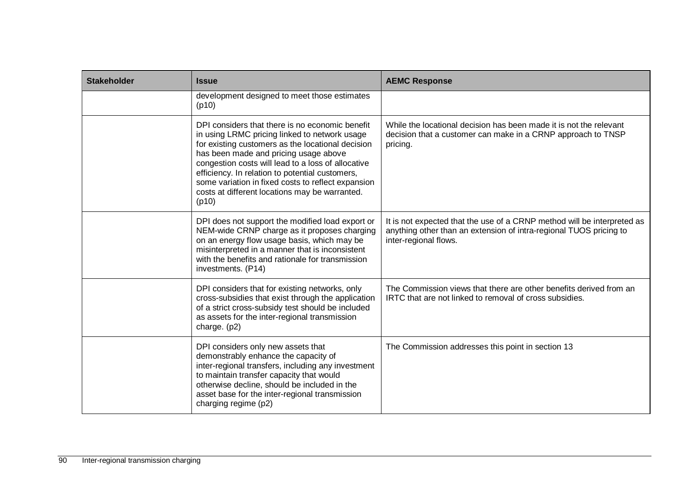| <b>Stakeholder</b> | <b>Issue</b>                                                                                                                                                                                                                                                                                                                                                                                                             | <b>AEMC Response</b>                                                                                                                                                   |
|--------------------|--------------------------------------------------------------------------------------------------------------------------------------------------------------------------------------------------------------------------------------------------------------------------------------------------------------------------------------------------------------------------------------------------------------------------|------------------------------------------------------------------------------------------------------------------------------------------------------------------------|
|                    | development designed to meet those estimates<br>(p10)                                                                                                                                                                                                                                                                                                                                                                    |                                                                                                                                                                        |
|                    | DPI considers that there is no economic benefit<br>in using LRMC pricing linked to network usage<br>for existing customers as the locational decision<br>has been made and pricing usage above<br>congestion costs will lead to a loss of allocative<br>efficiency. In relation to potential customers,<br>some variation in fixed costs to reflect expansion<br>costs at different locations may be warranted.<br>(p10) | While the locational decision has been made it is not the relevant<br>decision that a customer can make in a CRNP approach to TNSP<br>pricing.                         |
|                    | DPI does not support the modified load export or<br>NEM-wide CRNP charge as it proposes charging<br>on an energy flow usage basis, which may be<br>misinterpreted in a manner that is inconsistent<br>with the benefits and rationale for transmission<br>investments. (P14)                                                                                                                                             | It is not expected that the use of a CRNP method will be interpreted as<br>anything other than an extension of intra-regional TUOS pricing to<br>inter-regional flows. |
|                    | DPI considers that for existing networks, only<br>cross-subsidies that exist through the application<br>of a strict cross-subsidy test should be included<br>as assets for the inter-regional transmission<br>charge. (p2)                                                                                                                                                                                               | The Commission views that there are other benefits derived from an<br>IRTC that are not linked to removal of cross subsidies.                                          |
|                    | DPI considers only new assets that<br>demonstrably enhance the capacity of<br>inter-regional transfers, including any investment<br>to maintain transfer capacity that would<br>otherwise decline, should be included in the<br>asset base for the inter-regional transmission<br>charging regime (p2)                                                                                                                   | The Commission addresses this point in section 13                                                                                                                      |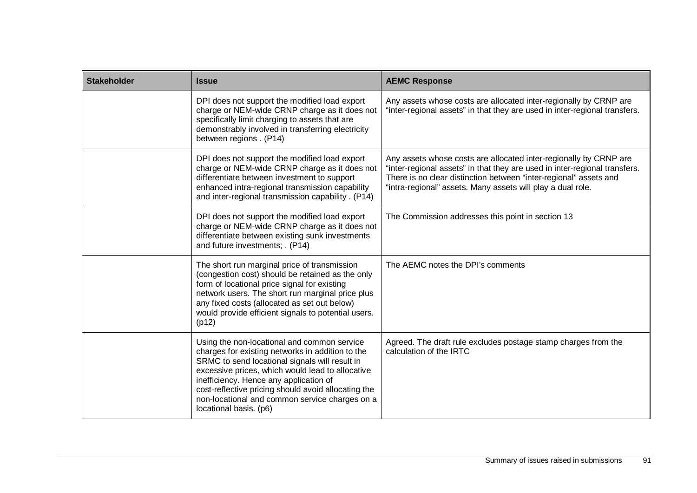| <b>Stakeholder</b> | <b>Issue</b>                                                                                                                                                                                                                                                                                                                                                                       | <b>AEMC Response</b>                                                                                                                                                                                                                                                                |
|--------------------|------------------------------------------------------------------------------------------------------------------------------------------------------------------------------------------------------------------------------------------------------------------------------------------------------------------------------------------------------------------------------------|-------------------------------------------------------------------------------------------------------------------------------------------------------------------------------------------------------------------------------------------------------------------------------------|
|                    | DPI does not support the modified load export<br>charge or NEM-wide CRNP charge as it does not<br>specifically limit charging to assets that are<br>demonstrably involved in transferring electricity<br>between regions. (P14)                                                                                                                                                    | Any assets whose costs are allocated inter-regionally by CRNP are<br>"inter-regional assets" in that they are used in inter-regional transfers.                                                                                                                                     |
|                    | DPI does not support the modified load export<br>charge or NEM-wide CRNP charge as it does not<br>differentiate between investment to support<br>enhanced intra-regional transmission capability<br>and inter-regional transmission capability . (P14)                                                                                                                             | Any assets whose costs are allocated inter-regionally by CRNP are<br>"inter-regional assets" in that they are used in inter-regional transfers.<br>There is no clear distinction between "inter-regional" assets and<br>"intra-regional" assets. Many assets will play a dual role. |
|                    | DPI does not support the modified load export<br>charge or NEM-wide CRNP charge as it does not<br>differentiate between existing sunk investments<br>and future investments; . (P14)                                                                                                                                                                                               | The Commission addresses this point in section 13                                                                                                                                                                                                                                   |
|                    | The short run marginal price of transmission<br>(congestion cost) should be retained as the only<br>form of locational price signal for existing<br>network users. The short run marginal price plus<br>any fixed costs (allocated as set out below)<br>would provide efficient signals to potential users.<br>(p12)                                                               | The AEMC notes the DPI's comments                                                                                                                                                                                                                                                   |
|                    | Using the non-locational and common service<br>charges for existing networks in addition to the<br>SRMC to send locational signals will result in<br>excessive prices, which would lead to allocative<br>inefficiency. Hence any application of<br>cost-reflective pricing should avoid allocating the<br>non-locational and common service charges on a<br>locational basis. (p6) | Agreed. The draft rule excludes postage stamp charges from the<br>calculation of the IRTC                                                                                                                                                                                           |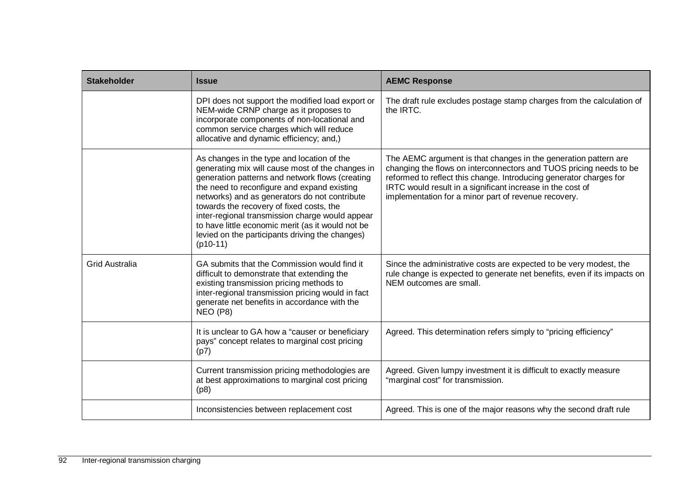| <b>Stakeholder</b>    | <b>Issue</b>                                                                                                                                                                                                                                                                                                                                                                                                                                                           | <b>AEMC Response</b>                                                                                                                                                                                                                                                                                                              |
|-----------------------|------------------------------------------------------------------------------------------------------------------------------------------------------------------------------------------------------------------------------------------------------------------------------------------------------------------------------------------------------------------------------------------------------------------------------------------------------------------------|-----------------------------------------------------------------------------------------------------------------------------------------------------------------------------------------------------------------------------------------------------------------------------------------------------------------------------------|
|                       | DPI does not support the modified load export or<br>NEM-wide CRNP charge as it proposes to<br>incorporate components of non-locational and<br>common service charges which will reduce<br>allocative and dynamic efficiency; and,)                                                                                                                                                                                                                                     | The draft rule excludes postage stamp charges from the calculation of<br>the IRTC.                                                                                                                                                                                                                                                |
|                       | As changes in the type and location of the<br>generating mix will cause most of the changes in<br>generation patterns and network flows (creating<br>the need to reconfigure and expand existing<br>networks) and as generators do not contribute<br>towards the recovery of fixed costs, the<br>inter-regional transmission charge would appear<br>to have little economic merit (as it would not be<br>levied on the participants driving the changes)<br>$(p10-11)$ | The AEMC argument is that changes in the generation pattern are<br>changing the flows on interconnectors and TUOS pricing needs to be<br>reformed to reflect this change. Introducing generator charges for<br>IRTC would result in a significant increase in the cost of<br>implementation for a minor part of revenue recovery. |
| <b>Grid Australia</b> | GA submits that the Commission would find it<br>difficult to demonstrate that extending the<br>existing transmission pricing methods to<br>inter-regional transmission pricing would in fact<br>generate net benefits in accordance with the<br><b>NEO (P8)</b>                                                                                                                                                                                                        | Since the administrative costs are expected to be very modest, the<br>rule change is expected to generate net benefits, even if its impacts on<br>NEM outcomes are small.                                                                                                                                                         |
|                       | It is unclear to GA how a "causer or beneficiary<br>pays" concept relates to marginal cost pricing<br>(p7)                                                                                                                                                                                                                                                                                                                                                             | Agreed. This determination refers simply to "pricing efficiency"                                                                                                                                                                                                                                                                  |
|                       | Current transmission pricing methodologies are<br>at best approximations to marginal cost pricing<br>(p8)                                                                                                                                                                                                                                                                                                                                                              | Agreed. Given lumpy investment it is difficult to exactly measure<br>"marginal cost" for transmission.                                                                                                                                                                                                                            |
|                       | Inconsistencies between replacement cost                                                                                                                                                                                                                                                                                                                                                                                                                               | Agreed. This is one of the major reasons why the second draft rule                                                                                                                                                                                                                                                                |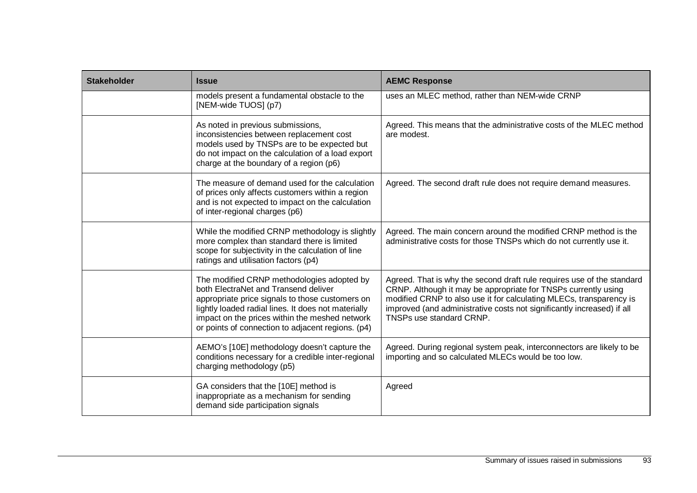| <b>Stakeholder</b> | <b>Issue</b>                                                                                                                                                                                                                                                                                        | <b>AEMC Response</b>                                                                                                                                                                                                                                                                                                  |
|--------------------|-----------------------------------------------------------------------------------------------------------------------------------------------------------------------------------------------------------------------------------------------------------------------------------------------------|-----------------------------------------------------------------------------------------------------------------------------------------------------------------------------------------------------------------------------------------------------------------------------------------------------------------------|
|                    | models present a fundamental obstacle to the<br>[NEM-wide TUOS] (p7)                                                                                                                                                                                                                                | uses an MLEC method, rather than NEM-wide CRNP                                                                                                                                                                                                                                                                        |
|                    | As noted in previous submissions,<br>inconsistencies between replacement cost<br>models used by TNSPs are to be expected but<br>do not impact on the calculation of a load export<br>charge at the boundary of a region (p6)                                                                        | Agreed. This means that the administrative costs of the MLEC method<br>are modest.                                                                                                                                                                                                                                    |
|                    | The measure of demand used for the calculation<br>of prices only affects customers within a region<br>and is not expected to impact on the calculation<br>of inter-regional charges (p6)                                                                                                            | Agreed. The second draft rule does not require demand measures.                                                                                                                                                                                                                                                       |
|                    | While the modified CRNP methodology is slightly<br>more complex than standard there is limited<br>scope for subjectivity in the calculation of line<br>ratings and utilisation factors (p4)                                                                                                         | Agreed. The main concern around the modified CRNP method is the<br>administrative costs for those TNSPs which do not currently use it.                                                                                                                                                                                |
|                    | The modified CRNP methodologies adopted by<br>both ElectraNet and Transend deliver<br>appropriate price signals to those customers on<br>lightly loaded radial lines. It does not materially<br>impact on the prices within the meshed network<br>or points of connection to adjacent regions. (p4) | Agreed. That is why the second draft rule requires use of the standard<br>CRNP. Although it may be appropriate for TNSPs currently using<br>modified CRNP to also use it for calculating MLECs, transparency is<br>improved (and administrative costs not significantly increased) if all<br>TNSPs use standard CRNP. |
|                    | AEMO's [10E] methodology doesn't capture the<br>conditions necessary for a credible inter-regional<br>charging methodology (p5)                                                                                                                                                                     | Agreed. During regional system peak, interconnectors are likely to be<br>importing and so calculated MLECs would be too low.                                                                                                                                                                                          |
|                    | GA considers that the [10E] method is<br>inappropriate as a mechanism for sending<br>demand side participation signals                                                                                                                                                                              | Agreed                                                                                                                                                                                                                                                                                                                |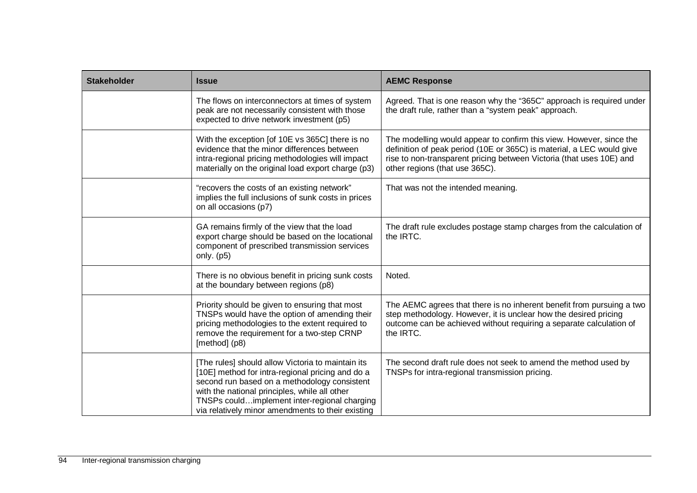| <b>Stakeholder</b> | <b>Issue</b>                                                                                                                                                                                                                                                                                                | <b>AEMC Response</b>                                                                                                                                                                                                                                   |
|--------------------|-------------------------------------------------------------------------------------------------------------------------------------------------------------------------------------------------------------------------------------------------------------------------------------------------------------|--------------------------------------------------------------------------------------------------------------------------------------------------------------------------------------------------------------------------------------------------------|
|                    | The flows on interconnectors at times of system<br>peak are not necessarily consistent with those<br>expected to drive network investment (p5)                                                                                                                                                              | Agreed. That is one reason why the "365C" approach is required under<br>the draft rule, rather than a "system peak" approach.                                                                                                                          |
|                    | With the exception [of 10E vs 365C] there is no<br>evidence that the minor differences between<br>intra-regional pricing methodologies will impact<br>materially on the original load export charge (p3)                                                                                                    | The modelling would appear to confirm this view. However, since the<br>definition of peak period (10E or 365C) is material, a LEC would give<br>rise to non-transparent pricing between Victoria (that uses 10E) and<br>other regions (that use 365C). |
|                    | "recovers the costs of an existing network"<br>implies the full inclusions of sunk costs in prices<br>on all occasions (p7)                                                                                                                                                                                 | That was not the intended meaning.                                                                                                                                                                                                                     |
|                    | GA remains firmly of the view that the load<br>export charge should be based on the locational<br>component of prescribed transmission services<br>only. $(p5)$                                                                                                                                             | The draft rule excludes postage stamp charges from the calculation of<br>the IRTC.                                                                                                                                                                     |
|                    | There is no obvious benefit in pricing sunk costs<br>at the boundary between regions (p8)                                                                                                                                                                                                                   | Noted.                                                                                                                                                                                                                                                 |
|                    | Priority should be given to ensuring that most<br>TNSPs would have the option of amending their<br>pricing methodologies to the extent required to<br>remove the requirement for a two-step CRNP<br>[method] (p8)                                                                                           | The AEMC agrees that there is no inherent benefit from pursuing a two<br>step methodology. However, it is unclear how the desired pricing<br>outcome can be achieved without requiring a separate calculation of<br>the IRTC.                          |
|                    | [The rules] should allow Victoria to maintain its<br>[10E] method for intra-regional pricing and do a<br>second run based on a methodology consistent<br>with the national principles, while all other<br>TNSPs couldimplement inter-regional charging<br>via relatively minor amendments to their existing | The second draft rule does not seek to amend the method used by<br>TNSPs for intra-regional transmission pricing.                                                                                                                                      |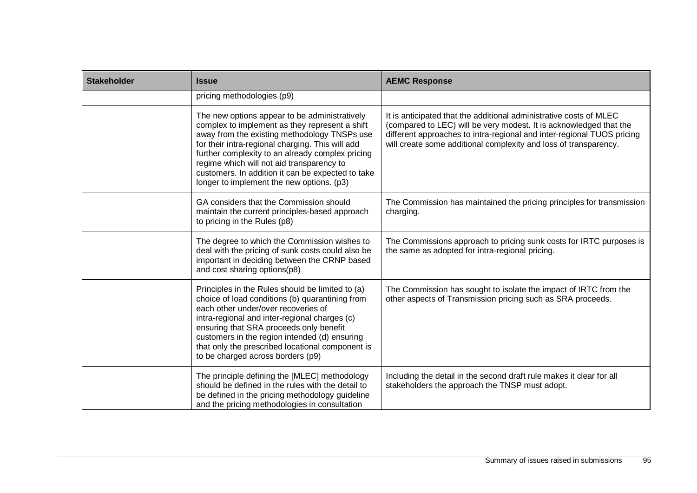| <b>Stakeholder</b> | <b>Issue</b>                                                                                                                                                                                                                                                                                                                                                                                           | <b>AEMC Response</b>                                                                                                                                                                                                                                                                   |
|--------------------|--------------------------------------------------------------------------------------------------------------------------------------------------------------------------------------------------------------------------------------------------------------------------------------------------------------------------------------------------------------------------------------------------------|----------------------------------------------------------------------------------------------------------------------------------------------------------------------------------------------------------------------------------------------------------------------------------------|
|                    | pricing methodologies (p9)                                                                                                                                                                                                                                                                                                                                                                             |                                                                                                                                                                                                                                                                                        |
|                    | The new options appear to be administratively<br>complex to implement as they represent a shift<br>away from the existing methodology TNSPs use<br>for their intra-regional charging. This will add<br>further complexity to an already complex pricing<br>regime which will not aid transparency to<br>customers. In addition it can be expected to take<br>longer to implement the new options. (p3) | It is anticipated that the additional administrative costs of MLEC<br>(compared to LEC) will be very modest. It is acknowledged that the<br>different approaches to intra-regional and inter-regional TUOS pricing<br>will create some additional complexity and loss of transparency. |
|                    | GA considers that the Commission should<br>maintain the current principles-based approach<br>to pricing in the Rules (p8)                                                                                                                                                                                                                                                                              | The Commission has maintained the pricing principles for transmission<br>charging.                                                                                                                                                                                                     |
|                    | The degree to which the Commission wishes to<br>deal with the pricing of sunk costs could also be<br>important in deciding between the CRNP based<br>and cost sharing options(p8)                                                                                                                                                                                                                      | The Commissions approach to pricing sunk costs for IRTC purposes is<br>the same as adopted for intra-regional pricing.                                                                                                                                                                 |
|                    | Principles in the Rules should be limited to (a)<br>choice of load conditions (b) quarantining from<br>each other under/over recoveries of<br>intra-regional and inter-regional charges (c)<br>ensuring that SRA proceeds only benefit<br>customers in the region intended (d) ensuring<br>that only the prescribed locational component is<br>to be charged across borders (p9)                       | The Commission has sought to isolate the impact of IRTC from the<br>other aspects of Transmission pricing such as SRA proceeds.                                                                                                                                                        |
|                    | The principle defining the [MLEC] methodology<br>should be defined in the rules with the detail to<br>be defined in the pricing methodology guideline<br>and the pricing methodologies in consultation                                                                                                                                                                                                 | Including the detail in the second draft rule makes it clear for all<br>stakeholders the approach the TNSP must adopt.                                                                                                                                                                 |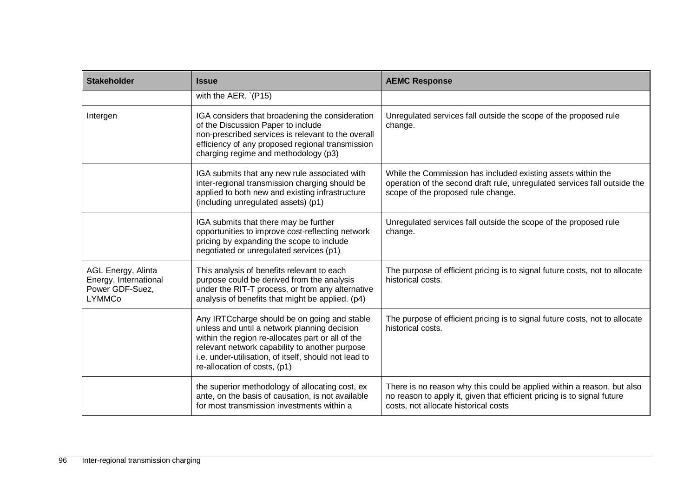| <b>Stakeholder</b>                                                                     | <b>Issue</b>                                                                                                                                                                                                                                                                                 | <b>AEMC Response</b>                                                                                                                                                                      |
|----------------------------------------------------------------------------------------|----------------------------------------------------------------------------------------------------------------------------------------------------------------------------------------------------------------------------------------------------------------------------------------------|-------------------------------------------------------------------------------------------------------------------------------------------------------------------------------------------|
|                                                                                        | with the AER. $(P15)$                                                                                                                                                                                                                                                                        |                                                                                                                                                                                           |
| Intergen                                                                               | IGA considers that broadening the consideration<br>of the Discussion Paper to include<br>non-prescribed services is relevant to the overall<br>efficiency of any proposed regional transmission<br>charging regime and methodology (p3)                                                      | Unregulated services fall outside the scope of the proposed rule<br>change.                                                                                                               |
|                                                                                        | IGA submits that any new rule associated with<br>inter-regional transmission charging should be<br>applied to both new and existing infrastructure<br>(including unregulated assets) (p1)                                                                                                    | While the Commission has included existing assets within the<br>operation of the second draft rule, unregulated services fall outside the<br>scope of the proposed rule change.           |
|                                                                                        | IGA submits that there may be further<br>opportunities to improve cost-reflecting network<br>pricing by expanding the scope to include<br>negotiated or unregulated services (p1)                                                                                                            | Unregulated services fall outside the scope of the proposed rule<br>change.                                                                                                               |
| <b>AGL Energy, Alinta</b><br>Energy, International<br>Power GDF-Suez,<br><b>LYMMCo</b> | This analysis of benefits relevant to each<br>purpose could be derived from the analysis<br>under the RIT-T process, or from any alternative<br>analysis of benefits that might be applied. (p4)                                                                                             | The purpose of efficient pricing is to signal future costs, not to allocate<br>historical costs.                                                                                          |
|                                                                                        | Any IRTCcharge should be on going and stable<br>unless and until a network planning decision<br>within the region re-allocates part or all of the<br>relevant network capability to another purpose<br>i.e. under-utilisation, of itself, should not lead to<br>re-allocation of costs, (p1) | The purpose of efficient pricing is to signal future costs, not to allocate<br>historical costs.                                                                                          |
|                                                                                        | the superior methodology of allocating cost, ex-<br>ante, on the basis of causation, is not available<br>for most transmission investments within a                                                                                                                                          | There is no reason why this could be applied within a reason, but also<br>no reason to apply it, given that efficient pricing is to signal future<br>costs, not allocate historical costs |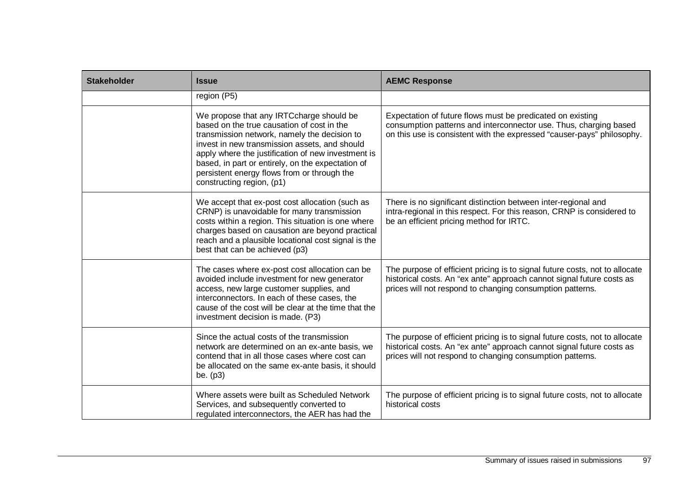| <b>Stakeholder</b> | <b>Issue</b>                                                                                                                                                                                                                                                                                                                                                                   | <b>AEMC Response</b>                                                                                                                                                                                              |
|--------------------|--------------------------------------------------------------------------------------------------------------------------------------------------------------------------------------------------------------------------------------------------------------------------------------------------------------------------------------------------------------------------------|-------------------------------------------------------------------------------------------------------------------------------------------------------------------------------------------------------------------|
|                    | region (P5)                                                                                                                                                                                                                                                                                                                                                                    |                                                                                                                                                                                                                   |
|                    | We propose that any IRTCcharge should be<br>based on the true causation of cost in the<br>transmission network, namely the decision to<br>invest in new transmission assets, and should<br>apply where the justification of new investment is<br>based, in part or entirely, on the expectation of<br>persistent energy flows from or through the<br>constructing region, (p1) | Expectation of future flows must be predicated on existing<br>consumption patterns and interconnector use. Thus, charging based<br>on this use is consistent with the expressed "causer-pays" philosophy.         |
|                    | We accept that ex-post cost allocation (such as<br>CRNP) is unavoidable for many transmission<br>costs within a region. This situation is one where<br>charges based on causation are beyond practical<br>reach and a plausible locational cost signal is the<br>best that can be achieved (p3)                                                                                | There is no significant distinction between inter-regional and<br>intra-regional in this respect. For this reason, CRNP is considered to<br>be an efficient pricing method for IRTC.                              |
|                    | The cases where ex-post cost allocation can be<br>avoided include investment for new generator<br>access, new large customer supplies, and<br>interconnectors. In each of these cases, the<br>cause of the cost will be clear at the time that the<br>investment decision is made. (P3)                                                                                        | The purpose of efficient pricing is to signal future costs, not to allocate<br>historical costs. An "ex ante" approach cannot signal future costs as<br>prices will not respond to changing consumption patterns. |
|                    | Since the actual costs of the transmission<br>network are determined on an ex-ante basis, we<br>contend that in all those cases where cost can<br>be allocated on the same ex-ante basis, it should<br>be. (p3)                                                                                                                                                                | The purpose of efficient pricing is to signal future costs, not to allocate<br>historical costs. An "ex ante" approach cannot signal future costs as<br>prices will not respond to changing consumption patterns. |
|                    | Where assets were built as Scheduled Network<br>Services, and subsequently converted to<br>regulated interconnectors, the AER has had the                                                                                                                                                                                                                                      | The purpose of efficient pricing is to signal future costs, not to allocate<br>historical costs                                                                                                                   |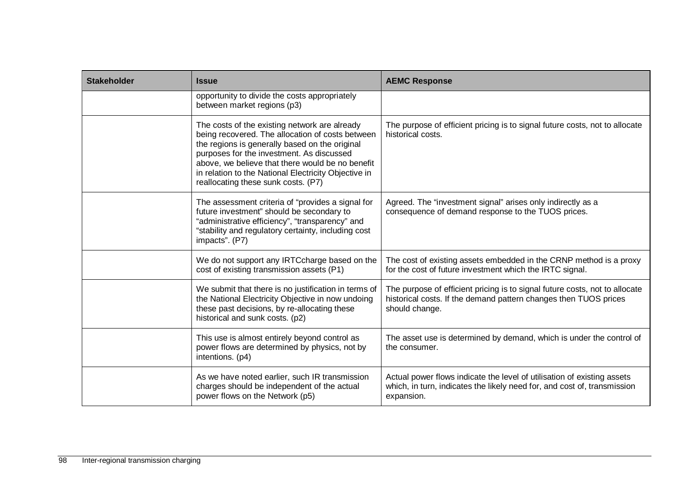| <b>Stakeholder</b> | <b>Issue</b>                                                                                                                                                                                                                                                                                                                                        | <b>AEMC Response</b>                                                                                                                                              |
|--------------------|-----------------------------------------------------------------------------------------------------------------------------------------------------------------------------------------------------------------------------------------------------------------------------------------------------------------------------------------------------|-------------------------------------------------------------------------------------------------------------------------------------------------------------------|
|                    | opportunity to divide the costs appropriately<br>between market regions (p3)                                                                                                                                                                                                                                                                        |                                                                                                                                                                   |
|                    | The costs of the existing network are already<br>being recovered. The allocation of costs between<br>the regions is generally based on the original<br>purposes for the investment. As discussed<br>above, we believe that there would be no benefit<br>in relation to the National Electricity Objective in<br>reallocating these sunk costs. (P7) | The purpose of efficient pricing is to signal future costs, not to allocate<br>historical costs.                                                                  |
|                    | The assessment criteria of "provides a signal for<br>future investment" should be secondary to<br>"administrative efficiency", "transparency" and<br>"stability and regulatory certainty, including cost<br>impacts". (P7)                                                                                                                          | Agreed. The "investment signal" arises only indirectly as a<br>consequence of demand response to the TUOS prices.                                                 |
|                    | We do not support any IRTCcharge based on the<br>cost of existing transmission assets (P1)                                                                                                                                                                                                                                                          | The cost of existing assets embedded in the CRNP method is a proxy<br>for the cost of future investment which the IRTC signal.                                    |
|                    | We submit that there is no justification in terms of<br>the National Electricity Objective in now undoing<br>these past decisions, by re-allocating these<br>historical and sunk costs. (p2)                                                                                                                                                        | The purpose of efficient pricing is to signal future costs, not to allocate<br>historical costs. If the demand pattern changes then TUOS prices<br>should change. |
|                    | This use is almost entirely beyond control as<br>power flows are determined by physics, not by<br>intentions. (p4)                                                                                                                                                                                                                                  | The asset use is determined by demand, which is under the control of<br>the consumer.                                                                             |
|                    | As we have noted earlier, such IR transmission<br>charges should be independent of the actual<br>power flows on the Network (p5)                                                                                                                                                                                                                    | Actual power flows indicate the level of utilisation of existing assets<br>which, in turn, indicates the likely need for, and cost of, transmission<br>expansion. |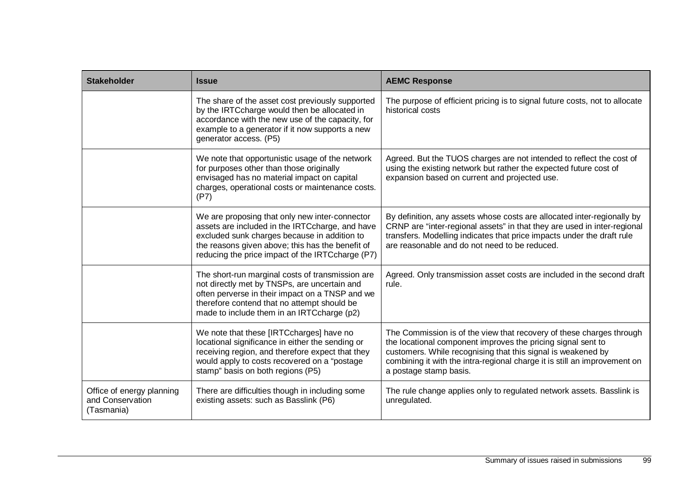| <b>Stakeholder</b>                                          | <b>Issue</b>                                                                                                                                                                                                                                              | <b>AEMC Response</b>                                                                                                                                                                                                                                                                                        |
|-------------------------------------------------------------|-----------------------------------------------------------------------------------------------------------------------------------------------------------------------------------------------------------------------------------------------------------|-------------------------------------------------------------------------------------------------------------------------------------------------------------------------------------------------------------------------------------------------------------------------------------------------------------|
|                                                             | The share of the asset cost previously supported<br>by the IRTCcharge would then be allocated in<br>accordance with the new use of the capacity, for<br>example to a generator if it now supports a new<br>generator access. (P5)                         | The purpose of efficient pricing is to signal future costs, not to allocate<br>historical costs                                                                                                                                                                                                             |
|                                                             | We note that opportunistic usage of the network<br>for purposes other than those originally<br>envisaged has no material impact on capital<br>charges, operational costs or maintenance costs.<br>(P7)                                                    | Agreed. But the TUOS charges are not intended to reflect the cost of<br>using the existing network but rather the expected future cost of<br>expansion based on current and projected use.                                                                                                                  |
|                                                             | We are proposing that only new inter-connector<br>assets are included in the IRTCcharge, and have<br>excluded sunk charges because in addition to<br>the reasons given above; this has the benefit of<br>reducing the price impact of the IRTCcharge (P7) | By definition, any assets whose costs are allocated inter-regionally by<br>CRNP are "inter-regional assets" in that they are used in inter-regional<br>transfers. Modelling indicates that price impacts under the draft rule<br>are reasonable and do not need to be reduced.                              |
|                                                             | The short-run marginal costs of transmission are<br>not directly met by TNSPs, are uncertain and<br>often perverse in their impact on a TNSP and we<br>therefore contend that no attempt should be<br>made to include them in an IRTCcharge (p2)          | Agreed. Only transmission asset costs are included in the second draft<br>rule.                                                                                                                                                                                                                             |
|                                                             | We note that these [IRTCcharges] have no<br>locational significance in either the sending or<br>receiving region, and therefore expect that they<br>would apply to costs recovered on a "postage"<br>stamp" basis on both regions (P5)                    | The Commission is of the view that recovery of these charges through<br>the locational component improves the pricing signal sent to<br>customers. While recognising that this signal is weakened by<br>combining it with the intra-regional charge it is still an improvement on<br>a postage stamp basis. |
| Office of energy planning<br>and Conservation<br>(Tasmania) | There are difficulties though in including some<br>existing assets: such as Basslink (P6)                                                                                                                                                                 | The rule change applies only to regulated network assets. Basslink is<br>unregulated.                                                                                                                                                                                                                       |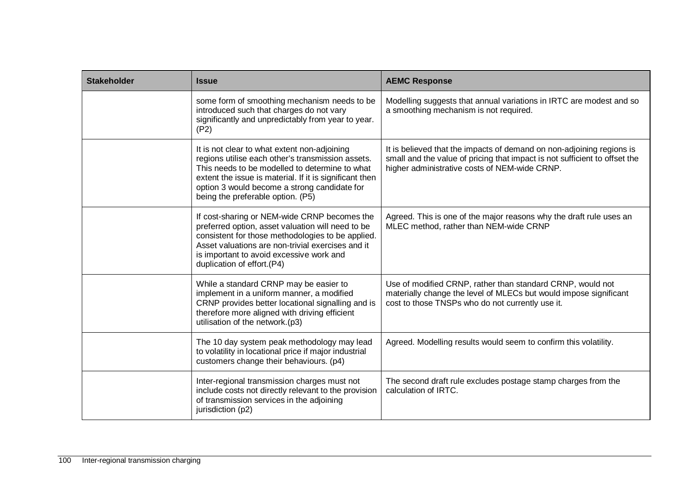| <b>Stakeholder</b> | <b>Issue</b>                                                                                                                                                                                                                                                                                        | <b>AEMC Response</b>                                                                                                                                                                                 |
|--------------------|-----------------------------------------------------------------------------------------------------------------------------------------------------------------------------------------------------------------------------------------------------------------------------------------------------|------------------------------------------------------------------------------------------------------------------------------------------------------------------------------------------------------|
|                    | some form of smoothing mechanism needs to be<br>introduced such that charges do not vary<br>significantly and unpredictably from year to year.<br>(P2)                                                                                                                                              | Modelling suggests that annual variations in IRTC are modest and so<br>a smoothing mechanism is not required.                                                                                        |
|                    | It is not clear to what extent non-adjoining<br>regions utilise each other's transmission assets.<br>This needs to be modelled to determine to what<br>extent the issue is material. If it is significant then<br>option 3 would become a strong candidate for<br>being the preferable option. (P5) | It is believed that the impacts of demand on non-adjoining regions is<br>small and the value of pricing that impact is not sufficient to offset the<br>higher administrative costs of NEM-wide CRNP. |
|                    | If cost-sharing or NEM-wide CRNP becomes the<br>preferred option, asset valuation will need to be<br>consistent for those methodologies to be applied.<br>Asset valuations are non-trivial exercises and it<br>is important to avoid excessive work and<br>duplication of effort.(P4)               | Agreed. This is one of the major reasons why the draft rule uses an<br>MLEC method, rather than NEM-wide CRNP                                                                                        |
|                    | While a standard CRNP may be easier to<br>implement in a uniform manner, a modified<br>CRNP provides better locational signalling and is<br>therefore more aligned with driving efficient<br>utilisation of the network.(p3)                                                                        | Use of modified CRNP, rather than standard CRNP, would not<br>materially change the level of MLECs but would impose significant<br>cost to those TNSPs who do not currently use it.                  |
|                    | The 10 day system peak methodology may lead<br>to volatility in locational price if major industrial<br>customers change their behaviours. (p4)                                                                                                                                                     | Agreed. Modelling results would seem to confirm this volatility.                                                                                                                                     |
|                    | Inter-regional transmission charges must not<br>include costs not directly relevant to the provision<br>of transmission services in the adjoining<br>jurisdiction (p2)                                                                                                                              | The second draft rule excludes postage stamp charges from the<br>calculation of IRTC.                                                                                                                |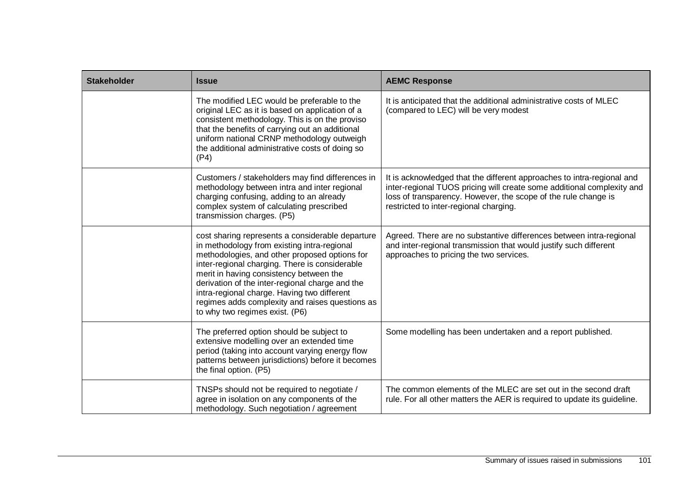| <b>Stakeholder</b> | <b>Issue</b>                                                                                                                                                                                                                                                                                                                                                                                                                         | <b>AEMC Response</b>                                                                                                                                                                                                                                         |
|--------------------|--------------------------------------------------------------------------------------------------------------------------------------------------------------------------------------------------------------------------------------------------------------------------------------------------------------------------------------------------------------------------------------------------------------------------------------|--------------------------------------------------------------------------------------------------------------------------------------------------------------------------------------------------------------------------------------------------------------|
|                    | The modified LEC would be preferable to the<br>original LEC as it is based on application of a<br>consistent methodology. This is on the proviso<br>that the benefits of carrying out an additional<br>uniform national CRNP methodology outweigh<br>the additional administrative costs of doing so<br>(P4)                                                                                                                         | It is anticipated that the additional administrative costs of MLEC<br>(compared to LEC) will be very modest                                                                                                                                                  |
|                    | Customers / stakeholders may find differences in<br>methodology between intra and inter regional<br>charging confusing, adding to an already<br>complex system of calculating prescribed<br>transmission charges. (P5)                                                                                                                                                                                                               | It is acknowledged that the different approaches to intra-regional and<br>inter-regional TUOS pricing will create some additional complexity and<br>loss of transparency. However, the scope of the rule change is<br>restricted to inter-regional charging. |
|                    | cost sharing represents a considerable departure<br>in methodology from existing intra-regional<br>methodologies, and other proposed options for<br>inter-regional charging. There is considerable<br>merit in having consistency between the<br>derivation of the inter-regional charge and the<br>intra-regional charge. Having two different<br>regimes adds complexity and raises questions as<br>to why two regimes exist. (P6) | Agreed. There are no substantive differences between intra-regional<br>and inter-regional transmission that would justify such different<br>approaches to pricing the two services.                                                                          |
|                    | The preferred option should be subject to<br>extensive modelling over an extended time<br>period (taking into account varying energy flow<br>patterns between jurisdictions) before it becomes<br>the final option. (P5)                                                                                                                                                                                                             | Some modelling has been undertaken and a report published.                                                                                                                                                                                                   |
|                    | TNSPs should not be required to negotiate /<br>agree in isolation on any components of the<br>methodology. Such negotiation / agreement                                                                                                                                                                                                                                                                                              | The common elements of the MLEC are set out in the second draft<br>rule. For all other matters the AER is required to update its guideline.                                                                                                                  |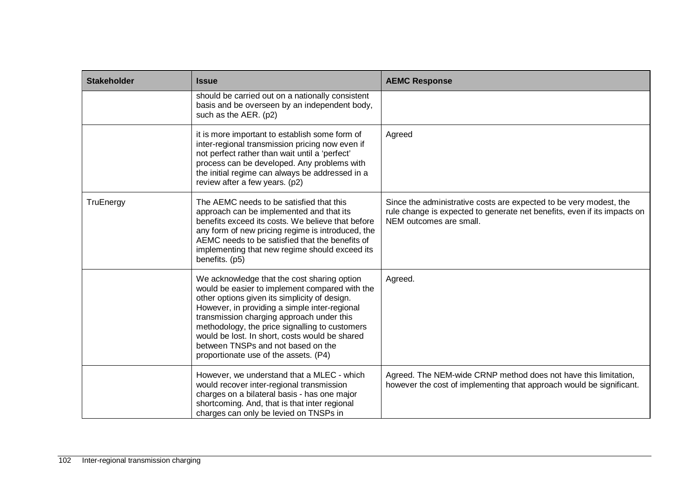| <b>Stakeholder</b> | <b>Issue</b>                                                                                                                                                                                                                                                                                                                                                                                                                    | <b>AEMC Response</b>                                                                                                                                                      |
|--------------------|---------------------------------------------------------------------------------------------------------------------------------------------------------------------------------------------------------------------------------------------------------------------------------------------------------------------------------------------------------------------------------------------------------------------------------|---------------------------------------------------------------------------------------------------------------------------------------------------------------------------|
|                    | should be carried out on a nationally consistent<br>basis and be overseen by an independent body,<br>such as the AER. (p2)                                                                                                                                                                                                                                                                                                      |                                                                                                                                                                           |
|                    | it is more important to establish some form of<br>inter-regional transmission pricing now even if<br>not perfect rather than wait until a 'perfect'<br>process can be developed. Any problems with<br>the initial regime can always be addressed in a<br>review after a few years. (p2)                                                                                                                                         | Agreed                                                                                                                                                                    |
| TruEnergy          | The AEMC needs to be satisfied that this<br>approach can be implemented and that its<br>benefits exceed its costs. We believe that before<br>any form of new pricing regime is introduced, the<br>AEMC needs to be satisfied that the benefits of<br>implementing that new regime should exceed its<br>benefits. (p5)                                                                                                           | Since the administrative costs are expected to be very modest, the<br>rule change is expected to generate net benefits, even if its impacts on<br>NEM outcomes are small. |
|                    | We acknowledge that the cost sharing option<br>would be easier to implement compared with the<br>other options given its simplicity of design.<br>However, in providing a simple inter-regional<br>transmission charging approach under this<br>methodology, the price signalling to customers<br>would be lost. In short, costs would be shared<br>between TNSPs and not based on the<br>proportionate use of the assets. (P4) | Agreed.                                                                                                                                                                   |
|                    | However, we understand that a MLEC - which<br>would recover inter-regional transmission<br>charges on a bilateral basis - has one major<br>shortcoming. And, that is that inter regional<br>charges can only be levied on TNSPs in                                                                                                                                                                                              | Agreed. The NEM-wide CRNP method does not have this limitation,<br>however the cost of implementing that approach would be significant.                                   |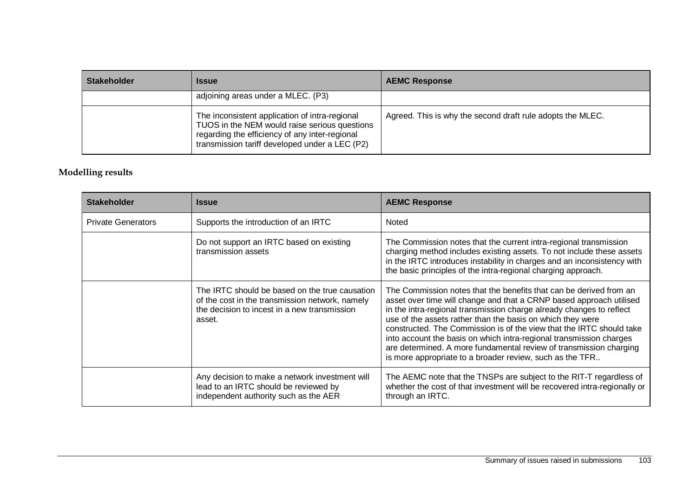| <b>Stakeholder</b> | <b>Issue</b>                                                                                                                                                                                        | <b>AEMC Response</b>                                       |
|--------------------|-----------------------------------------------------------------------------------------------------------------------------------------------------------------------------------------------------|------------------------------------------------------------|
|                    | adjoining areas under a MLEC. (P3)                                                                                                                                                                  |                                                            |
|                    | The inconsistent application of intra-regional<br>TUOS in the NEM would raise serious questions<br>regarding the efficiency of any inter-regional<br>transmission tariff developed under a LEC (P2) | Agreed. This is why the second draft rule adopts the MLEC. |

## **Modelling results**

| <b>Stakeholder</b>        | <b>Issue</b>                                                                                                                                                | <b>AEMC Response</b>                                                                                                                                                                                                                                                                                                                                                                                                                                                                                                                                             |
|---------------------------|-------------------------------------------------------------------------------------------------------------------------------------------------------------|------------------------------------------------------------------------------------------------------------------------------------------------------------------------------------------------------------------------------------------------------------------------------------------------------------------------------------------------------------------------------------------------------------------------------------------------------------------------------------------------------------------------------------------------------------------|
| <b>Private Generators</b> | Supports the introduction of an IRTC                                                                                                                        | Noted                                                                                                                                                                                                                                                                                                                                                                                                                                                                                                                                                            |
|                           | Do not support an IRTC based on existing<br>transmission assets                                                                                             | The Commission notes that the current intra-regional transmission<br>charging method includes existing assets. To not include these assets<br>in the IRTC introduces instability in charges and an inconsistency with<br>the basic principles of the intra-regional charging approach.                                                                                                                                                                                                                                                                           |
|                           | The IRTC should be based on the true causation<br>of the cost in the transmission network, namely<br>the decision to incest in a new transmission<br>asset. | The Commission notes that the benefits that can be derived from an<br>asset over time will change and that a CRNP based approach utilised<br>in the intra-regional transmission charge already changes to reflect<br>use of the assets rather than the basis on which they were<br>constructed. The Commission is of the view that the IRTC should take<br>into account the basis on which intra-regional transmission charges<br>are determined. A more fundamental review of transmission charging<br>is more appropriate to a broader review, such as the TFR |
|                           | Any decision to make a network investment will<br>lead to an IRTC should be reviewed by<br>independent authority such as the AER                            | The AEMC note that the TNSPs are subject to the RIT-T regardless of<br>whether the cost of that investment will be recovered intra-regionally or<br>through an IRTC.                                                                                                                                                                                                                                                                                                                                                                                             |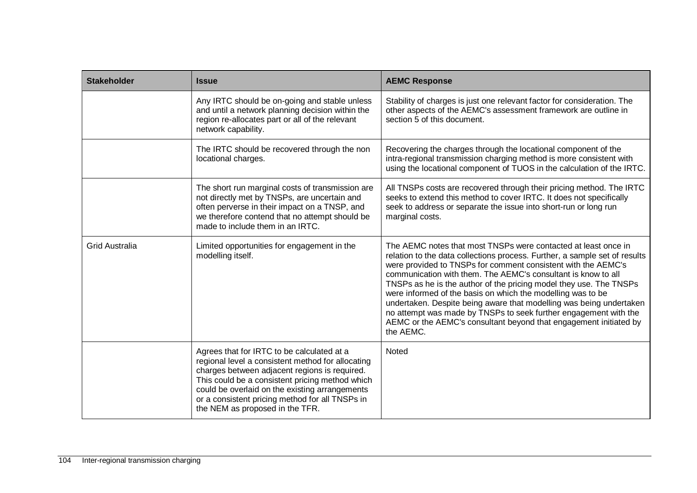| <b>Stakeholder</b>    | <b>Issue</b>                                                                                                                                                                                                                                                                                                                                | <b>AEMC Response</b>                                                                                                                                                                                                                                                                                                                                                                                                                                                                                                                                                                                                                             |
|-----------------------|---------------------------------------------------------------------------------------------------------------------------------------------------------------------------------------------------------------------------------------------------------------------------------------------------------------------------------------------|--------------------------------------------------------------------------------------------------------------------------------------------------------------------------------------------------------------------------------------------------------------------------------------------------------------------------------------------------------------------------------------------------------------------------------------------------------------------------------------------------------------------------------------------------------------------------------------------------------------------------------------------------|
|                       | Any IRTC should be on-going and stable unless<br>and until a network planning decision within the<br>region re-allocates part or all of the relevant<br>network capability.                                                                                                                                                                 | Stability of charges is just one relevant factor for consideration. The<br>other aspects of the AEMC's assessment framework are outline in<br>section 5 of this document.                                                                                                                                                                                                                                                                                                                                                                                                                                                                        |
|                       | The IRTC should be recovered through the non<br>locational charges.                                                                                                                                                                                                                                                                         | Recovering the charges through the locational component of the<br>intra-regional transmission charging method is more consistent with<br>using the locational component of TUOS in the calculation of the IRTC.                                                                                                                                                                                                                                                                                                                                                                                                                                  |
|                       | The short run marginal costs of transmission are<br>not directly met by TNSPs, are uncertain and<br>often perverse in their impact on a TNSP, and<br>we therefore contend that no attempt should be<br>made to include them in an IRTC.                                                                                                     | All TNSPs costs are recovered through their pricing method. The IRTC<br>seeks to extend this method to cover IRTC. It does not specifically<br>seek to address or separate the issue into short-run or long run<br>marginal costs.                                                                                                                                                                                                                                                                                                                                                                                                               |
| <b>Grid Australia</b> | Limited opportunities for engagement in the<br>modelling itself.                                                                                                                                                                                                                                                                            | The AEMC notes that most TNSPs were contacted at least once in<br>relation to the data collections process. Further, a sample set of results<br>were provided to TNSPs for comment consistent with the AEMC's<br>communication with them. The AEMC's consultant is know to all<br>TNSPs as he is the author of the pricing model they use. The TNSPs<br>were informed of the basis on which the modelling was to be<br>undertaken. Despite being aware that modelling was being undertaken<br>no attempt was made by TNSPs to seek further engagement with the<br>AEMC or the AEMC's consultant beyond that engagement initiated by<br>the AEMC. |
|                       | Agrees that for IRTC to be calculated at a<br>regional level a consistent method for allocating<br>charges between adjacent regions is required.<br>This could be a consistent pricing method which<br>could be overlaid on the existing arrangements<br>or a consistent pricing method for all TNSPs in<br>the NEM as proposed in the TFR. | Noted                                                                                                                                                                                                                                                                                                                                                                                                                                                                                                                                                                                                                                            |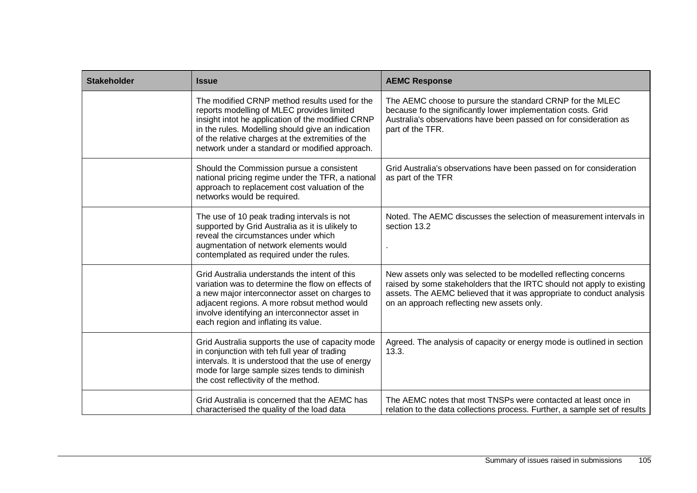| <b>Stakeholder</b> | <b>Issue</b>                                                                                                                                                                                                                                                                                                 | <b>AEMC Response</b>                                                                                                                                                                                                                                             |
|--------------------|--------------------------------------------------------------------------------------------------------------------------------------------------------------------------------------------------------------------------------------------------------------------------------------------------------------|------------------------------------------------------------------------------------------------------------------------------------------------------------------------------------------------------------------------------------------------------------------|
|                    | The modified CRNP method results used for the<br>reports modelling of MLEC provides limited<br>insight intot he application of the modified CRNP<br>in the rules. Modelling should give an indication<br>of the relative charges at the extremities of the<br>network under a standard or modified approach. | The AEMC choose to pursure the standard CRNP for the MLEC<br>because fo the significantly lower implementation costs. Grid<br>Australia's observations have been passed on for consideration as<br>part of the TFR.                                              |
|                    | Should the Commission pursue a consistent<br>national pricing regime under the TFR, a national<br>approach to replacement cost valuation of the<br>networks would be required.                                                                                                                               | Grid Australia's observations have been passed on for consideration<br>as part of the TFR                                                                                                                                                                        |
|                    | The use of 10 peak trading intervals is not<br>supported by Grid Australia as it is ulikely to<br>reveal the circumstances under which<br>augmentation of network elements would<br>contemplated as required under the rules.                                                                                | Noted. The AEMC discusses the selection of measurement intervals in<br>section 13.2                                                                                                                                                                              |
|                    | Grid Australia understands the intent of this<br>variation was to determine the flow on effects of<br>a new major interconnector asset on charges to<br>adjacent regions. A more robsut method would<br>involve identifying an interconnector asset in<br>each region and inflating its value.               | New assets only was selected to be modelled reflecting concerns<br>raised by some stakeholders that the IRTC should not apply to existing<br>assets. The AEMC believed that it was appropriate to conduct analysis<br>on an approach reflecting new assets only. |
|                    | Grid Australia supports the use of capacity mode<br>in conjunction with teh full year of trading<br>intervals. It is understood that the use of energy<br>mode for large sample sizes tends to diminish<br>the cost reflectivity of the method.                                                              | Agreed. The analysis of capacity or energy mode is outlined in section<br>13.3.                                                                                                                                                                                  |
|                    | Grid Australia is concerned that the AEMC has<br>characterised the quality of the load data                                                                                                                                                                                                                  | The AEMC notes that most TNSPs were contacted at least once in<br>relation to the data collections process. Further, a sample set of results                                                                                                                     |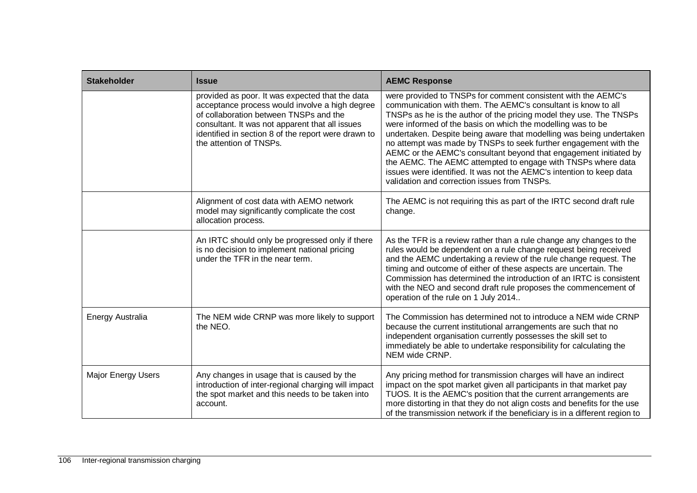| <b>Stakeholder</b>        | <b>Issue</b>                                                                                                                                                                                                                                                                     | <b>AEMC Response</b>                                                                                                                                                                                                                                                                                                                                                                                                                                                                                                                                                                                                                                                        |
|---------------------------|----------------------------------------------------------------------------------------------------------------------------------------------------------------------------------------------------------------------------------------------------------------------------------|-----------------------------------------------------------------------------------------------------------------------------------------------------------------------------------------------------------------------------------------------------------------------------------------------------------------------------------------------------------------------------------------------------------------------------------------------------------------------------------------------------------------------------------------------------------------------------------------------------------------------------------------------------------------------------|
|                           | provided as poor. It was expected that the data<br>acceptance process would involve a high degree<br>of collaboration between TNSPs and the<br>consultant. It was not apparent that all issues<br>identified in section 8 of the report were drawn to<br>the attention of TNSPs. | were provided to TNSPs for comment consistent with the AEMC's<br>communication with them. The AEMC's consultant is know to all<br>TNSPs as he is the author of the pricing model they use. The TNSPs<br>were informed of the basis on which the modelling was to be<br>undertaken. Despite being aware that modelling was being undertaken<br>no attempt was made by TNSPs to seek further engagement with the<br>AEMC or the AEMC's consultant beyond that engagement initiated by<br>the AEMC. The AEMC attempted to engage with TNSPs where data<br>issues were identified. It was not the AEMC's intention to keep data<br>validation and correction issues from TNSPs. |
|                           | Alignment of cost data with AEMO network<br>model may significantly complicate the cost<br>allocation process.                                                                                                                                                                   | The AEMC is not requiring this as part of the IRTC second draft rule<br>change.                                                                                                                                                                                                                                                                                                                                                                                                                                                                                                                                                                                             |
|                           | An IRTC should only be progressed only if there<br>is no decision to implement national pricing<br>under the TFR in the near term.                                                                                                                                               | As the TFR is a review rather than a rule change any changes to the<br>rules would be dependent on a rule change request being received<br>and the AEMC undertaking a review of the rule change request. The<br>timing and outcome of either of these aspects are uncertain. The<br>Commission has determined the introduction of an IRTC is consistent<br>with the NEO and second draft rule proposes the commencement of<br>operation of the rule on 1 July 2014                                                                                                                                                                                                          |
| Energy Australia          | The NEM wide CRNP was more likely to support<br>the NEO.                                                                                                                                                                                                                         | The Commission has determined not to introduce a NEM wide CRNP<br>because the current institutional arrangements are such that no<br>independent organisation currently possesses the skill set to<br>immediately be able to undertake responsibility for calculating the<br>NEM wide CRNP.                                                                                                                                                                                                                                                                                                                                                                                 |
| <b>Major Energy Users</b> | Any changes in usage that is caused by the<br>introduction of inter-regional charging will impact<br>the spot market and this needs to be taken into<br>account.                                                                                                                 | Any pricing method for transmission charges will have an indirect<br>impact on the spot market given all participants in that market pay<br>TUOS. It is the AEMC's position that the current arrangements are<br>more distorting in that they do not align costs and benefits for the use<br>of the transmission network if the beneficiary is in a different region to                                                                                                                                                                                                                                                                                                     |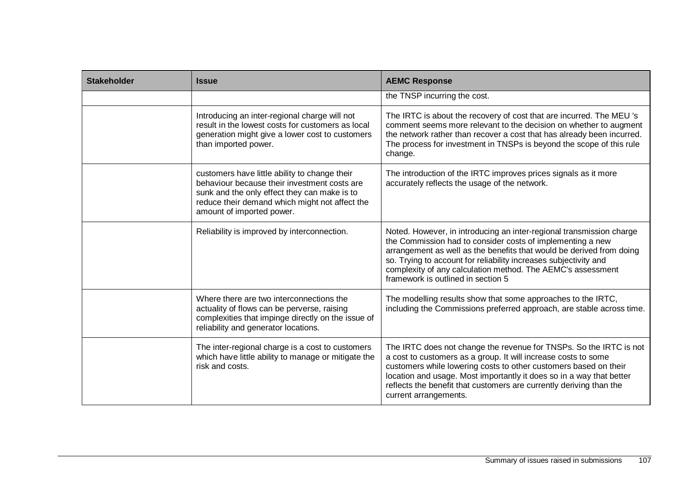| <b>Stakeholder</b> | <b>Issue</b>                                                                                                                                                                                                                 | <b>AEMC Response</b>                                                                                                                                                                                                                                                                                                                                                                |
|--------------------|------------------------------------------------------------------------------------------------------------------------------------------------------------------------------------------------------------------------------|-------------------------------------------------------------------------------------------------------------------------------------------------------------------------------------------------------------------------------------------------------------------------------------------------------------------------------------------------------------------------------------|
|                    |                                                                                                                                                                                                                              | the TNSP incurring the cost.                                                                                                                                                                                                                                                                                                                                                        |
|                    | Introducing an inter-regional charge will not<br>result in the lowest costs for customers as local<br>generation might give a lower cost to customers<br>than imported power.                                                | The IRTC is about the recovery of cost that are incurred. The MEU's<br>comment seems more relevant to the decision on whether to augment<br>the network rather than recover a cost that has already been incurred.<br>The process for investment in TNSPs is beyond the scope of this rule<br>change.                                                                               |
|                    | customers have little ability to change their<br>behaviour because their investment costs are<br>sunk and the only effect they can make is to<br>reduce their demand which might not affect the<br>amount of imported power. | The introduction of the IRTC improves prices signals as it more<br>accurately reflects the usage of the network.                                                                                                                                                                                                                                                                    |
|                    | Reliability is improved by interconnection.                                                                                                                                                                                  | Noted. However, in introducing an inter-regional transmission charge<br>the Commission had to consider costs of implementing a new<br>arrangement as well as the benefits that would be derived from doing<br>so. Trying to account for reliability increases subjectivity and<br>complexity of any calculation method. The AEMC's assessment<br>framework is outlined in section 5 |
|                    | Where there are two interconnections the<br>actuality of flows can be perverse, raising<br>complexities that impinge directly on the issue of<br>reliability and generator locations.                                        | The modelling results show that some approaches to the IRTC,<br>including the Commissions preferred approach, are stable across time.                                                                                                                                                                                                                                               |
|                    | The inter-regional charge is a cost to customers<br>which have little ability to manage or mitigate the<br>risk and costs.                                                                                                   | The IRTC does not change the revenue for TNSPs. So the IRTC is not<br>a cost to customers as a group. It will increase costs to some<br>customers while lowering costs to other customers based on their<br>location and usage. Most importantly it does so in a way that better<br>reflects the benefit that customers are currently deriving than the<br>current arrangements.    |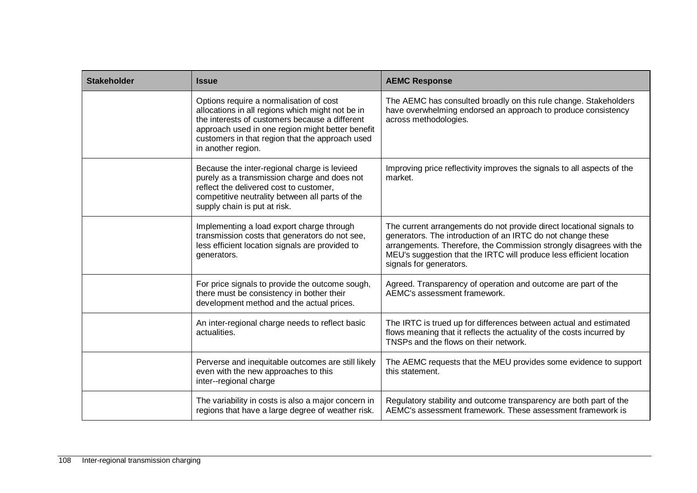| <b>Stakeholder</b> | <b>Issue</b>                                                                                                                                                                                                                                                               | <b>AEMC Response</b>                                                                                                                                                                                                                                                                                         |
|--------------------|----------------------------------------------------------------------------------------------------------------------------------------------------------------------------------------------------------------------------------------------------------------------------|--------------------------------------------------------------------------------------------------------------------------------------------------------------------------------------------------------------------------------------------------------------------------------------------------------------|
|                    | Options require a normalisation of cost<br>allocations in all regions which might not be in<br>the interests of customers because a different<br>approach used in one region might better benefit<br>customers in that region that the approach used<br>in another region. | The AEMC has consulted broadly on this rule change. Stakeholders<br>have overwhelming endorsed an approach to produce consistency<br>across methodologies.                                                                                                                                                   |
|                    | Because the inter-regional charge is levieed<br>purely as a transmission charge and does not<br>reflect the delivered cost to customer,<br>competitive neutrality between all parts of the<br>supply chain is put at risk.                                                 | Improving price reflectivity improves the signals to all aspects of the<br>market.                                                                                                                                                                                                                           |
|                    | Implementing a load export charge through<br>transmission costs that generators do not see,<br>less efficient location signals are provided to<br>generators.                                                                                                              | The current arrangements do not provide direct locational signals to<br>generators. The introduction of an IRTC do not change these<br>arrangements. Therefore, the Commission strongly disagrees with the<br>MEU's suggestion that the IRTC will produce less efficient location<br>signals for generators. |
|                    | For price signals to provide the outcome sough,<br>there must be consistency in bother their<br>development method and the actual prices.                                                                                                                                  | Agreed. Transparency of operation and outcome are part of the<br>AEMC's assessment framework.                                                                                                                                                                                                                |
|                    | An inter-regional charge needs to reflect basic<br>actualities.                                                                                                                                                                                                            | The IRTC is trued up for differences between actual and estimated<br>flows meaning that it reflects the actuality of the costs incurred by<br>TNSPs and the flows on their network.                                                                                                                          |
|                    | Perverse and inequitable outcomes are still likely<br>even with the new approaches to this<br>inter--regional charge                                                                                                                                                       | The AEMC requests that the MEU provides some evidence to support<br>this statement.                                                                                                                                                                                                                          |
|                    | The variability in costs is also a major concern in<br>regions that have a large degree of weather risk.                                                                                                                                                                   | Regulatory stability and outcome transparency are both part of the<br>AEMC's assessment framework. These assessment framework is                                                                                                                                                                             |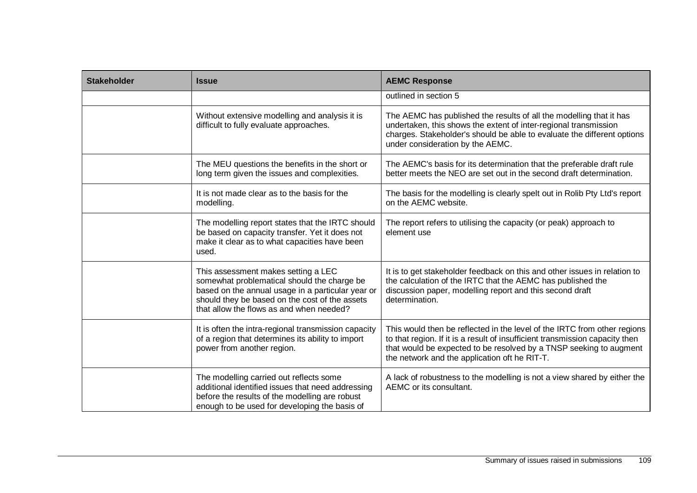| <b>Stakeholder</b> | <b>Issue</b>                                                                                                                                                                                                                          | <b>AEMC Response</b>                                                                                                                                                                                                                                                            |
|--------------------|---------------------------------------------------------------------------------------------------------------------------------------------------------------------------------------------------------------------------------------|---------------------------------------------------------------------------------------------------------------------------------------------------------------------------------------------------------------------------------------------------------------------------------|
|                    |                                                                                                                                                                                                                                       | outlined in section 5                                                                                                                                                                                                                                                           |
|                    | Without extensive modelling and analysis it is<br>difficult to fully evaluate approaches.                                                                                                                                             | The AEMC has published the results of all the modelling that it has<br>undertaken, this shows the extent of inter-regional transmission<br>charges. Stakeholder's should be able to evaluate the different options<br>under consideration by the AEMC.                          |
|                    | The MEU questions the benefits in the short or<br>long term given the issues and complexities.                                                                                                                                        | The AEMC's basis for its determination that the preferable draft rule<br>better meets the NEO are set out in the second draft determination.                                                                                                                                    |
|                    | It is not made clear as to the basis for the<br>modelling.                                                                                                                                                                            | The basis for the modelling is clearly spelt out in Rolib Pty Ltd's report<br>on the AEMC website.                                                                                                                                                                              |
|                    | The modelling report states that the IRTC should<br>be based on capacity transfer. Yet it does not<br>make it clear as to what capacities have been<br>used.                                                                          | The report refers to utilising the capacity (or peak) approach to<br>element use                                                                                                                                                                                                |
|                    | This assessment makes setting a LEC<br>somewhat problematical should the charge be<br>based on the annual usage in a particular year or<br>should they be based on the cost of the assets<br>that allow the flows as and when needed? | It is to get stakeholder feedback on this and other issues in relation to<br>the calculation of the IRTC that the AEMC has published the<br>discussion paper, modelling report and this second draft<br>determination.                                                          |
|                    | It is often the intra-regional transmission capacity<br>of a region that determines its ability to import<br>power from another region.                                                                                               | This would then be reflected in the level of the IRTC from other regions<br>to that region. If it is a result of insufficient transmission capacity then<br>that would be expected to be resolved by a TNSP seeking to augment<br>the network and the application oft he RIT-T. |
|                    | The modelling carried out reflects some<br>additional identified issues that need addressing<br>before the results of the modelling are robust<br>enough to be used for developing the basis of                                       | A lack of robustness to the modelling is not a view shared by either the<br>AEMC or its consultant.                                                                                                                                                                             |